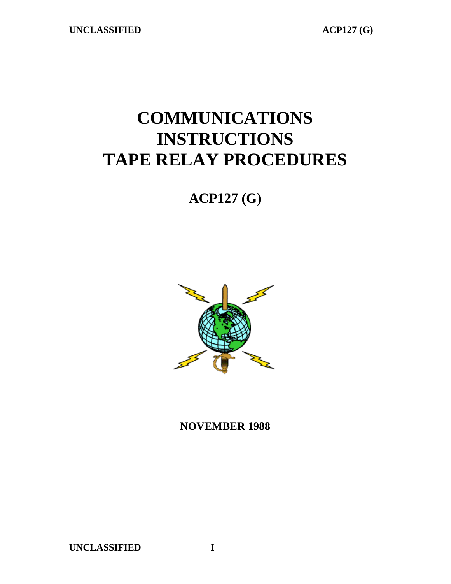# **COMMUNICATIONS INSTRUCTIONS TAPE RELAY PROCEDURES**

# **ACP127 (G)**



**NOVEMBER 1988**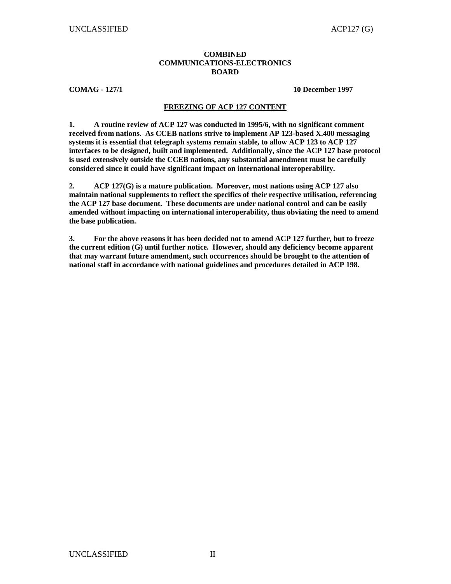#### **COMBINED COMMUNICATIONS-ELECTRONICS BOARD**

**COMAG - 127/1 10 December 1997** 

#### **FREEZING OF ACP 127 CONTENT**

**1. A routine review of ACP 127 was conducted in 1995/6, with no significant comment received from nations. As CCEB nations strive to implement AP 123-based X.400 messaging systems it is essential that telegraph systems remain stable, to allow ACP 123 to ACP 127 interfaces to be designed, built and implemented. Additionally, since the ACP 127 base protocol is used extensively outside the CCEB nations, any substantial amendment must be carefully considered since it could have significant impact on international interoperability.** 

**2. ACP 127(G) is a mature publication. Moreover, most nations using ACP 127 also maintain national supplements to reflect the specifics of their respective utilisation, referencing the ACP 127 base document. These documents are under national control and can be easily amended without impacting on international interoperability, thus obviating the need to amend the base publication.** 

**3. For the above reasons it has been decided not to amend ACP 127 further, but to freeze the current edition (G) until further notice. However, should any deficiency become apparent that may warrant future amendment, such occurrences should be brought to the attention of national staff in accordance with national guidelines and procedures detailed in ACP 198.**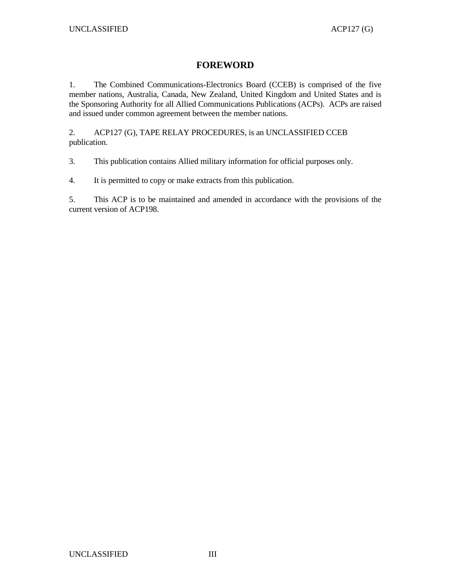## **FOREWORD**

1. The Combined Communications-Electronics Board (CCEB) is comprised of the five member nations, Australia, Canada, New Zealand, United Kingdom and United States and is the Sponsoring Authority for all Allied Communications Publications (ACPs). ACPs are raised and issued under common agreement between the member nations.

2. ACP127 (G), TAPE RELAY PROCEDURES, is an UNCLASSIFIED CCEB publication.

3. This publication contains Allied military information for official purposes only.

4. It is permitted to copy or make extracts from this publication.

5. This ACP is to be maintained and amended in accordance with the provisions of the current version of ACP198.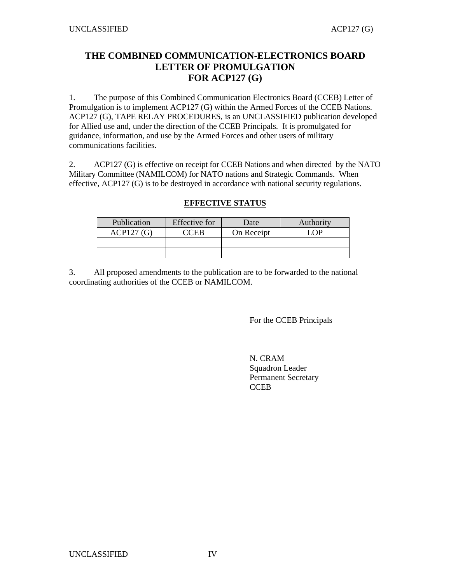## **THE COMBINED COMMUNICATION-ELECTRONICS BOARD LETTER OF PROMULGATION FOR ACP127 (G)**

1. The purpose of this Combined Communication Electronics Board (CCEB) Letter of Promulgation is to implement ACP127 (G) within the Armed Forces of the CCEB Nations. ACP127 (G), TAPE RELAY PROCEDURES, is an UNCLASSIFIED publication developed for Allied use and, under the direction of the CCEB Principals. It is promulgated for guidance, information, and use by the Armed Forces and other users of military communications facilities.

2. ACP127 (G) is effective on receipt for CCEB Nations and when directed by the NATO Military Committee (NAMILCOM) for NATO nations and Strategic Commands. When effective, ACP127 (G) is to be destroyed in accordance with national security regulations.

## **EFFECTIVE STATUS**

| Publication | <b>Effective</b> for | Date       | Authority |
|-------------|----------------------|------------|-----------|
| ACP127(G)   | $\cdot$ CFR          | On Receipt | $\Omega$  |
|             |                      |            |           |
|             |                      |            |           |

3. All proposed amendments to the publication are to be forwarded to the national coordinating authorities of the CCEB or NAMILCOM.

For the CCEB Principals

N. CRAM Squadron Leader Permanent Secretary **CCEB**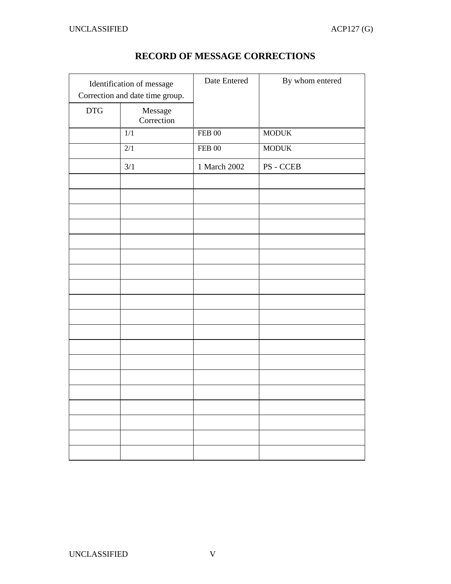| Identification of message<br>Correction and date time group. |                       | Date Entered | By whom entered |
|--------------------------------------------------------------|-----------------------|--------------|-----------------|
| <b>DTG</b>                                                   | Message<br>Correction |              |                 |
|                                                              | 1/1                   | $FEB$ 00     | <b>MODUK</b>    |
|                                                              | $\overline{2/1}$      | $FEB$ 00     | <b>MODUK</b>    |
|                                                              | 3/1                   | 1 March 2002 | PS - CCEB       |
|                                                              |                       |              |                 |
|                                                              |                       |              |                 |
|                                                              |                       |              |                 |
|                                                              |                       |              |                 |
|                                                              |                       |              |                 |
|                                                              |                       |              |                 |
|                                                              |                       |              |                 |
|                                                              |                       |              |                 |
|                                                              |                       |              |                 |
|                                                              |                       |              |                 |
|                                                              |                       |              |                 |
|                                                              |                       |              |                 |
|                                                              |                       |              |                 |
|                                                              |                       |              |                 |
|                                                              |                       |              |                 |
|                                                              |                       |              |                 |
|                                                              |                       |              |                 |
|                                                              |                       |              |                 |
|                                                              |                       |              |                 |

## **RECORD OF MESSAGE CORRECTIONS**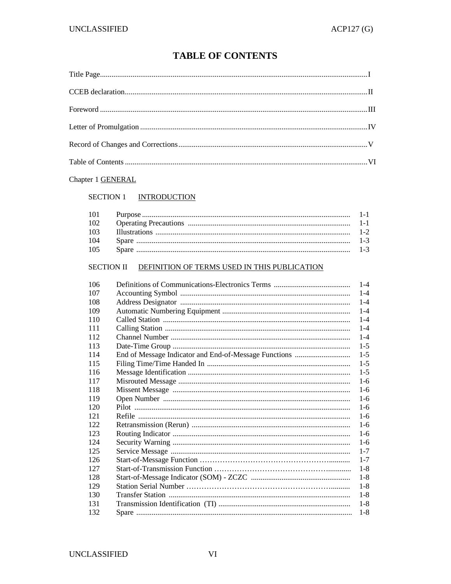## **TABLE OF CONTENTS**

## Chapter 1 **GENERAL**

#### SECTION 1 INTRODUCTION

| 102 |  |
|-----|--|
| 103 |  |
| 104 |  |
| 105 |  |

#### SECTION II DEFINITION OF TERMS USED IN THIS PUBLICATION

| 106 | $1 - 4$ |
|-----|---------|
| 107 | $1 - 4$ |
| 108 | $1 - 4$ |
| 109 | $1 - 4$ |
| 110 | $1 - 4$ |
| 111 | $1 - 4$ |
| 112 | $1 - 4$ |
| 113 | $1-5$   |
| 114 | $1-5$   |
| 115 | $1 - 5$ |
| 116 | $1-5$   |
| 117 | $1-6$   |
| 118 | $1-6$   |
| 119 | $1 - 6$ |
| 120 | $1-6$   |
| 121 | $1-6$   |
| 122 | $1-6$   |
| 123 | $1-6$   |
| 124 | $1-6$   |
| 125 | $1 - 7$ |
| 126 | $1 - 7$ |
| 127 | $1 - 8$ |
| 128 | $1-8$   |
| 129 | $1 - 8$ |
| 130 | $1-8$   |
| 131 | $1-8$   |
| 132 | $1 - 8$ |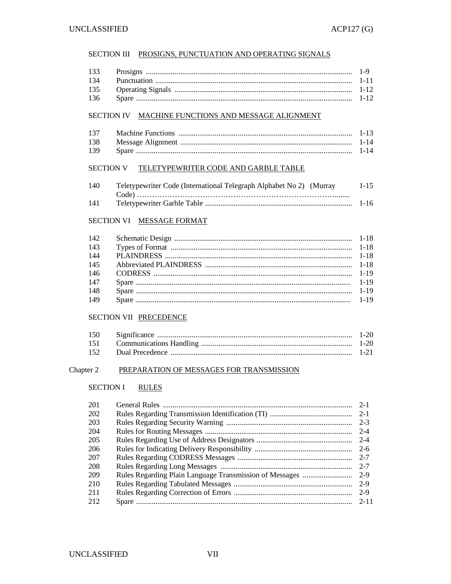#### SECTION III PROSIGNS, PUNCTUATION AND OPERATING SIGNALS

| 133 | $\frac{1}{2}$ $\frac{1}{2}$ $\frac{1}{2}$ $\frac{1}{2}$ $\frac{1}{2}$ $\frac{1}{2}$ $\frac{1}{2}$ $\frac{1}{2}$ $\frac{1}{2}$ $\frac{1}{2}$ $\frac{1}{2}$ $\frac{1}{2}$ $\frac{1}{2}$ $\frac{1}{2}$ $\frac{1}{2}$ $\frac{1}{2}$ $\frac{1}{2}$ $\frac{1}{2}$ $\frac{1}{2}$ $\frac{1}{2}$ $\frac{1}{2}$ $\frac{1}{2}$ |  |
|-----|---------------------------------------------------------------------------------------------------------------------------------------------------------------------------------------------------------------------------------------------------------------------------------------------------------------------|--|
| 134 |                                                                                                                                                                                                                                                                                                                     |  |
| --- |                                                                                                                                                                                                                                                                                                                     |  |

#### 135 136

#### SECTION IV MACHINE FUNCTIONS AND MESSAGE ALIGNMENT

| 137 |  |
|-----|--|
| 138 |  |
| 139 |  |

#### SECTION V TELETYPEWRITER CODE AND GARBLE TABLE

| 140 | Teletypewriter Code (International Telegraph Alphabet No 2) (Murray | $1 - 15$ |
|-----|---------------------------------------------------------------------|----------|
|     |                                                                     |          |
| 141 |                                                                     | $1 - 16$ |

#### SECTION VI MESSAGE FORMAT

| 142 |  |
|-----|--|
| 143 |  |
| 144 |  |
| 145 |  |
| 146 |  |
| 147 |  |
| 148 |  |
| 149 |  |

#### SECTION VII PRECEDENCE

| 150 |  |
|-----|--|
|     |  |
| 152 |  |

#### Chapter 2 PREPARATION OF MESSAGES FOR TRANSMISSION

### SECTION I RULES

| 201 |                                                         | $2 - 1$ |
|-----|---------------------------------------------------------|---------|
| 202 |                                                         |         |
| 203 |                                                         |         |
| 204 |                                                         | $2 - 4$ |
| 205 |                                                         |         |
| 206 |                                                         |         |
| 207 |                                                         |         |
| 208 |                                                         | $2 - 7$ |
| 209 | Rules Regarding Plain Language Transmission of Messages | $2-9$   |
| 210 |                                                         |         |
| 211 |                                                         |         |
| 212 |                                                         |         |
|     |                                                         |         |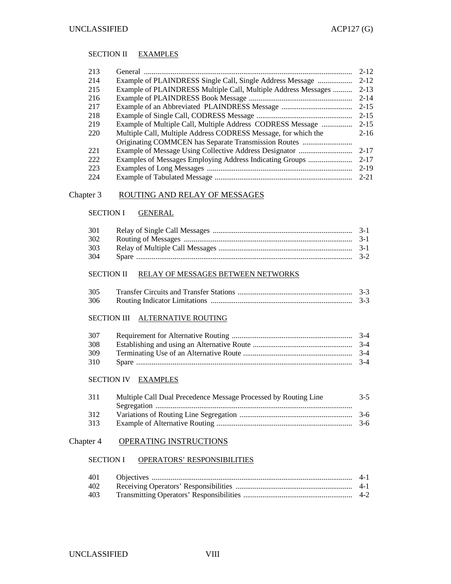#### SECTION II EXAMPLES

| 213  |                                                                | $2 - 12$ |
|------|----------------------------------------------------------------|----------|
| 214  | Example of PLAINDRESS Single Call, Single Address Message      | $2 - 12$ |
| 215  | Example of PLAINDRESS Multiple Call, Multiple Address Messages | $2 - 13$ |
| 216  |                                                                | $2 - 14$ |
| 217  |                                                                | $2 - 15$ |
| 218  |                                                                | $2 - 15$ |
| 219  | Example of Multiple Call, Multiple Address CODRESS Message     | $2 - 15$ |
| 220  | Multiple Call, Multiple Address CODRESS Message, for which the | $2 - 16$ |
|      | Originating COMMCEN has Separate Transmission Routes           |          |
| 22.1 |                                                                | $2 - 17$ |
| 222  | Examples of Messages Employing Address Indicating Groups       | $2 - 17$ |
| 223  |                                                                | $2 - 19$ |
| 224  |                                                                | $2 - 21$ |
|      |                                                                |          |

#### Chapter 3 ROUTING AND RELAY OF MESSAGES

#### SECTION I **GENERAL**

| 301 |  |
|-----|--|
| 302 |  |
| 303 |  |
| 304 |  |

#### SECTION II RELAY OF MESSAGES BETWEEN NETWORKS

| 305 | $-3-3$ |
|-----|--------|
| 306 | $3-3$  |

#### SECTION III ALTERNATIVE ROUTING

| 307 |  |
|-----|--|
| 308 |  |
| 309 |  |
| 310 |  |

#### SECTION IV EXAMPLES

| 311 | Multiple Call Dual Precedence Message Processed by Routing Line | $3 - 5$ |
|-----|-----------------------------------------------------------------|---------|
|     |                                                                 |         |
| 312 |                                                                 |         |
| 313 |                                                                 |         |

#### Chapter 4 OPERATING INSTRUCTIONS

## SECTION I OPERATORS' RESPONSIBILITIES

| 401 |  |
|-----|--|
| 402 |  |
| 403 |  |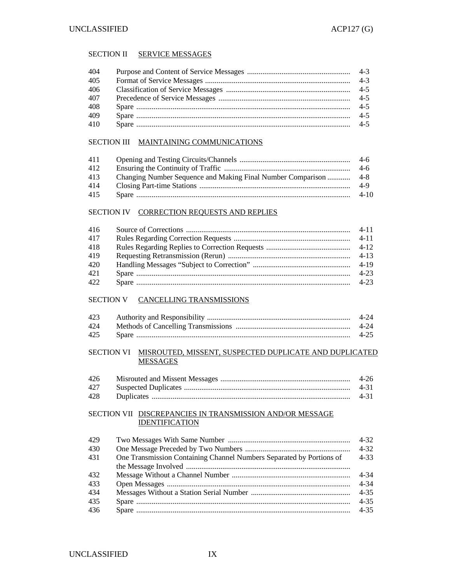#### SECTION II SERVICE MESSAGES

| 404 |  |
|-----|--|
| 405 |  |
| 406 |  |
| 407 |  |
| 408 |  |
| 409 |  |
| 410 |  |
|     |  |

#### SECTION III MAINTAINING COMMUNICATIONS

| 411 |        |
|-----|--------|
| 412 |        |
| 413 |        |
| 414 | -4-9   |
| 415 | $4-10$ |

#### SECTION IV CORRECTION REQUESTS AND REPLIES

| 416 |          |
|-----|----------|
| 417 |          |
| 418 |          |
| 419 |          |
| 420 |          |
| 421 | $4 - 23$ |
| 422 |          |

#### SECTION V CANCELLING TRANSMISSIONS

| 423 |      |
|-----|------|
| 424 |      |
| 425 | 4-25 |

#### SECTION VI MISROUTED, MISSENT, SUSPECTED DUPLICATE AND DUPLICATED **MESSAGES**

| 426 |      |
|-----|------|
|     | 4-31 |
| 428 | 4-31 |

#### SECTION VII DISCREPANCIES IN TRANSMISSION AND/OR MESSAGE IDENTIFICATION

| 429 |                                                                      | 4-32     |
|-----|----------------------------------------------------------------------|----------|
| 430 |                                                                      | $4 - 32$ |
| 431 | One Transmission Containing Channel Numbers Separated by Portions of | $4 - 33$ |
|     |                                                                      |          |
| 432 |                                                                      | 4-34     |
| 433 |                                                                      | $4 - 34$ |
| 434 |                                                                      | $4 - 35$ |
| 435 |                                                                      | $4 - 35$ |
| 436 |                                                                      | $4 - 35$ |
|     |                                                                      |          |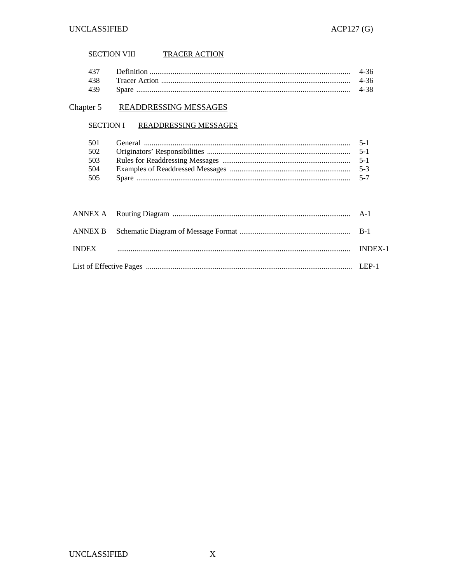## SECTION VIII TRACER ACTION

| 437 | -4-36 |
|-----|-------|
|     |       |
| 439 |       |

## Chapter 5 READDRESSING MESSAGES

#### SECTION I READDRESSING MESSAGES

| 501 |  |
|-----|--|
| 502 |  |
| 503 |  |
| 504 |  |
| 505 |  |

|  |  | <b>INDEX-1</b> |  |  |  |  |
|--|--|----------------|--|--|--|--|
|  |  |                |  |  |  |  |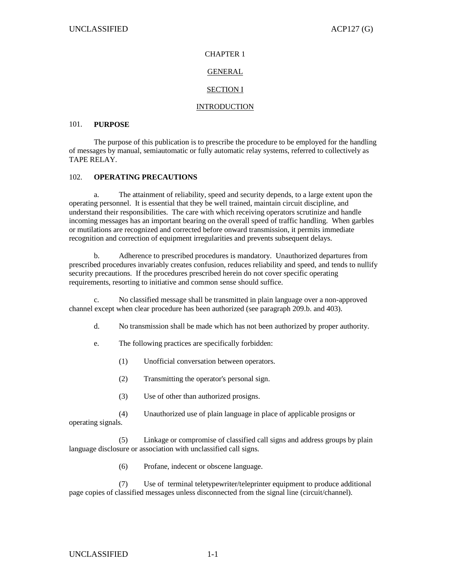## CHAPTER 1

## GENERAL

## SECTION I

### INTRODUCTION

#### 101. **PURPOSE**

The purpose of this publication is to prescribe the procedure to be employed for the handling of messages by manual, semiautomatic or fully automatic relay systems, referred to collectively as TAPE RELAY.

### 102. **OPERATING PRECAUTIONS**

 a. The attainment of reliability, speed and security depends, to a large extent upon the operating personnel. It is essential that they be well trained, maintain circuit discipline, and understand their responsibilities. The care with which receiving operators scrutinize and handle incoming messages has an important bearing on the overall speed of traffic handling. When garbles or mutilations are recognized and corrected before onward transmission, it permits immediate recognition and correction of equipment irregularities and prevents subsequent delays.

 b. Adherence to prescribed procedures is mandatory. Unauthorized departures from prescribed procedures invariably creates confusion, reduces reliability and speed, and tends to nullify security precautions. If the procedures prescribed herein do not cover specific operating requirements, resorting to initiative and common sense should suffice.

 c. No classified message shall be transmitted in plain language over a non-approved channel except when clear procedure has been authorized (see paragraph 209.b. and 403).

d. No transmission shall be made which has not been authorized by proper authority.

e. The following practices are specifically forbidden:

(1) Unofficial conversation between operators.

(2) Transmitting the operator's personal sign.

(3) Use of other than authorized prosigns.

(4) Unauthorized use of plain language in place of applicable prosigns or operating signals.

 (5) Linkage or compromise of classified call signs and address groups by plain language disclosure or association with unclassified call signs.

(6) Profane, indecent or obscene language.

 (7) Use of terminal teletypewriter/teleprinter equipment to produce additional page copies of classified messages unless disconnected from the signal line (circuit/channel).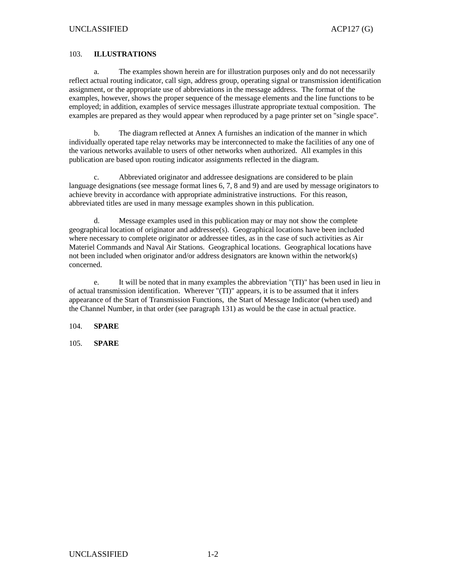#### 103. **ILLUSTRATIONS**

 a. The examples shown herein are for illustration purposes only and do not necessarily reflect actual routing indicator, call sign, address group, operating signal or transmission identification assignment, or the appropriate use of abbreviations in the message address. The format of the examples, however, shows the proper sequence of the message elements and the line functions to be employed; in addition, examples of service messages illustrate appropriate textual composition. The examples are prepared as they would appear when reproduced by a page printer set on "single space".

 b. The diagram reflected at Annex A furnishes an indication of the manner in which individually operated tape relay networks may be interconnected to make the facilities of any one of the various networks available to users of other networks when authorized. All examples in this publication are based upon routing indicator assignments reflected in the diagram.

 c. Abbreviated originator and addressee designations are considered to be plain language designations (see message format lines 6, 7, 8 and 9) and are used by message originators to achieve brevity in accordance with appropriate administrative instructions. For this reason, abbreviated titles are used in many message examples shown in this publication.

 d. Message examples used in this publication may or may not show the complete geographical location of originator and addressee(s). Geographical locations have been included where necessary to complete originator or addressee titles, as in the case of such activities as Air Materiel Commands and Naval Air Stations. Geographical locations. Geographical locations have not been included when originator and/or address designators are known within the network(s) concerned.

 e. It will be noted that in many examples the abbreviation "(TI)" has been used in lieu in of actual transmission identification. Wherever "(TI)" appears, it is to be assumed that it infers appearance of the Start of Transmission Functions, the Start of Message Indicator (when used) and the Channel Number, in that order (see paragraph 131) as would be the case in actual practice.

104. **SPARE** 

105. **SPARE**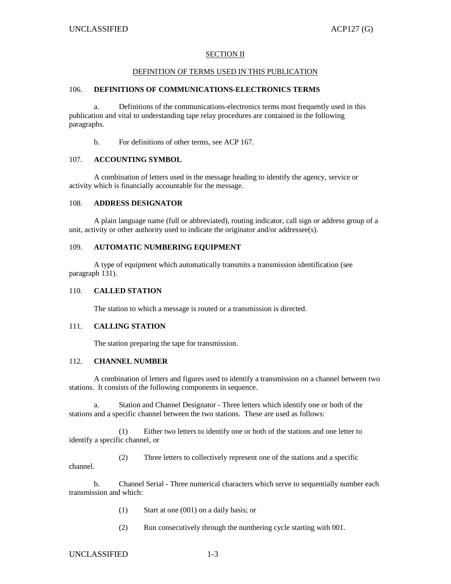#### SECTION II

#### DEFINITION OF TERMS USED IN THIS PUBLICATION

#### 106. **DEFINITIONS OF COMMUNICATIONS-ELECTRONICS TERMS**

 a. Definitions of the communications-electronics terms most frequently used in this publication and vital to understanding tape relay procedures are contained in the following paragraphs.

b. For definitions of other terms, see ACP 167.

#### 107. **ACCOUNTING SYMBOL**

 A combination of letters used in the message heading to identify the agency, service or activity which is financially accountable for the message.

#### 108. **ADDRESS DESIGNATOR**

 A plain language name (full or abbreviated), routing indicator, call sign or address group of a unit, activity or other authority used to indicate the originator and/or addressee(s).

#### 109. **AUTOMATIC NUMBERING EQUIPMENT**

 A type of equipment which automatically transmits a transmission identification (see paragraph 131).

#### 110. **CALLED STATION**

The station to which a message is routed or a transmission is directed.

#### 111. **CALLING STATION**

The station preparing the tape for transmission.

#### 112. **CHANNEL NUMBER**

 A combination of letters and figures used to identify a transmission on a channel between two stations. It consists of the following components in sequence.

 a. Station and Channel Designator - Three letters which identify one or both of the stations and a specific channel between the two stations. These are used as follows:

 (1) Either two letters to identify one or both of the stations and one letter to identify a specific channel, or

 (2) Three letters to collectively represent one of the stations and a specific channel.

 b. Channel Serial - Three numerical characters which serve to sequentially number each transmission and which:

- (1) Start at one (001) on a daily basis; or
- (2) Run consecutively through the numbering cycle starting with 001.

#### UNCLASSIFIED 1-3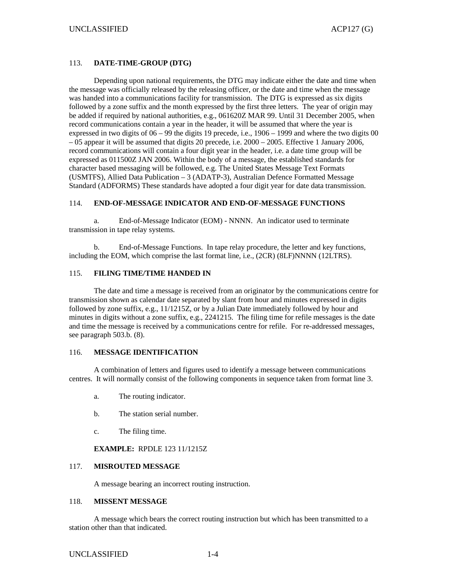#### 113. **DATE-TIME-GROUP (DTG)**

 Depending upon national requirements, the DTG may indicate either the date and time when the message was officially released by the releasing officer, or the date and time when the message was handed into a communications facility for transmission. The DTG is expressed as six digits followed by a zone suffix and the month expressed by the first three letters. The year of origin may be added if required by national authorities, e.g., 061620Z MAR 99. Until 31 December 2005, when record communications contain a year in the header, it will be assumed that where the year is expressed in two digits of 06 – 99 the digits 19 precede, i.e., 1906 – 1999 and where the two digits 00 – 05 appear it will be assumed that digits 20 precede, i.e. 2000 – 2005. Effective 1 January 2006, record communications will contain a four digit year in the header, i.e. a date time group will be expressed as 011500Z JAN 2006. Within the body of a message, the established standards for character based messaging will be followed, e.g. The United States Message Text Formats (USMTFS), Allied Data Publication – 3 (ADATP-3), Australian Defence Formatted Message Standard (ADFORMS) These standards have adopted a four digit year for date data transmission.

#### 114. **END-OF-MESSAGE INDICATOR AND END-OF-MESSAGE FUNCTIONS**

 a. End-of-Message Indicator (EOM) - NNNN. An indicator used to terminate transmission in tape relay systems.

 b. End-of-Message Functions. In tape relay procedure, the letter and key functions, including the EOM, which comprise the last format line, i.e., (2CR) (8LF)NNNN (12LTRS).

#### 115. **FILING TIME/TIME HANDED IN**

The date and time a message is received from an originator by the communications centre for transmission shown as calendar date separated by slant from hour and minutes expressed in digits followed by zone suffix, e.g., 11/1215Z, or by a Julian Date immediately followed by hour and minutes in digits without a zone suffix, e.g., 2241215. The filing time for refile messages is the date and time the message is received by a communications centre for refile. For re-addressed messages, see paragraph 503.b. (8).

#### 116. **MESSAGE IDENTIFICATION**

 A combination of letters and figures used to identify a message between communications centres. It will normally consist of the following components in sequence taken from format line 3.

- a. The routing indicator.
- b. The station serial number.
- c. The filing time.

#### **EXAMPLE:** RPDLE 123 11/1215Z

#### 117. **MISROUTED MESSAGE**

A message bearing an incorrect routing instruction.

#### 118. **MISSENT MESSAGE**

 A message which bears the correct routing instruction but which has been transmitted to a station other than that indicated.

#### UNCLASSIFIED 1-4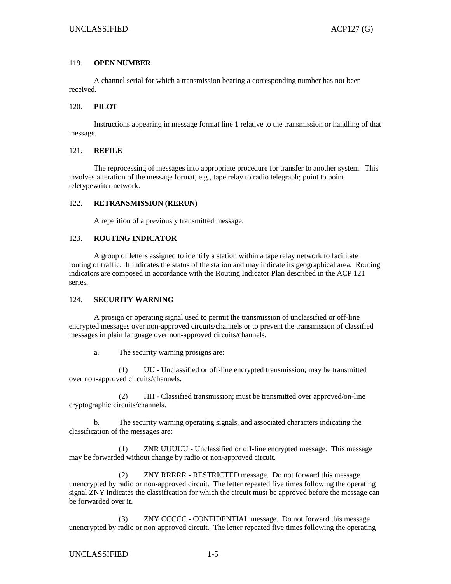#### 119. **OPEN NUMBER**

 A channel serial for which a transmission bearing a corresponding number has not been received.

#### 120. **PILOT**

 Instructions appearing in message format line 1 relative to the transmission or handling of that message.

#### 121. **REFILE**

 The reprocessing of messages into appropriate procedure for transfer to another system. This involves alteration of the message format, e.g., tape relay to radio telegraph; point to point teletypewriter network.

#### 122. **RETRANSMISSION (RERUN)**

A repetition of a previously transmitted message.

#### 123. **ROUTING INDICATOR**

 A group of letters assigned to identify a station within a tape relay network to facilitate routing of traffic. It indicates the status of the station and may indicate its geographical area. Routing indicators are composed in accordance with the Routing Indicator Plan described in the ACP 121 series.

#### 124. **SECURITY WARNING**

 A prosign or operating signal used to permit the transmission of unclassified or off-line encrypted messages over non-approved circuits/channels or to prevent the transmission of classified messages in plain language over non-approved circuits/channels.

a. The security warning prosigns are:

 (1) UU - Unclassified or off-line encrypted transmission; may be transmitted over non-approved circuits/channels.

 (2) HH - Classified transmission; must be transmitted over approved/on-line cryptographic circuits/channels.

 b. The security warning operating signals, and associated characters indicating the classification of the messages are:

 (1) ZNR UUUUU - Unclassified or off-line encrypted message. This message may be forwarded without change by radio or non-approved circuit.

 (2) ZNY RRRRR - RESTRICTED message. Do not forward this message unencrypted by radio or non-approved circuit. The letter repeated five times following the operating signal ZNY indicates the classification for which the circuit must be approved before the message can be forwarded over it.

 (3) ZNY CCCCC - CONFIDENTIAL message. Do not forward this message unencrypted by radio or non-approved circuit. The letter repeated five times following the operating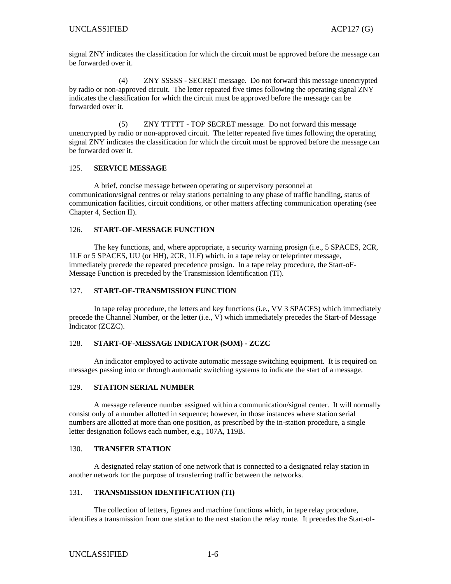signal ZNY indicates the classification for which the circuit must be approved before the message can be forwarded over it.

 (4) ZNY SSSSS - SECRET message. Do not forward this message unencrypted by radio or non-approved circuit. The letter repeated five times following the operating signal ZNY indicates the classification for which the circuit must be approved before the message can be forwarded over it.

 (5) ZNY TTTTT - TOP SECRET message. Do not forward this message unencrypted by radio or non-approved circuit. The letter repeated five times following the operating signal ZNY indicates the classification for which the circuit must be approved before the message can be forwarded over it.

#### 125. **SERVICE MESSAGE**

 A brief, concise message between operating or supervisory personnel at communication/signal centres or relay stations pertaining to any phase of traffic handling, status of communication facilities, circuit conditions, or other matters affecting communication operating (see Chapter 4, Section II).

#### 126. **START-OF-MESSAGE FUNCTION**

The key functions, and, where appropriate, a security warning prosign (i.e., 5 SPACES, 2CR, 1LF or 5 SPACES, UU (or HH), 2CR, 1LF) which, in a tape relay or teleprinter message, immediately precede the repeated precedence prosign. In a tape relay procedure, the Start-oF-Message Function is preceded by the Transmission Identification (TI).

#### 127. **START-OF-TRANSMISSION FUNCTION**

 In tape relay procedure, the letters and key functions (i.e., VV 3 SPACES) which immediately precede the Channel Number, or the letter (i.e., V) which immediately precedes the Start-of Message Indicator (ZCZC).

#### 128. **START-OF-MESSAGE INDICATOR (SOM) - ZCZC**

An indicator employed to activate automatic message switching equipment. It is required on messages passing into or through automatic switching systems to indicate the start of a message.

#### 129. **STATION SERIAL NUMBER**

A message reference number assigned within a communication/signal center. It will normally consist only of a number allotted in sequence; however, in those instances where station serial numbers are allotted at more than one position, as prescribed by the in-station procedure, a single letter designation follows each number, e.g., 107A, 119B.

#### 130. **TRANSFER STATION**

A designated relay station of one network that is connected to a designated relay station in another network for the purpose of transferring traffic between the networks.

### 131. **TRANSMISSION IDENTIFICATION (TI)**

The collection of letters, figures and machine functions which, in tape relay procedure, identifies a transmission from one station to the next station the relay route. It precedes the Start-of-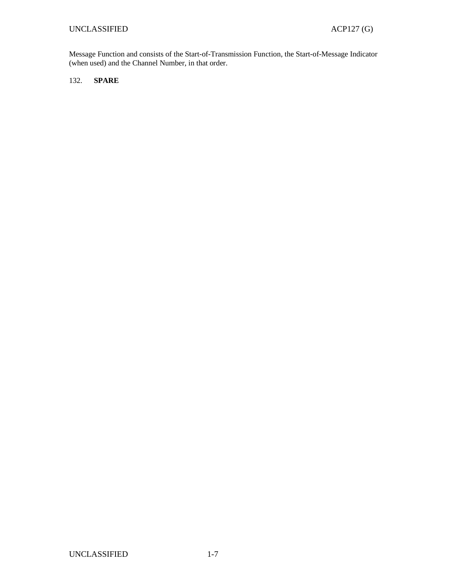Message Function and consists of the Start-of-Transmission Function, the Start-of-Message Indicator (when used) and the Channel Number, in that order.

#### 132. **SPARE**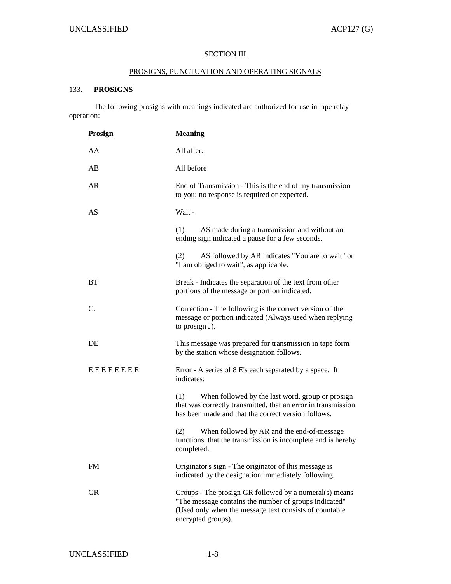## **SECTION III**

## PROSIGNS, PUNCTUATION AND OPERATING SIGNALS

#### 133. **PROSIGNS**

The following prosigns with meanings indicated are authorized for use in tape relay operation:

| <b>Prosign</b>  | <b>Meaning</b>                                                                                                                                                                                  |  |  |  |  |  |  |
|-----------------|-------------------------------------------------------------------------------------------------------------------------------------------------------------------------------------------------|--|--|--|--|--|--|
| AA              | All after.                                                                                                                                                                                      |  |  |  |  |  |  |
| AB              | All before                                                                                                                                                                                      |  |  |  |  |  |  |
| AR              | End of Transmission - This is the end of my transmission<br>to you; no response is required or expected.                                                                                        |  |  |  |  |  |  |
| AS              | Wait -                                                                                                                                                                                          |  |  |  |  |  |  |
|                 | (1)<br>AS made during a transmission and without an<br>ending sign indicated a pause for a few seconds.                                                                                         |  |  |  |  |  |  |
|                 | (2)<br>AS followed by AR indicates "You are to wait" or<br>"I am obliged to wait", as applicable.                                                                                               |  |  |  |  |  |  |
| <b>BT</b>       | Break - Indicates the separation of the text from other<br>portions of the message or portion indicated.                                                                                        |  |  |  |  |  |  |
| C.              | Correction - The following is the correct version of the<br>message or portion indicated (Always used when replying<br>to prosign J).                                                           |  |  |  |  |  |  |
| DE              | This message was prepared for transmission in tape form<br>by the station whose designation follows.                                                                                            |  |  |  |  |  |  |
| <b>EEEEEEEE</b> | Error - A series of 8 E's each separated by a space. It<br>indicates:                                                                                                                           |  |  |  |  |  |  |
|                 | When followed by the last word, group or prosign<br>(1)<br>that was correctly transmitted, that an error in transmission<br>has been made and that the correct version follows.                 |  |  |  |  |  |  |
|                 | (2)<br>When followed by AR and the end-of-message<br>functions, that the transmission is incomplete and is hereby<br>completed.                                                                 |  |  |  |  |  |  |
| FM              | Originator's sign - The originator of this message is<br>indicated by the designation immediately following.                                                                                    |  |  |  |  |  |  |
| GR              | Groups - The prosign GR followed by a numeral(s) means<br>"The message contains the number of groups indicated"<br>(Used only when the message text consists of countable<br>encrypted groups). |  |  |  |  |  |  |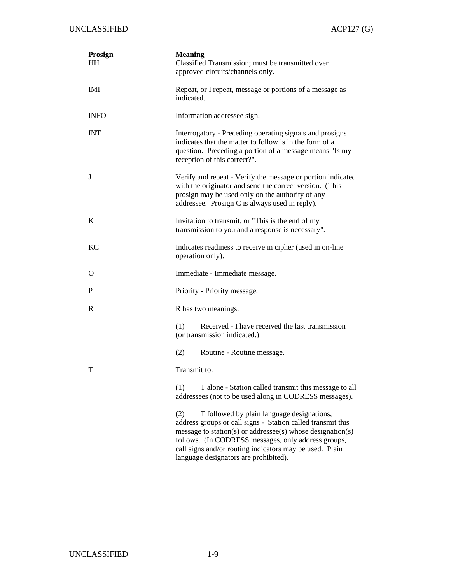| <b>Prosign</b><br>HН | <b>Meaning</b><br>Classified Transmission; must be transmitted over<br>approved circuits/channels only.                                                                                                                                                                                                                                   |  |  |  |  |  |  |
|----------------------|-------------------------------------------------------------------------------------------------------------------------------------------------------------------------------------------------------------------------------------------------------------------------------------------------------------------------------------------|--|--|--|--|--|--|
| IMI                  | Repeat, or I repeat, message or portions of a message as<br>indicated.                                                                                                                                                                                                                                                                    |  |  |  |  |  |  |
| <b>INFO</b>          | Information addressee sign.                                                                                                                                                                                                                                                                                                               |  |  |  |  |  |  |
| <b>INT</b>           | Interrogatory - Preceding operating signals and prosigns<br>indicates that the matter to follow is in the form of a<br>question. Preceding a portion of a message means "Is my<br>reception of this correct?".                                                                                                                            |  |  |  |  |  |  |
| J                    | Verify and repeat - Verify the message or portion indicated<br>with the originator and send the correct version. (This<br>prosign may be used only on the authority of any<br>addressee. Prosign C is always used in reply).                                                                                                              |  |  |  |  |  |  |
| K                    | Invitation to transmit, or "This is the end of my<br>transmission to you and a response is necessary".                                                                                                                                                                                                                                    |  |  |  |  |  |  |
| <b>KC</b>            | Indicates readiness to receive in cipher (used in on-line<br>operation only).                                                                                                                                                                                                                                                             |  |  |  |  |  |  |
| O                    | Immediate - Immediate message.                                                                                                                                                                                                                                                                                                            |  |  |  |  |  |  |
| P                    | Priority - Priority message.                                                                                                                                                                                                                                                                                                              |  |  |  |  |  |  |
| R                    | R has two meanings:                                                                                                                                                                                                                                                                                                                       |  |  |  |  |  |  |
|                      | (1)<br>Received - I have received the last transmission<br>(or transmission indicated.)                                                                                                                                                                                                                                                   |  |  |  |  |  |  |
|                      | (2)<br>Routine - Routine message.                                                                                                                                                                                                                                                                                                         |  |  |  |  |  |  |
| т                    | Transmit to:                                                                                                                                                                                                                                                                                                                              |  |  |  |  |  |  |
|                      | (1)<br>T alone - Station called transmit this message to all<br>addressees (not to be used along in CODRESS messages).                                                                                                                                                                                                                    |  |  |  |  |  |  |
|                      | (2)<br>T followed by plain language designations,<br>address groups or call signs - Station called transmit this<br>message to station(s) or addressee(s) whose designation(s)<br>follows. (In CODRESS messages, only address groups,<br>call signs and/or routing indicators may be used. Plain<br>language designators are prohibited). |  |  |  |  |  |  |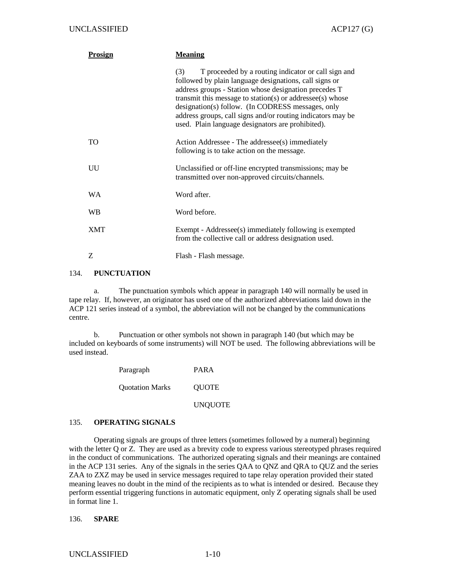| Prosign    | <b>Meaning</b>                                                                                                                                                                                                                                                                                                                                                                                                      |
|------------|---------------------------------------------------------------------------------------------------------------------------------------------------------------------------------------------------------------------------------------------------------------------------------------------------------------------------------------------------------------------------------------------------------------------|
|            | T proceeded by a routing indicator or call sign and<br>(3)<br>followed by plain language designations, call signs or<br>address groups - Station whose designation precedes T<br>transmit this message to station(s) or addressee(s) whose<br>designation(s) follow. (In CODRESS messages, only<br>address groups, call signs and/or routing indicators may be<br>used. Plain language designators are prohibited). |
| TO         | Action Addressee - The addressee(s) immediately<br>following is to take action on the message.                                                                                                                                                                                                                                                                                                                      |
| UU         | Unclassified or off-line encrypted transmissions; may be<br>transmitted over non-approved circuits/channels.                                                                                                                                                                                                                                                                                                        |
| WA         | Word after.                                                                                                                                                                                                                                                                                                                                                                                                         |
| <b>WB</b>  | Word before.                                                                                                                                                                                                                                                                                                                                                                                                        |
| <b>XMT</b> | Exempt - Addressee(s) immediately following is exempted<br>from the collective call or address designation used.                                                                                                                                                                                                                                                                                                    |
| Z          | Flash - Flash message.                                                                                                                                                                                                                                                                                                                                                                                              |

#### 134. **PUNCTUATION**

 a. The punctuation symbols which appear in paragraph 140 will normally be used in tape relay. If, however, an originator has used one of the authorized abbreviations laid down in the ACP 121 series instead of a symbol, the abbreviation will not be changed by the communications centre.

 b. Punctuation or other symbols not shown in paragraph 140 (but which may be included on keyboards of some instruments) will NOT be used. The following abbreviations will be used instead.

| Paragraph              | <b>PARA</b>    |
|------------------------|----------------|
| <b>Ouotation Marks</b> | <b>OUOTE</b>   |
|                        | <b>UNQUOTE</b> |

#### 135. **OPERATING SIGNALS**

 Operating signals are groups of three letters (sometimes followed by a numeral) beginning with the letter Q or Z. They are used as a brevity code to express various stereotyped phrases required in the conduct of communications. The authorized operating signals and their meanings are contained in the ACP 131 series. Any of the signals in the series QAA to QNZ and QRA to QUZ and the series ZAA to ZXZ may be used in service messages required to tape relay operation provided their stated meaning leaves no doubt in the mind of the recipients as to what is intended or desired. Because they perform essential triggering functions in automatic equipment, only Z operating signals shall be used in format line 1.

#### 136. **SPARE**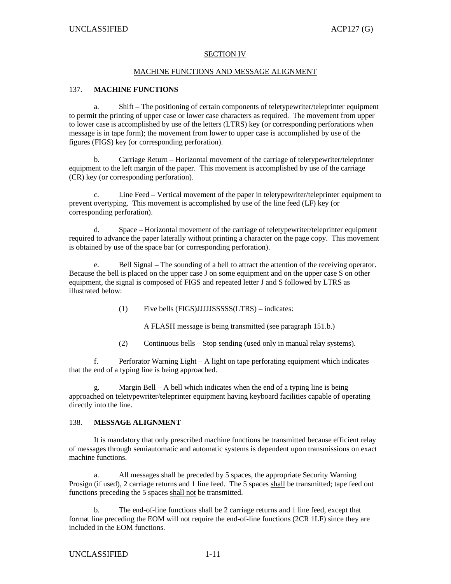#### SECTION IV

#### MACHINE FUNCTIONS AND MESSAGE ALIGNMENT

#### 137. **MACHINE FUNCTIONS**

Shift – The positioning of certain components of teletypewriter/teleprinter equipment to permit the printing of upper case or lower case characters as required. The movement from upper to lower case is accomplished by use of the letters (LTRS) key (or corresponding perforations when message is in tape form); the movement from lower to upper case is accomplished by use of the figures (FIGS) key (or corresponding perforation).

 b. Carriage Return – Horizontal movement of the carriage of teletypewriter/teleprinter equipment to the left margin of the paper. This movement is accomplished by use of the carriage (CR) key (or corresponding perforation).

 c. Line Feed – Vertical movement of the paper in teletypewriter/teleprinter equipment to prevent overtyping. This movement is accomplished by use of the line feed (LF) key (or corresponding perforation).

 d. Space – Horizontal movement of the carriage of teletypewriter/teleprinter equipment required to advance the paper laterally without printing a character on the page copy. This movement is obtained by use of the space bar (or corresponding perforation).

 e. Bell Signal – The sounding of a bell to attract the attention of the receiving operator. Because the bell is placed on the upper case J on some equipment and on the upper case S on other equipment, the signal is composed of FIGS and repeated letter J and S followed by LTRS as illustrated below:

(1) Five bells (FIGS)JJJJJSSSSS(LTRS) – indicates:

A FLASH message is being transmitted (see paragraph 151.b.)

(2) Continuous bells – Stop sending (used only in manual relay systems).

 f. Perforator Warning Light – A light on tape perforating equipment which indicates that the end of a typing line is being approached.

g. Margin Bell – A bell which indicates when the end of a typing line is being approached on teletypewriter/teleprinter equipment having keyboard facilities capable of operating directly into the line.

#### 138. **MESSAGE ALIGNMENT**

 It is mandatory that only prescribed machine functions be transmitted because efficient relay of messages through semiautomatic and automatic systems is dependent upon transmissions on exact machine functions.

 a. All messages shall be preceded by 5 spaces, the appropriate Security Warning Prosign (if used), 2 carriage returns and 1 line feed. The 5 spaces shall be transmitted; tape feed out functions preceding the 5 spaces shall not be transmitted.

 b. The end-of-line functions shall be 2 carriage returns and 1 line feed, except that format line preceding the EOM will not require the end-of-line functions (2CR 1LF) since they are included in the EOM functions.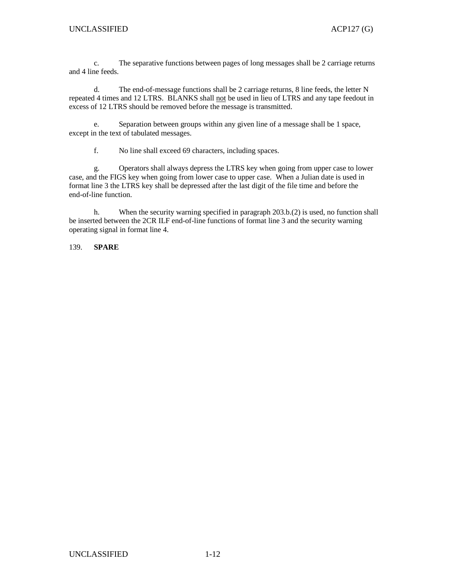c. The separative functions between pages of long messages shall be 2 carriage returns and 4 line feeds.

 d. The end-of-message functions shall be 2 carriage returns, 8 line feeds, the letter N repeated 4 times and 12 LTRS. BLANKS shall not be used in lieu of LTRS and any tape feedout in excess of 12 LTRS should be removed before the message is transmitted.

 e. Separation between groups within any given line of a message shall be 1 space, except in the text of tabulated messages.

f. No line shall exceed 69 characters, including spaces.

 g. Operators shall always depress the LTRS key when going from upper case to lower case, and the FIGS key when going from lower case to upper case. When a Julian date is used in format line 3 the LTRS key shall be depressed after the last digit of the file time and before the end-of-line function.

 h. When the security warning specified in paragraph 203.b.(2) is used, no function shall be inserted between the 2CR ILF end-of-line functions of format line 3 and the security warning operating signal in format line 4.

139. **SPARE**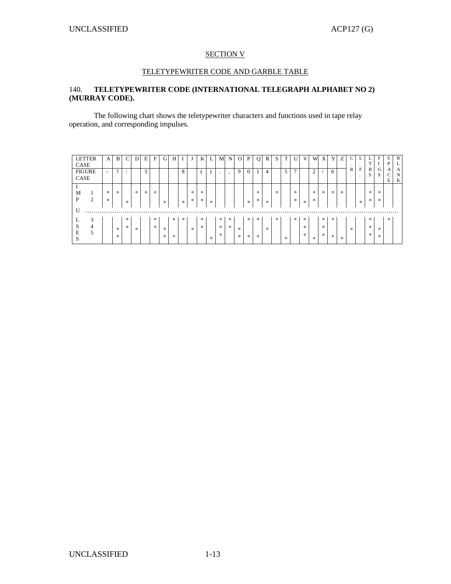#### SECTION V

#### TELETYPEWRITER CODE AND GARBLE TABLE

## 140. **TELETYPEWRITER CODE (INTERNATIONAL TELEGRAPH ALPHABET NO 2) (MURRAY CODE).**

 The following chart shows the teletypewriter characters and functions used in tape relay operation, and corresponding impulses.

| <b>LETTER</b>       | A       | B        | $\mathcal{C}$          |         | E       | F       | G       | Н       |         |         | K       | L.      | M       | N       | $\Omega$ | P            | Q       | R       | S.      |         |              |         | W             | X       | Y       | Z       | C       | ⊷       | ⊷            | F           | S       | B |
|---------------------|---------|----------|------------------------|---------|---------|---------|---------|---------|---------|---------|---------|---------|---------|---------|----------|--------------|---------|---------|---------|---------|--------------|---------|---------------|---------|---------|---------|---------|---------|--------------|-------------|---------|---|
| CASE                |         |          |                        |         |         |         |         |         |         |         |         |         |         |         |          |              |         |         |         |         |              |         |               |         |         |         | $\cdot$ | $\cdot$ | T            | $\mathbf I$ | P       | L |
| <b>FIGURE</b>       | $\sim$  | $\gamma$ | $\bullet$<br>$\bullet$ |         | 3       |         |         |         | 8       |         |         |         | $\cdot$ |         | 9        | $\mathbf{0}$ |         | 4       |         | 5       | $\mathbf{r}$ |         | $\mathcal{L}$ |         | 6       |         | R       | F       | $\mathbb{R}$ | G           | A       | A |
| CASE                |         |          |                        |         |         |         |         |         |         |         |         |         |         | $\cdot$ |          |              |         |         |         |         |              |         |               |         |         |         |         | $\sim$  | S            | S           | U       | N |
|                     |         |          |                        |         |         |         |         |         |         |         |         |         |         |         |          |              |         |         |         |         |              |         |               |         |         |         |         |         |              |             | E       | K |
|                     |         |          |                        |         |         |         |         |         |         |         |         |         |         |         |          |              |         |         |         |         |              |         |               |         |         |         |         |         |              |             |         |   |
| M<br>1              | $\circ$ | $\circ$  |                        | $\circ$ | $\circ$ | $\circ$ |         |         |         | $\circ$ | $\circ$ |         |         |         |          |              | $\circ$ |         | $\circ$ |         | $\circ$      |         | $\circ$       | $\circ$ | $\circ$ | $\circ$ |         |         | $\circ$      | $\circ$     |         |   |
| 2<br>P              | $\circ$ |          |                        |         |         |         |         |         |         | $\circ$ | $\circ$ |         |         |         |          |              | $\circ$ |         |         |         | $\circ$      |         | $\circ$       |         |         |         |         |         | $\circ$      | $\circ$     |         |   |
|                     |         |          | $\circ$                |         |         |         | $\circ$ |         | $\circ$ |         |         | $\circ$ |         |         |          | $\circ$      |         | $\circ$ |         |         |              | $\circ$ |               |         |         |         |         | $\circ$ |              |             |         |   |
| U<br>$\cdot$ .      |         |          |                        |         |         |         |         |         |         |         |         |         |         |         |          |              |         |         |         |         |              |         |               |         |         |         |         |         |              |             |         |   |
|                     |         |          |                        |         |         |         |         |         |         |         |         |         |         |         |          |              |         |         |         |         |              |         |               |         |         |         |         |         |              |             |         |   |
| 3                   |         |          | $\circ$                |         |         | $\circ$ |         | $\circ$ | $\circ$ |         | $\circ$ |         | $\circ$ | $\circ$ |          | $\circ$      | $\circ$ |         | $\circ$ |         | $\circ$      | $\circ$ |               | $\circ$ | $\circ$ |         |         |         | $\circ$      |             | $\circ$ |   |
| $\overline{4}$<br>S |         | $\circ$  | $\circ$                | $\circ$ |         | $\circ$ | $\circ$ |         |         | $\circ$ | $\circ$ |         | $\circ$ | $\circ$ | $\circ$  |              |         | $\circ$ |         |         |              | $\circ$ |               | $\circ$ |         |         | $\circ$ |         | $\circ$      | $\circ$     |         |   |
| 5<br>E              |         |          |                        |         |         |         |         |         |         |         |         |         |         |         |          |              |         |         |         |         |              |         |               |         |         |         |         |         |              |             |         |   |
| $\mathbf{C}$<br>ъ.  |         | $\circ$  |                        |         |         |         | $\circ$ | $\circ$ |         |         |         | $\circ$ | $\circ$ |         | $\circ$  | $\circ$      | $\circ$ |         |         | $\circ$ |              | $\circ$ | $\circ$       | $\circ$ | $\circ$ | $\circ$ |         |         | $\circ$      | $\circ$     |         |   |
|                     |         |          |                        |         |         |         |         |         |         |         |         |         |         |         |          |              |         |         |         |         |              |         |               |         |         |         |         |         |              |             |         |   |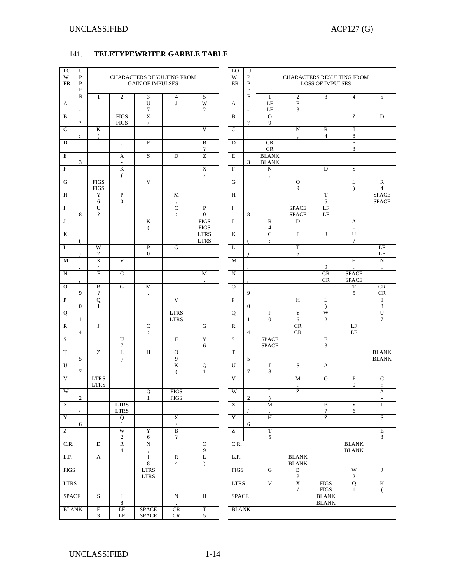## 141. **TELETYPEWRITER GARBLE TABLE**

| LO<br>W<br>$\rm ER$     | U<br>$\mathbf{P}$<br>P<br>E |                            |                                         | CHARACTERS RESULTING FROM<br><b>GAIN OF IMPULSES</b> |                                         |                                        | LO<br>W<br>ER           | U<br>$\mathbf{P}$<br>P<br>E | CHARACTERS RESULTING FROM<br><b>LOSS OF IMPULSES</b> |                              |                                |                                        |                                           |  |
|-------------------------|-----------------------------|----------------------------|-----------------------------------------|------------------------------------------------------|-----------------------------------------|----------------------------------------|-------------------------|-----------------------------|------------------------------------------------------|------------------------------|--------------------------------|----------------------------------------|-------------------------------------------|--|
|                         | $\mathbb{R}$                | 1                          | $\mathbf{2}$                            | 3                                                    | 4                                       | 5                                      |                         | $\mathbb{R}$                | 1                                                    | $\boldsymbol{2}$             | 3                              | $\overline{4}$                         | 5                                         |  |
| A                       | $\overline{\phantom{a}}$    |                            |                                         | $\overline{U}$<br>$\tau$                             | $\mathbf{J}$                            | W<br>$\sqrt{2}$                        | A                       | $\overline{\phantom{a}}$    | LF<br>LF                                             | E<br>3                       |                                |                                        |                                           |  |
| $\mathbf B$             | $\overline{\mathcal{L}}$    |                            | <b>FIGS</b><br><b>FIGS</b>              | $\overline{\text{X}}$<br>$\sqrt{2}$                  |                                         |                                        | B                       | $\overline{\mathcal{L}}$    | $\Omega$<br>9                                        |                              |                                | $\overline{z}$                         | D                                         |  |
| $\mathsf{C}$            |                             | K                          |                                         |                                                      |                                         | V                                      | $\mathbf C$             |                             |                                                      | ${\bf N}$                    | ${\bf R}$                      | $\mathbf I$                            |                                           |  |
| D                       | $\ddot{\phantom{a}}$        | (                          | J                                       | $\mathbf F$                                          |                                         | B                                      | D                       | $\ddot{\phantom{a}}$        | CR                                                   | $\cdot$                      | $\overline{4}$                 | 8<br>E                                 |                                           |  |
| E                       |                             |                            | A                                       | $\overline{s}$                                       | D                                       | $\overline{?}$<br>Z                    | E                       |                             | CR<br><b>BLANK</b>                                   |                              |                                | 3                                      |                                           |  |
| F                       | 3                           |                            | $\blacksquare$<br>K                     |                                                      |                                         | X                                      | $\mathbf{F}$            | $\overline{3}$              | <b>BLANK</b><br>$\overline{N}$                       |                              | D                              | S                                      |                                           |  |
| G                       |                             | <b>FIGS</b>                | $\epsilon$                              | V                                                    |                                         | $\prime$                               | G                       |                             |                                                      | $\mathcal{O}$                |                                | L                                      | ${\bf R}$                                 |  |
| H                       |                             | <b>FIGS</b><br>Y           | ${\bf P}$                               |                                                      | M                                       |                                        | H                       |                             |                                                      | 9                            | $\mathbf T$                    | $\lambda$                              | $\overline{4}$<br><b>SPACE</b>            |  |
|                         |                             | 6                          | $\boldsymbol{0}$                        |                                                      |                                         |                                        |                         |                             |                                                      |                              | 5                              |                                        | <b>SPACE</b>                              |  |
| I                       | 8                           | U<br>$\overline{?}$        |                                         |                                                      | $\overline{C}$<br>$\ddot{\phantom{a}}$  | $\mathbf{P}$<br>$\mathbf{0}$           | I                       | 8                           |                                                      | <b>SPACE</b><br><b>SPACE</b> | LF<br>LF                       |                                        |                                           |  |
| J                       |                             |                            |                                         | K<br>(                                               |                                         | <b>FIGS</b><br><b>FIGS</b>             | ${\bf J}$               |                             | $\mathbb{R}$<br>$\overline{4}$                       | D                            |                                | A<br>$\overline{\phantom{a}}$          |                                           |  |
| $\bf K$                 |                             |                            |                                         |                                                      |                                         | <b>LTRS</b><br><b>LTRS</b>             | K                       |                             | $\overline{C}$<br>$\ddot{\phantom{a}}$               | $\overline{F}$               | J                              | $\overline{U}$<br>$\overline{?}$       |                                           |  |
| L                       | $\lambda$                   | W<br>$\overline{c}$        |                                         | $\overline{P}$<br>$\boldsymbol{0}$                   | G                                       |                                        | L                       | $\lambda$                   |                                                      | $\overline{T}$<br>5          |                                |                                        | LF<br>$\rm LF$                            |  |
| M                       |                             | $\overline{X}$             | V                                       |                                                      |                                         |                                        | M                       |                             |                                                      |                              | 9                              | $\overline{H}$                         | $\overline{N}$<br>$\cdot$                 |  |
| ${\bf N}$               |                             | $\overline{F}$             | $\overline{C}$<br>$\ddot{\phantom{a}}$  |                                                      |                                         | $\mathbf M$                            | $\mathbf N$             |                             |                                                      |                              | CR<br>CR                       | <b>SPACE</b><br><b>SPACE</b>           |                                           |  |
| $\Omega$                | 9                           | B<br>$\gamma$              | G                                       | M                                                    |                                         |                                        | $\Omega$                | 9                           |                                                      |                              |                                | $\overline{T}$<br>5                    | CR<br>CR                                  |  |
| $\mathbf{P}$            | $\mathbf{0}$                | Q<br>$\mathbf{1}$          |                                         |                                                      | V                                       |                                        | $\overline{P}$          | $\boldsymbol{0}$            |                                                      | $H_{\rm}$                    | L<br>$\lambda$                 |                                        | $\mathbf I$<br>8                          |  |
| Q                       | $\mathbf{1}$                |                            |                                         |                                                      | <b>LTRS</b><br><b>LTRS</b>              |                                        | Q                       | $\mathbf{1}$                | $\mathbf{P}$<br>$\boldsymbol{0}$                     | Y<br>6                       | W<br>$\overline{c}$            |                                        | U<br>7                                    |  |
| $\mathbb{R}$            | $\overline{4}$              | J                          |                                         | C<br>$\ddot{\phantom{a}}$                            |                                         | G                                      | $\mathbb R$             | $\overline{4}$              |                                                      | CR<br>CR                     |                                | LF<br>LF                               |                                           |  |
| S                       |                             |                            | U<br>$\boldsymbol{7}$                   |                                                      | $\overline{\mathrm{F}}$                 | Y<br>6                                 | S                       |                             | <b>SPACE</b><br><b>SPACE</b>                         |                              | $\mathbf E$<br>3               |                                        |                                           |  |
| $\overline{T}$          | $\mathfrak{S}$              | $\overline{z}$             | L<br>$\lambda$                          | H                                                    | $\mathcal O$<br>9                       |                                        | T                       | 5                           |                                                      |                              |                                |                                        | <b>BLANK</b><br><b>BLANK</b>              |  |
| U                       | 7                           |                            |                                         |                                                      | K<br>$\left($                           | Q<br>1                                 | U                       | 7                           | I<br>8                                               | S                            | A                              |                                        |                                           |  |
| V                       |                             | <b>LTRS</b><br><b>LTRS</b> |                                         |                                                      |                                         |                                        | V                       |                             |                                                      | M                            | G                              | ${\bf P}$<br>$\boldsymbol{0}$          | $\mathbf C$<br>$\ddot{\phantom{a}}$       |  |
| W                       | $\overline{2}$              |                            |                                         | Q<br>$\mathbf{1}$                                    | <b>FIGS</b><br><b>FIGS</b>              |                                        | W                       | $\overline{2}$              | L<br>$\lambda$                                       | Z                            |                                |                                        | $\boldsymbol{\mathsf{A}}$                 |  |
| $\overline{\textbf{X}}$ |                             |                            | $_{\rm LTRS}$<br>$_{\rm LTRS}$          |                                                      |                                         |                                        | $\overline{\textbf{X}}$ |                             | M                                                    |                              | $\, {\bf B}$<br>$\overline{?}$ | $\overline{Y}$<br>6                    | $\overline{F}$                            |  |
| Y                       | 6                           |                            | Q<br>$\mathbf{1}$                       |                                                      | $\mathbf X$<br>$\sqrt{2}$               |                                        | Y                       | 6                           | $\overline{\rm H}$                                   |                              | $\overline{z}$                 |                                        | $\sqrt{\frac{1}{2}}$                      |  |
| $\overline{z}$          |                             |                            | W<br>$\overline{c}$                     | Y<br>$\sqrt{6}$                                      | $\overline{\mathbf{B}}$<br>$\, 2$       |                                        | $\overline{z}$          |                             | $\overline{T}$<br>$\sqrt{5}$                         |                              |                                |                                        | $\overline{\mathrm{E}}$<br>$\mathfrak{Z}$ |  |
| C.R.                    |                             | $\mathbf D$                | $\overline{\text{R}}$<br>$\overline{4}$ | N                                                    |                                         | $\overline{O}$<br>9                    | C.R.                    |                             |                                                      |                              |                                | <b>BLANK</b><br>$\operatorname{BLANK}$ |                                           |  |
| L.F.                    |                             | A<br>$\Box$                |                                         | $\bf I$<br>$\,8\,$                                   | $\overline{\text{R}}$<br>$\overline{4}$ | $\overline{\text{L}}$<br>$\mathcal{L}$ | L.F.                    |                             |                                                      | <b>BLANK</b><br><b>BLANK</b> |                                |                                        |                                           |  |
| <b>FIGS</b>             |                             |                            |                                         | <b>LTRS</b><br>$_{\rm LTRS}$                         |                                         |                                        | <b>FIGS</b>             |                             | $\overline{G}$                                       | $\overline{B}$<br>$\, ?$     |                                | W<br>$\sqrt{2}$                        | $\overline{J}$                            |  |
| <b>LTRS</b>             |                             |                            |                                         |                                                      |                                         |                                        | <b>LTRS</b>             |                             | $\overline{V}$                                       | $\overline{X}$<br>$\sqrt{2}$ | <b>FIGS</b><br>${\rm FIGS}$    | Q<br>$\mathbf{1}$                      | $\rm K$<br>$\overline{(\ }$               |  |
| <b>SPACE</b>            |                             | S                          | $\bf I$<br>8                            |                                                      | $\overline{\text{N}}$                   | $\overline{\rm H}$                     | <b>SPACE</b>            |                             |                                                      |                              | <b>BLANK</b><br><b>BLANK</b>   |                                        |                                           |  |
| <b>BLANK</b>            |                             | $\rm E$<br>$\mathfrak{Z}$  | $\rm LF$<br>$\rm LF$                    | <b>SPACE</b><br>$\operatorname{SPACE}$               | $\overline{\text{CR}}$<br>$\mathsf{CR}$ | $\overline{\mathrm{T}}$<br>$\sqrt{5}$  | <b>BLANK</b>            |                             |                                                      |                              |                                |                                        |                                           |  |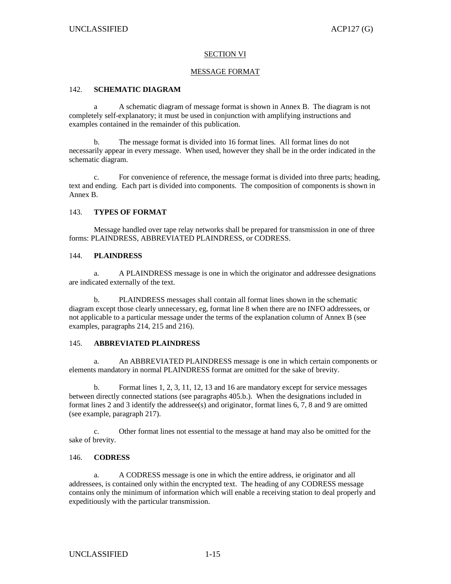#### SECTION VI

#### MESSAGE FORMAT

#### 142. **SCHEMATIC DIAGRAM**

 a A schematic diagram of message format is shown in Annex B. The diagram is not completely self-explanatory; it must be used in conjunction with amplifying instructions and examples contained in the remainder of this publication.

 b. The message format is divided into 16 format lines. All format lines do not necessarily appear in every message. When used, however they shall be in the order indicated in the schematic diagram.

 c. For convenience of reference, the message format is divided into three parts; heading, text and ending. Each part is divided into components. The composition of components is shown in Annex B.

#### 143. **TYPES OF FORMAT**

 Message handled over tape relay networks shall be prepared for transmission in one of three forms: PLAINDRESS, ABBREVIATED PLAINDRESS, or CODRESS.

#### 144. **PLAINDRESS**

 a. A PLAINDRESS message is one in which the originator and addressee designations are indicated externally of the text.

 b. PLAINDRESS messages shall contain all format lines shown in the schematic diagram except those clearly unnecessary, eg, format line 8 when there are no INFO addressees, or not applicable to a particular message under the terms of the explanation column of Annex B (see examples, paragraphs 214, 215 and 216).

#### 145. **ABBREVIATED PLAINDRESS**

 a. An ABBREVIATED PLAINDRESS message is one in which certain components or elements mandatory in normal PLAINDRESS format are omitted for the sake of brevity.

 b. Format lines 1, 2, 3, 11, 12, 13 and 16 are mandatory except for service messages between directly connected stations (see paragraphs 405.b.). When the designations included in format lines 2 and 3 identify the addressee(s) and originator, format lines 6, 7, 8 and 9 are omitted (see example, paragraph 217).

 c. Other format lines not essential to the message at hand may also be omitted for the sake of brevity.

#### 146. **CODRESS**

 a. A CODRESS message is one in which the entire address, ie originator and all addressees, is contained only within the encrypted text. The heading of any CODRESS message contains only the minimum of information which will enable a receiving station to deal properly and expeditiously with the particular transmission.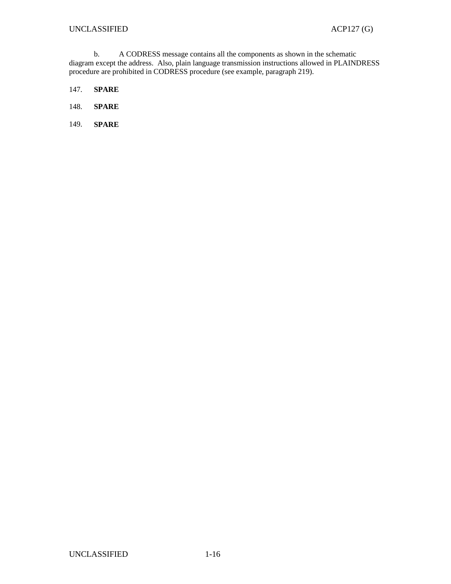b. A CODRESS message contains all the components as shown in the schematic diagram except the address. Also, plain language transmission instructions allowed in PLAINDRESS procedure are prohibited in CODRESS procedure (see example, paragraph 219).

- 147. **SPARE**
- 148. **SPARE**
- 149. **SPARE**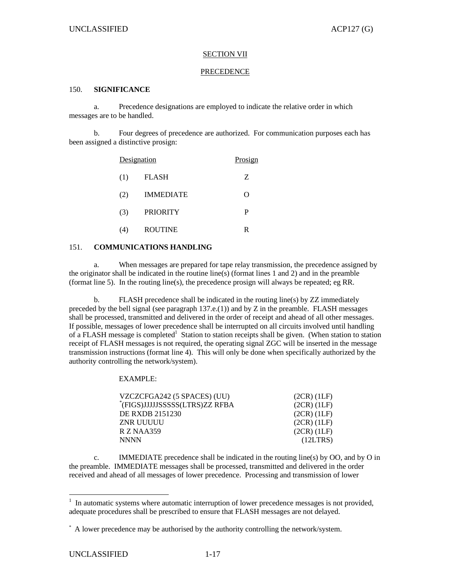#### SECTION VII

#### PRECEDENCE

#### 150. **SIGNIFICANCE**

 a. Precedence designations are employed to indicate the relative order in which messages are to be handled.

 b. Four degrees of precedence are authorized. For communication purposes each has been assigned a distinctive prosign:

|     | Designation      | Prosign |  |  |  |  |  |
|-----|------------------|---------|--|--|--|--|--|
| (1) | <b>FLASH</b>     | Z       |  |  |  |  |  |
| (2) | <b>IMMEDIATE</b> | Ω       |  |  |  |  |  |
| (3) | <b>PRIORITY</b>  | P       |  |  |  |  |  |
| (4) | <b>ROUTINE</b>   | R       |  |  |  |  |  |

#### 151. **COMMUNICATIONS HANDLING**

 a. When messages are prepared for tape relay transmission, the precedence assigned by the originator shall be indicated in the routine line(s) (format lines 1 and 2) and in the preamble (format line 5). In the routing line(s), the precedence prosign will always be repeated; eg RR.

 b. FLASH precedence shall be indicated in the routing line(s) by ZZ immediately preceded by the bell signal (see paragraph  $137.\text{e}$ .(1)) and by Z in the preamble. FLASH messages shall be processed, transmitted and delivered in the order of receipt and ahead of all other messages. If possible, messages of lower precedence shall be interrupted on all circuits involved until handling of a FLASH message is completed<sup>1</sup> Station to station receipts shall be given. (When station to station receipt of FLASH messages is not required, the operating signal ZGC will be inserted in the message transmission instructions (format line 4). This will only be done when specifically authorized by the authority controlling the network/system).

#### EXAMPLE:

| VZCZCFGA242 (5 SPACES) (UU)    | (2CR) (1LF)     |
|--------------------------------|-----------------|
| *(FIGS)JJJJJSSSSS(LTRS)ZZ RFBA | $(2CR)$ $(1LF)$ |
| DE RXDB 2151230                | $(2CR)$ $(1LF)$ |
| ZNR UUUUU                      | $(2CR)$ $(1LF)$ |
| R Z NAA359                     | $(2CR)$ $(1LF)$ |
| <b>NNNN</b>                    | (12LTRS)        |

 c. IMMEDIATE precedence shall be indicated in the routing line(s) by OO, and by O in the preamble. IMMEDIATE messages shall be processed, transmitted and delivered in the order received and ahead of all messages of lower precedence. Processing and transmission of lower

<sup>&</sup>lt;sup>1</sup> In automatic systems where automatic interruption of lower precedence messages is not provided, adequate procedures shall be prescribed to ensure that FLASH messages are not delayed.

<sup>\*</sup> A lower precedence may be authorised by the authority controlling the network/system.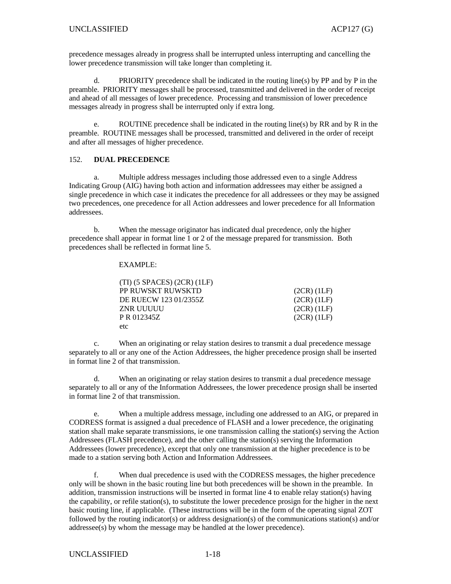precedence messages already in progress shall be interrupted unless interrupting and cancelling the lower precedence transmission will take longer than completing it.

 d. PRIORITY precedence shall be indicated in the routing line(s) by PP and by P in the preamble. PRIORITY messages shall be processed, transmitted and delivered in the order of receipt and ahead of all messages of lower precedence. Processing and transmission of lower precedence messages already in progress shall be interrupted only if extra long.

 e. ROUTINE precedence shall be indicated in the routing line(s) by RR and by R in the preamble. ROUTINE messages shall be processed, transmitted and delivered in the order of receipt and after all messages of higher precedence.

#### 152. **DUAL PRECEDENCE**

 a. Multiple address messages including those addressed even to a single Address Indicating Group (AIG) having both action and information addressees may either be assigned a single precedence in which case it indicates the precedence for all addressees or they may be assigned two precedences, one precedence for all Action addressees and lower precedence for all Information addressees.

 b. When the message originator has indicated dual precedence, only the higher precedence shall appear in format line 1 or 2 of the message prepared for transmission. Both precedences shall be reflected in format line 5.

#### EXAMPLE:

| $(TI)$ (5 SPACES) (2CR) (1LF) |                 |
|-------------------------------|-----------------|
| PP RUWSKT RUWSKTD             | (2CR) (1LF)     |
| DE RUECW 123 01/2355Z         | $(2CR)$ $(1LF)$ |
| ZNR UUUUU                     | $(2CR)$ $(1LF)$ |
| P R 012345Z                   | $(2CR)$ $(1LF)$ |
| etc                           |                 |

 c. When an originating or relay station desires to transmit a dual precedence message separately to all or any one of the Action Addressees, the higher precedence prosign shall be inserted in format line 2 of that transmission.

 d. When an originating or relay station desires to transmit a dual precedence message separately to all or any of the Information Addressees, the lower precedence prosign shall be inserted in format line 2 of that transmission.

 e. When a multiple address message, including one addressed to an AIG, or prepared in CODRESS format is assigned a dual precedence of FLASH and a lower precedence, the originating station shall make separate transmissions, ie one transmission calling the station(s) serving the Action Addressees (FLASH precedence), and the other calling the station(s) serving the Information Addressees (lower precedence), except that only one transmission at the higher precedence is to be made to a station serving both Action and Information Addressees.

 f. When dual precedence is used with the CODRESS messages, the higher precedence only will be shown in the basic routing line but both precedences will be shown in the preamble. In addition, transmission instructions will be inserted in format line 4 to enable relay station(s) having the capability, or refile station(s), to substitute the lower precedence prosign for the higher in the next basic routing line, if applicable. (These instructions will be in the form of the operating signal ZOT followed by the routing indicator(s) or address designation(s) of the communications station(s) and/or addressee(s) by whom the message may be handled at the lower precedence).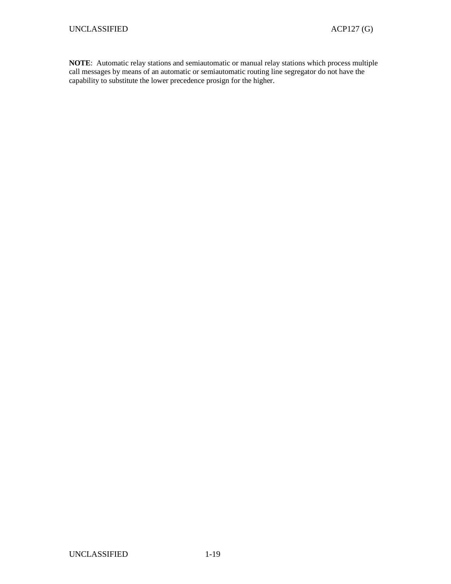**NOTE**: Automatic relay stations and semiautomatic or manual relay stations which process multiple call messages by means of an automatic or semiautomatic routing line segregator do not have the capability to substitute the lower precedence prosign for the higher.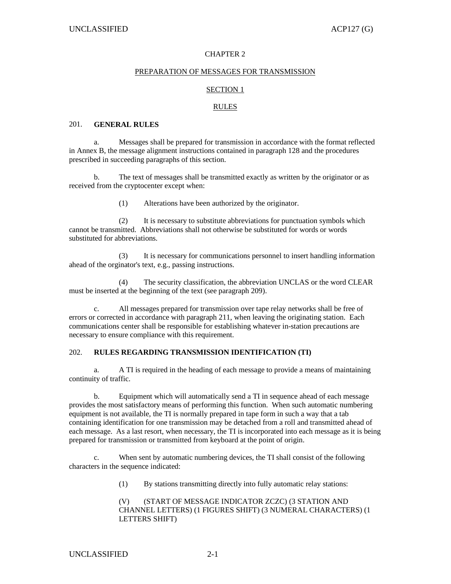#### CHAPTER 2

#### PREPARATION OF MESSAGES FOR TRANSMISSION

#### SECTION 1

#### RULES

#### 201. **GENERAL RULES**

a. Messages shall be prepared for transmission in accordance with the format reflected in Annex B, the message alignment instructions contained in paragraph 128 and the procedures prescribed in succeeding paragraphs of this section.

 b. The text of messages shall be transmitted exactly as written by the originator or as received from the cryptocenter except when:

(1) Alterations have been authorized by the originator.

 (2) It is necessary to substitute abbreviations for punctuation symbols which cannot be transmitted. Abbreviations shall not otherwise be substituted for words or words substituted for abbreviations.

 (3) It is necessary for communications personnel to insert handling information ahead of the orginator's text, e.g., passing instructions.

 (4) The security classification, the abbreviation UNCLAS or the word CLEAR must be inserted at the beginning of the text (see paragraph 209).

 c. All messages prepared for transmission over tape relay networks shall be free of errors or corrected in accordance with paragraph 211, when leaving the originating station. Each communications center shall be responsible for establishing whatever in-station precautions are necessary to ensure compliance with this requirement.

#### 202. **RULES REGARDING TRANSMISSION IDENTIFICATION (TI)**

 a. A TI is required in the heading of each message to provide a means of maintaining continuity of traffic.

 b. Equipment which will automatically send a TI in sequence ahead of each message provides the most satisfactory means of performing this function. When such automatic numbering equipment is not available, the TI is normally prepared in tape form in such a way that a tab containing identification for one transmission may be detached from a roll and transmitted ahead of each message. As a last resort, when necessary, the TI is incorporated into each message as it is being prepared for transmission or transmitted from keyboard at the point of origin.

 c. When sent by automatic numbering devices, the TI shall consist of the following characters in the sequence indicated:

(1) By stations transmitting directly into fully automatic relay stations:

(V) (START OF MESSAGE INDICATOR ZCZC) (3 STATION AND CHANNEL LETTERS) (1 FIGURES SHIFT) (3 NUMERAL CHARACTERS) (1 LETTERS SHIFT)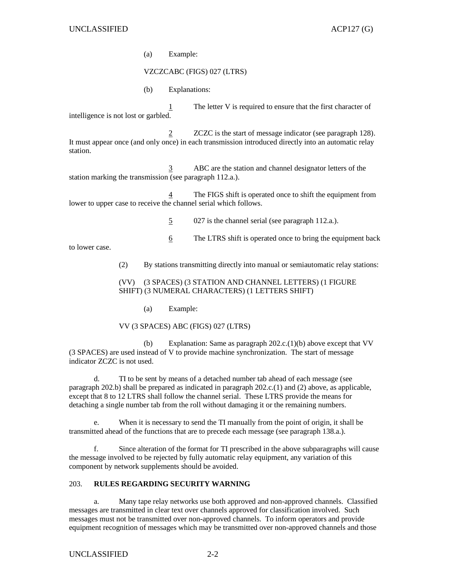(a) Example:

VZCZCABC (FIGS) 027 (LTRS)

(b) Explanations:

 1 The letter V is required to ensure that the first character of intelligence is not lost or garbled.

2 ZCZC is the start of message indicator (see paragraph 128). It must appear once (and only once) in each transmission introduced directly into an automatic relay station.

 3 ABC are the station and channel designator letters of the station marking the transmission (see paragraph 112.a.).

 4 The FIGS shift is operated once to shift the equipment from lower to upper case to receive the channel serial which follows.

5 027 is the channel serial (see paragraph 112.a.).

6 The LTRS shift is operated once to bring the equipment back

to lower case.

(2) By stations transmitting directly into manual or semiautomatic relay stations:

#### (VV) (3 SPACES) (3 STATION AND CHANNEL LETTERS) (1 FIGURE SHIFT) (3 NUMERAL CHARACTERS) (1 LETTERS SHIFT)

(a) Example:

#### VV (3 SPACES) ABC (FIGS) 027 (LTRS)

 (b) Explanation: Same as paragraph 202.c.(1)(b) above except that VV (3 SPACES) are used instead of V to provide machine synchronization. The start of message indicator ZCZC is not used.

 d. TI to be sent by means of a detached number tab ahead of each message (see paragraph 202.b) shall be prepared as indicated in paragraph 202.c.(1) and (2) above, as applicable, except that 8 to 12 LTRS shall follow the channel serial. These LTRS provide the means for detaching a single number tab from the roll without damaging it or the remaining numbers.

 e. When it is necessary to send the TI manually from the point of origin, it shall be transmitted ahead of the functions that are to precede each message (see paragraph 138.a.).

 f. Since alteration of the format for TI prescribed in the above subparagraphs will cause the message involved to be rejected by fully automatic relay equipment, any variation of this component by network supplements should be avoided.

#### 203. **RULES REGARDING SECURITY WARNING**

 a. Many tape relay networks use both approved and non-approved channels. Classified messages are transmitted in clear text over channels approved for classification involved. Such messages must not be transmitted over non-approved channels. To inform operators and provide equipment recognition of messages which may be transmitted over non-approved channels and those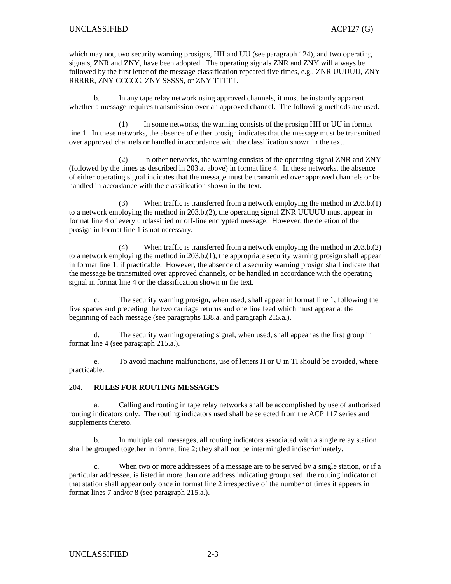which may not, two security warning prosigns, HH and UU (see paragraph 124), and two operating signals, ZNR and ZNY, have been adopted. The operating signals ZNR and ZNY will always be followed by the first letter of the message classification repeated five times, e.g., ZNR UUUUU, ZNY RRRRR, ZNY CCCCC, ZNY SSSSS, or ZNY TTTTT.

 b. In any tape relay network using approved channels, it must be instantly apparent whether a message requires transmission over an approved channel. The following methods are used.

 (1) In some networks, the warning consists of the prosign HH or UU in format line 1. In these networks, the absence of either prosign indicates that the message must be transmitted over approved channels or handled in accordance with the classification shown in the text.

 (2) In other networks, the warning consists of the operating signal ZNR and ZNY (followed by the times as described in 203.a. above) in format line 4. In these networks, the absence of either operating signal indicates that the message must be transmitted over approved channels or be handled in accordance with the classification shown in the text.

 (3) When traffic is transferred from a network employing the method in 203.b.(1) to a network employing the method in 203.b.(2), the operating signal ZNR UUUUU must appear in format line 4 of every unclassified or off-line encrypted message. However, the deletion of the prosign in format line 1 is not necessary.

 (4) When traffic is transferred from a network employing the method in 203.b.(2) to a network employing the method in 203.b.(1), the appropriate security warning prosign shall appear in format line 1, if practicable. However, the absence of a security warning prosign shall indicate that the message be transmitted over approved channels, or be handled in accordance with the operating signal in format line 4 or the classification shown in the text.

 c. The security warning prosign, when used, shall appear in format line 1, following the five spaces and preceding the two carriage returns and one line feed which must appear at the beginning of each message (see paragraphs 138.a. and paragraph 215.a.).

 d. The security warning operating signal, when used, shall appear as the first group in format line 4 (see paragraph 215.a.).

 e. To avoid machine malfunctions, use of letters H or U in TI should be avoided, where practicable.

#### 204. **RULES FOR ROUTING MESSAGES**

 a. Calling and routing in tape relay networks shall be accomplished by use of authorized routing indicators only. The routing indicators used shall be selected from the ACP 117 series and supplements thereto.

 b. In multiple call messages, all routing indicators associated with a single relay station shall be grouped together in format line 2; they shall not be intermingled indiscriminately.

 c. When two or more addressees of a message are to be served by a single station, or if a particular addressee, is listed in more than one address indicating group used, the routing indicator of that station shall appear only once in format line 2 irrespective of the number of times it appears in format lines 7 and/or 8 (see paragraph 215.a.).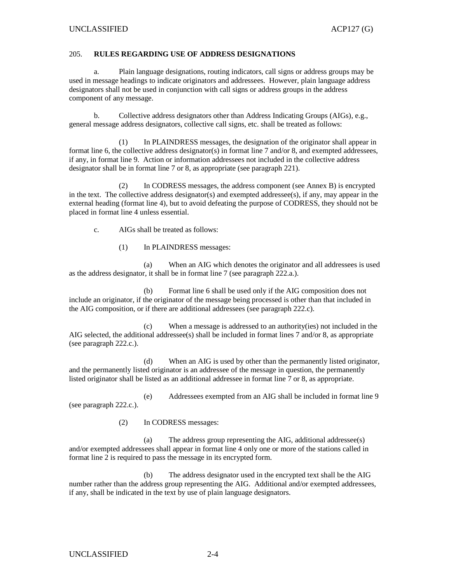#### 205. **RULES REGARDING USE OF ADDRESS DESIGNATIONS**

 a. Plain language designations, routing indicators, call signs or address groups may be used in message headings to indicate originators and addressees. However, plain language address designators shall not be used in conjunction with call signs or address groups in the address component of any message.

 b. Collective address designators other than Address Indicating Groups (AIGs), e.g., general message address designators, collective call signs, etc. shall be treated as follows:

 (1) In PLAINDRESS messages, the designation of the originator shall appear in format line 6, the collective address designator(s) in format line 7 and/or 8, and exempted addressees, if any, in format line 9. Action or information addressees not included in the collective address designator shall be in format line 7 or 8, as appropriate (see paragraph 221).

 (2) In CODRESS messages, the address component (see Annex B) is encrypted in the text. The collective address designator(s) and exempted addressee(s), if any, may appear in the external heading (format line 4), but to avoid defeating the purpose of CODRESS, they should not be placed in format line 4 unless essential.

c. AIGs shall be treated as follows:

(1) In PLAINDRESS messages:

 (a) When an AIG which denotes the originator and all addressees is used as the address designator, it shall be in format line 7 (see paragraph 222.a.).

 (b) Format line 6 shall be used only if the AIG composition does not include an originator, if the originator of the message being processed is other than that included in the AIG composition, or if there are additional addressees (see paragraph 222.c).

 (c) When a message is addressed to an authority(ies) not included in the AIG selected, the additional addressee(s) shall be included in format lines 7 and/or 8, as appropriate (see paragraph 222.c.).

 (d) When an AIG is used by other than the permanently listed originator, and the permanently listed originator is an addressee of the message in question, the permanently listed originator shall be listed as an additional addressee in format line 7 or 8, as appropriate.

 (e) Addressees exempted from an AIG shall be included in format line 9 (see paragraph 222.c.).

(2) In CODRESS messages:

 (a) The address group representing the AIG, additional addressee(s) and/or exempted addressees shall appear in format line 4 only one or more of the stations called in format line 2 is required to pass the message in its encrypted form.

 (b) The address designator used in the encrypted text shall be the AIG number rather than the address group representing the AIG. Additional and/or exempted addressees, if any, shall be indicated in the text by use of plain language designators.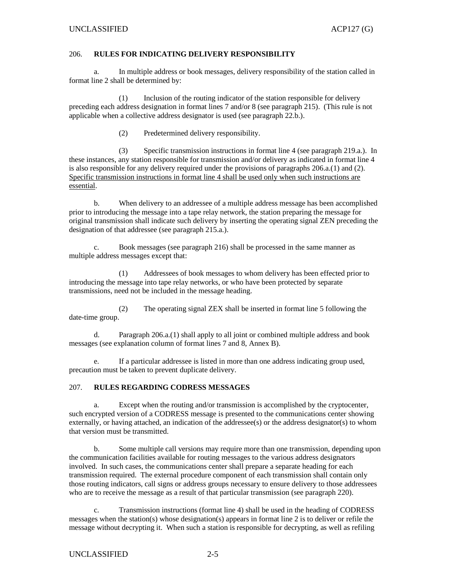#### 206. **RULES FOR INDICATING DELIVERY RESPONSIBILITY**

 a. In multiple address or book messages, delivery responsibility of the station called in format line 2 shall be determined by:

 (1) Inclusion of the routing indicator of the station responsible for delivery preceding each address designation in format lines 7 and/or 8 (see paragraph 215). (This rule is not applicable when a collective address designator is used (see paragraph 22.b.).

(2) Predetermined delivery responsibility.

 (3) Specific transmission instructions in format line 4 (see paragraph 219.a.). In these instances, any station responsible for transmission and/or delivery as indicated in format line 4 is also responsible for any delivery required under the provisions of paragraphs 206.a.(1) and (2). Specific transmission instructions in format line 4 shall be used only when such instructions are essential.

 b. When delivery to an addressee of a multiple address message has been accomplished prior to introducing the message into a tape relay network, the station preparing the message for original transmission shall indicate such delivery by inserting the operating signal ZEN preceding the designation of that addressee (see paragraph 215.a.).

 c. Book messages (see paragraph 216) shall be processed in the same manner as multiple address messages except that:

 (1) Addressees of book messages to whom delivery has been effected prior to introducing the message into tape relay networks, or who have been protected by separate transmissions, need not be included in the message heading.

 (2) The operating signal ZEX shall be inserted in format line 5 following the date-time group.

 d. Paragraph 206.a.(1) shall apply to all joint or combined multiple address and book messages (see explanation column of format lines 7 and 8, Annex B).

 e. If a particular addressee is listed in more than one address indicating group used, precaution must be taken to prevent duplicate delivery.

#### 207. **RULES REGARDING CODRESS MESSAGES**

 a. Except when the routing and/or transmission is accomplished by the cryptocenter, such encrypted version of a CODRESS message is presented to the communications center showing externally, or having attached, an indication of the addressee(s) or the address designator(s) to whom that version must be transmitted.

 b. Some multiple call versions may require more than one transmission, depending upon the communication facilities available for routing messages to the various address designators involved. In such cases, the communications center shall prepare a separate heading for each transmission required. The external procedure component of each transmission shall contain only those routing indicators, call signs or address groups necessary to ensure delivery to those addressees who are to receive the message as a result of that particular transmission (see paragraph 220).

 c. Transmission instructions (format line 4) shall be used in the heading of CODRESS messages when the station(s) whose designation(s) appears in format line 2 is to deliver or refile the message without decrypting it. When such a station is responsible for decrypting, as well as refiling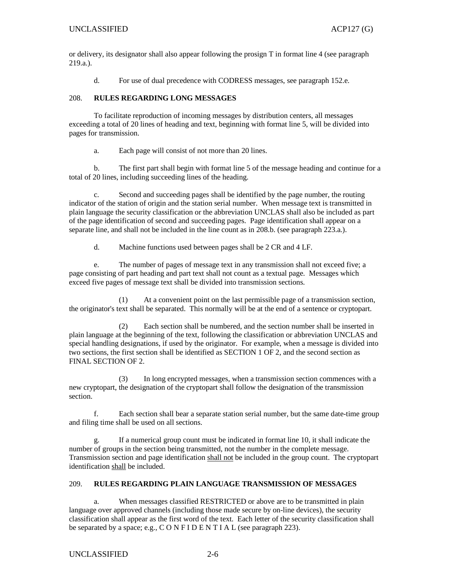or delivery, its designator shall also appear following the prosign T in format line 4 (see paragraph 219.a.).

d. For use of dual precedence with CODRESS messages, see paragraph 152.e.

#### 208. **RULES REGARDING LONG MESSAGES**

 To facilitate reproduction of incoming messages by distribution centers, all messages exceeding a total of 20 lines of heading and text, beginning with format line 5, will be divided into pages for transmission.

a. Each page will consist of not more than 20 lines.

 b. The first part shall begin with format line 5 of the message heading and continue for a total of 20 lines, including succeeding lines of the heading.

 c. Second and succeeding pages shall be identified by the page number, the routing indicator of the station of origin and the station serial number. When message text is transmitted in plain language the security classification or the abbreviation UNCLAS shall also be included as part of the page identification of second and succeeding pages. Page identification shall appear on a separate line, and shall not be included in the line count as in 208.b. (see paragraph 223.a.).

d. Machine functions used between pages shall be 2 CR and 4 LF.

 e. The number of pages of message text in any transmission shall not exceed five; a page consisting of part heading and part text shall not count as a textual page. Messages which exceed five pages of message text shall be divided into transmission sections.

 (1) At a convenient point on the last permissible page of a transmission section, the originator's text shall be separated. This normally will be at the end of a sentence or cryptopart.

 (2) Each section shall be numbered, and the section number shall be inserted in plain language at the beginning of the text, following the classification or abbreviation UNCLAS and special handling designations, if used by the originator. For example, when a message is divided into two sections, the first section shall be identified as SECTION 1 OF 2, and the second section as FINAL SECTION OF 2.

 (3) In long encrypted messages, when a transmission section commences with a new cryptopart, the designation of the cryptopart shall follow the designation of the transmission section.

 f. Each section shall bear a separate station serial number, but the same date-time group and filing time shall be used on all sections.

 g. If a numerical group count must be indicated in format line 10, it shall indicate the number of groups in the section being transmitted, not the number in the complete message. Transmission section and page identification shall not be included in the group count. The cryptopart identification shall be included.

#### 209. **RULES REGARDING PLAIN LANGUAGE TRANSMISSION OF MESSAGES**

 a. When messages classified RESTRICTED or above are to be transmitted in plain language over approved channels (including those made secure by on-line devices), the security classification shall appear as the first word of the text. Each letter of the security classification shall be separated by a space; e.g.,  $C$  O N F I D E N T I A L (see paragraph 223).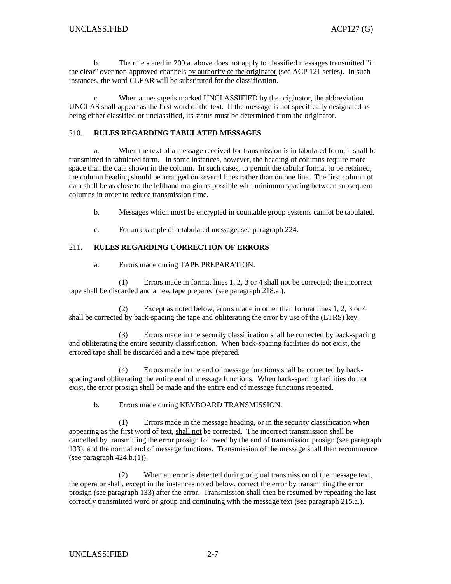b. The rule stated in 209.a. above does not apply to classified messages transmitted "in the clear" over non-approved channels by authority of the originator (see ACP 121 series). In such instances, the word CLEAR will be substituted for the classification.

 c. When a message is marked UNCLASSIFIED by the originator, the abbreviation UNCLAS shall appear as the first word of the text. If the message is not specifically designated as being either classified or unclassified, its status must be determined from the originator.

#### 210. **RULES REGARDING TABULATED MESSAGES**

 a. When the text of a message received for transmission is in tabulated form, it shall be transmitted in tabulated form. In some instances, however, the heading of columns require more space than the data shown in the column. In such cases, to permit the tabular format to be retained, the column heading should be arranged on several lines rather than on one line. The first column of data shall be as close to the lefthand margin as possible with minimum spacing between subsequent columns in order to reduce transmission time.

b. Messages which must be encrypted in countable group systems cannot be tabulated.

c. For an example of a tabulated message, see paragraph 224.

#### 211. **RULES REGARDING CORRECTION OF ERRORS**

a. Errors made during TAPE PREPARATION.

 (1) Errors made in format lines 1, 2, 3 or 4 shall not be corrected; the incorrect tape shall be discarded and a new tape prepared (see paragraph 218.a.).

 (2) Except as noted below, errors made in other than format lines 1, 2, 3 or 4 shall be corrected by back-spacing the tape and obliterating the error by use of the (LTRS) key.

 (3) Errors made in the security classification shall be corrected by back-spacing and obliterating the entire security classification. When back-spacing facilities do not exist, the errored tape shall be discarded and a new tape prepared.

 (4) Errors made in the end of message functions shall be corrected by backspacing and obliterating the entire end of message functions. When back-spacing facilities do not exist, the error prosign shall be made and the entire end of message functions repeated.

b. Errors made during KEYBOARD TRANSMISSION.

 (1) Errors made in the message heading, or in the security classification when appearing as the first word of text, shall not be corrected. The incorrect transmission shall be cancelled by transmitting the error prosign followed by the end of transmission prosign (see paragraph 133), and the normal end of message functions. Transmission of the message shall then recommence (see paragraph  $424.b.(1)$ ).

 (2) When an error is detected during original transmission of the message text, the operator shall, except in the instances noted below, correct the error by transmitting the error prosign (see paragraph 133) after the error. Transmission shall then be resumed by repeating the last correctly transmitted word or group and continuing with the message text (see paragraph 215.a.).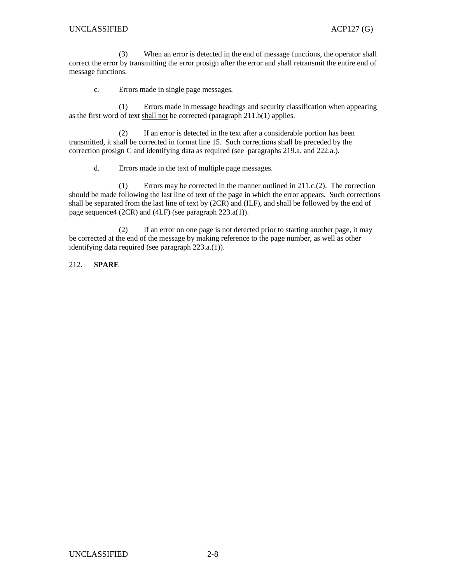(3) When an error is detected in the end of message functions, the operator shall correct the error by transmitting the error prosign after the error and shall retransmit the entire end of message functions.

c. Errors made in single page messages.

 (1) Errors made in message headings and security classification when appearing as the first word of text shall not be corrected (paragraph 211.b(1) applies.

 (2) If an error is detected in the text after a considerable portion has been transmitted, it shall be corrected in format line 15. Such corrections shall be preceded by the correction prosign C and identifying data as required (see paragraphs 219.a. and 222.a.).

d. Errors made in the text of multiple page messages.

 (1) Errors may be corrected in the manner outlined in 211.c.(2). The correction should be made following the last line of text of the page in which the error appears. Such corrections shall be separated from the last line of text by (2CR) and (ILF), and shall be followed by the end of page sequence4 (2CR) and (4LF) (see paragraph 223.a(1)).

 (2) If an error on one page is not detected prior to starting another page, it may be corrected at the end of the message by making reference to the page number, as well as other identifying data required (see paragraph 223.a.(1)).

212. **SPARE**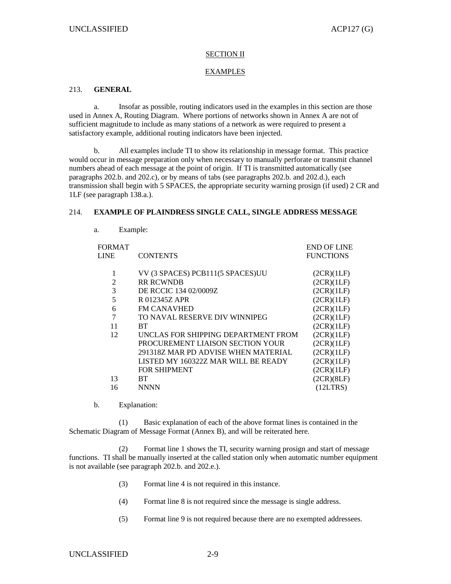### SECTION II

### EXAMPLES

# 213. **GENERAL**

 a. Insofar as possible, routing indicators used in the examples in this section are those used in Annex A, Routing Diagram. Where portions of networks shown in Annex A are not of sufficient magnitude to include as many stations of a network as were required to present a satisfactory example, additional routing indicators have been injected.

 b. All examples include TI to show its relationship in message format. This practice would occur in message preparation only when necessary to manually perforate or transmit channel numbers ahead of each message at the point of origin. If TI is transmitted automatically (see paragraphs 202.b. and 202.c), or by means of tabs (see paragraphs 202.b. and 202.d.), each transmission shall begin with 5 SPACES, the appropriate security warning prosign (if used) 2 CR and 1LF (see paragraph 138.a.).

#### 214. **EXAMPLE OF PLAINDRESS SINGLE CALL, SINGLE ADDRESS MESSAGE**

- FORMAT LINE CONTENTS END OF LINE **FUNCTIONS** 1 VV (3 SPACES) PCB111(5 SPACES)UU (2CR)(1LF) 2 RR RCWNDB (2CR)(1LF) 3 DE RCCIC 134 02/0009Z (2CR)(1LF) 5 R 012345Z APR (2CR)(1LF) 6 FM CANAVHED (2CR)(1LF) 7 TO NAVAL RESERVE DIV WINNIPEG (2CR)(1LF) 11 BT (2CR)(1LF) 12 UNCLAS FOR SHIPPING DEPARTMENT FROM PROCUREMENT LIAISON SECTION YOUR 291318Z MAR PD ADVISE WHEN MATERIAL LISTED MY 160322Z MAR WILL BE READY FOR SHIPMENT (2CR)(1LF) (2CR)(1LF) (2CR)(1LF) (2CR)(1LF) (2CR)(1LF) 13 BT (2CR)(8LF) 16 NNNN (12LTRS)
- b. Explanation:

a. Example:

 (1) Basic explanation of each of the above format lines is contained in the Schematic Diagram of Message Format (Annex B), and will be reiterated here.

 (2) Format line 1 shows the TI, security warning prosign and start of message functions. TI shall be manually inserted at the called station only when automatic number equipment is not available (see paragraph 202.b. and 202.e.).

- (3) Format line 4 is not required in this instance.
- (4) Format line 8 is not required since the message is single address.
- (5) Format line 9 is not required because there are no exempted addressees.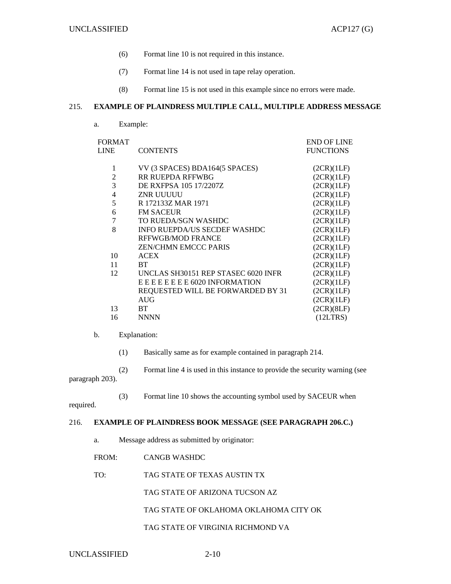END OF LINE  $E$ UNCTIONS

- (6) Format line 10 is not required in this instance.
- (7) Format line 14 is not used in tape relay operation.
- (8) Format line 15 is not used in this example since no errors were made.

#### 215. **EXAMPLE OF PLAINDRESS MULTIPLE CALL, MULTIPLE ADDRESS MESSAGE**

a. Example:

FORMAT

| <b>LINE</b>    | <b>CONTENTS</b>                     | <b>FUNCTIONS</b> |
|----------------|-------------------------------------|------------------|
| 1              | VV (3 SPACES) BDA164(5 SPACES)      | (2CR)(1LF)       |
| $\overline{2}$ | <b>RR RUEPDA RFFWBG</b>             | (2CR)(1LF)       |
| 3              | DE RXFPSA 105 17/2207Z              | (2CR)(1LF)       |
| $\overline{4}$ | ZNR UUUUU                           | (2CR)(1LF)       |
| 5              | R 172133Z MAR 1971                  | (2CR)(1LF)       |
| 6              | <b>FM SACEUR</b>                    | (2CR)(1LF)       |
| 7              | TO RUEDA/SGN WASHDC                 | (2CR)(1LF)       |
| 8              | <b>INFO RUEPDA/US SECDEF WASHDC</b> | (2CR)(1LF)       |
|                | RFFWGB/MOD FRANCE                   | (2CR)(1LF)       |
|                | ZEN/CHMN EMCCC PARIS                | (2CR)(1LF)       |
| 10             | <b>ACEX</b>                         | (2CR)(1LF)       |
| 11             | <b>BT</b>                           | (2CR)(1LF)       |
| 12             | UNCLAS SH30151 REP STASEC 6020 INFR | (2CR)(1LF)       |
|                | E E E E E E E E 6020 INFORMATION    | (2CR)(1LF)       |
|                | REQUESTED WILL BE FORWARDED BY 31   | (2CR)(1LF)       |
|                | AIIG                                | (2CR)(1LF)       |
| 13             | BT                                  | (2CR)(8LF)       |
| 16             | <b>NNNN</b>                         | (12LTRS)         |

- b. Explanation:
	- (1) Basically same as for example contained in paragraph 214.
- (2) Format line 4 is used in this instance to provide the security warning (see paragraph 203).
	- (3) Format line 10 shows the accounting symbol used by SACEUR when

required.

## 216. **EXAMPLE OF PLAINDRESS BOOK MESSAGE (SEE PARAGRAPH 206.C.)**

- a. Message address as submitted by originator:
- FROM: CANGB WASHDC
- TO: TAG STATE OF TEXAS AUSTIN TX

TAG STATE OF ARIZONA TUCSON AZ

TAG STATE OF OKLAHOMA OKLAHOMA CITY OK

TAG STATE OF VIRGINIA RICHMOND VA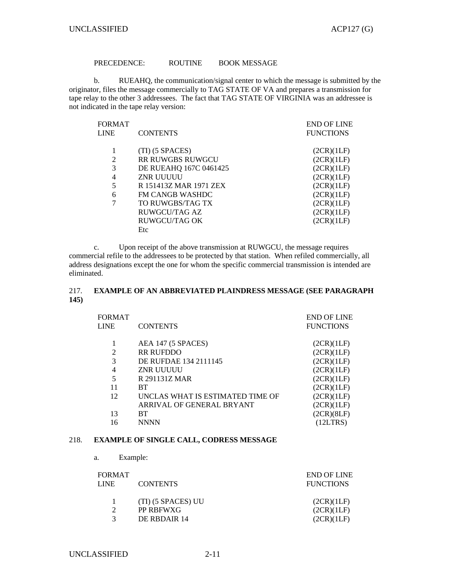## PRECEDENCE: ROUTINE BOOK MESSAGE

 b. RUEAHQ, the communication/signal center to which the message is submitted by the originator, files the message commercially to TAG STATE OF VA and prepares a transmission for tape relay to the other 3 addressees. The fact that TAG STATE OF VIRGINIA was an addressee is not indicated in the tape relay version:

| <b>FORMAT</b> |                        | <b>END OF LINE</b> |
|---------------|------------------------|--------------------|
| <b>LINE</b>   | <b>CONTENTS</b>        | <b>FUNCTIONS</b>   |
|               |                        |                    |
|               | $(TI)$ (5 SPACES)      | (2CR)(1LF)         |
| 2             | RR RUWGBS RUWGCU       | (2CR)(1LF)         |
| 3             | DE RUEAHQ 167C 0461425 | (2CR)(1LF)         |
| 4             | ZNR UUUUU              | (2CR)(1LF)         |
| 5             | R 151413Z MAR 1971 ZEX | (2CR)(1LF)         |
| 6             | <b>FM CANGB WASHDC</b> | (2CR)(1LF)         |
| 7             | TO RUWGBS/TAG TX       | (2CR)(1LF)         |
|               | RUWGCU/TAG AZ          | (2CR)(1LF)         |
|               | RUWGCU/TAG OK          | (2CR)(1LF)         |
|               | Etc                    |                    |

 c. Upon receipt of the above transmission at RUWGCU, the message requires commercial refile to the addressees to be protected by that station. When refiled commercially, all address designations except the one for whom the specific commercial transmission is intended are eliminated.

# 217. **EXAMPLE OF AN ABBREVIATED PLAINDRESS MESSAGE (SEE PARAGRAPH 145)**

|      | <b>FORMAT</b> |                                                | <b>END OF LINE</b> |
|------|---------------|------------------------------------------------|--------------------|
|      | <b>LINE</b>   | <b>CONTENTS</b>                                | <b>FUNCTIONS</b>   |
|      |               |                                                |                    |
|      |               | AEA 147 (5 SPACES)                             | (2CR)(1LF)         |
|      | 2             | RR RUFDDO                                      | (2CR)(1LF)         |
|      | 3             | DE RUFDAE 134 2111145                          | (2CR)(1LF)         |
|      | 4             | ZNR UUUUU                                      | (2CR)(1LF)         |
|      | 5             | R 291131Z MAR                                  | (2CR)(1LF)         |
|      | 11            | <b>BT</b>                                      | (2CR)(1LF)         |
|      | 12            | UNCLAS WHAT IS ESTIMATED TIME OF               | (2CR)(1LF)         |
|      |               | ARRIVAL OF GENERAL BRYANT                      | (2CR)(1LF)         |
|      | 13            | <b>BT</b>                                      | (2CR)(8LF)         |
|      | 16            | <b>NNNN</b>                                    | (12LTRS)           |
|      |               |                                                |                    |
| 218. |               | <b>EXAMPLE OF SINGLE CALL, CODRESS MESSAGE</b> |                    |

a. Example:

| FORMAT |                    | <b>END OF LINE</b> |
|--------|--------------------|--------------------|
| LINE.  | <b>CONTENTS</b>    | <b>FUNCTIONS</b>   |
|        | (TI) (5 SPACES) UU | (2CR)(1LF)         |
| C      | PP RBFWXG          | (2CR)(1LF)         |
|        | DE RBDAIR 14       | (2CR)(1LF)         |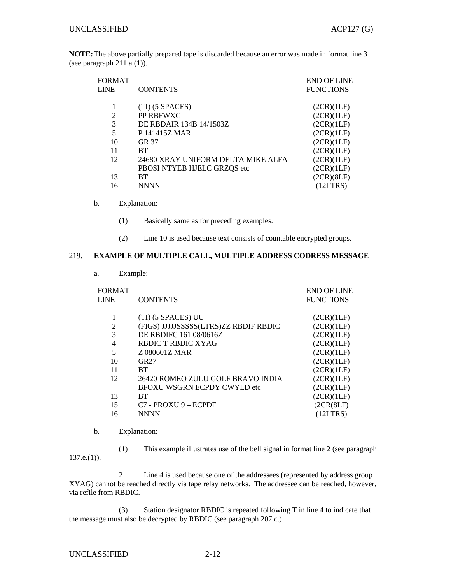**NOTE:** The above partially prepared tape is discarded because an error was made in format line 3 (see paragraph 211.a.(1)).

| FORMAT         |                                    | <b>END OF LINE</b> |
|----------------|------------------------------------|--------------------|
| LINE           | <b>CONTENTS</b>                    | <b>FUNCTIONS</b>   |
|                |                                    |                    |
|                | (TI) (5 SPACES)                    | (2CR)(1LF)         |
| $\overline{2}$ | PP RBFWXG                          | (2CR)(1LF)         |
| 3              | DE RBDAIR 134B 14/1503Z            | (2CR)(1LF)         |
| 5              | P 141415Z MAR                      | (2CR)(1LF)         |
| 10             | GR 37                              | (2CR)(1LF)         |
| 11             | <b>BT</b>                          | (2CR)(1LF)         |
| 12             | 24680 XRAY UNIFORM DELTA MIKE ALFA | (2CR)(1LF)         |
|                | PBOSI NTYEB HJELC GRZQS etc        | (2CR)(1LF)         |
| 13             | <b>BT</b>                          | (2CR)(8LF)         |
| 16             | <b>NNNN</b>                        | (12LTRS)           |

## b. Explanation:

- (1) Basically same as for preceding examples.
- (2) Line 10 is used because text consists of countable encrypted groups.

## 219. **EXAMPLE OF MULTIPLE CALL, MULTIPLE ADDRESS CODRESS MESSAGE**

a. Example:

| <b>FORMAT</b><br><b>LINE</b> | <b>CONTENTS</b>                       | <b>END OF LINE</b><br><b>FUNCTIONS</b> |
|------------------------------|---------------------------------------|----------------------------------------|
|                              |                                       |                                        |
| 1                            | (TI) (5 SPACES) UU                    | (2CR)(1LF)                             |
| $\overline{2}$               | (FIGS) JJJJJSSSSS(LTRS)ZZ RBDIF RBDIC | (2CR)(1LF)                             |
| 3                            | DE RBDIFC 161 08/0616Z                | (2CR)(1LF)                             |
| 4                            | RBDIC T RBDIC XYAG                    | (2CR)(1LF)                             |
| 5                            | Z 080601Z MAR                         | (2CR)(1LF)                             |
| 10                           | GR27                                  | (2CR)(1LF)                             |
| 11                           | <b>BT</b>                             | (2CR)(1LF)                             |
| 12                           | 26420 ROMEO ZULU GOLF BRAVO INDIA     | (2CR)(1LF)                             |
|                              | <b>BFOXU WSGRN ECPDY CWYLD etc</b>    | (2CR)(1LF)                             |
| 13                           | <b>BT</b>                             | (2CR)(1LF)                             |
| 15                           | $C7 - PROXU9 - ECPDF$                 | (2CR(8LF))                             |
| 16                           | <b>NNNN</b>                           | (12LTRS)                               |

b. Explanation:

 (1) This example illustrates use of the bell signal in format line 2 (see paragraph  $137.e.(1)$ ).

 2 Line 4 is used because one of the addressees (represented by address group XYAG) cannot be reached directly via tape relay networks. The addressee can be reached, however, via refile from RBDIC.

 (3) Station designator RBDIC is repeated following T in line 4 to indicate that the message must also be decrypted by RBDIC (see paragraph 207.c.).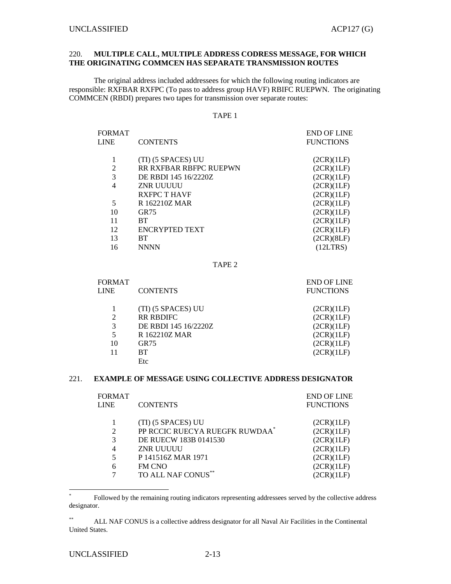### 220. **MULTIPLE CALL, MULTIPLE ADDRESS CODRESS MESSAGE, FOR WHICH THE ORIGINATING COMMCEN HAS SEPARATE TRANSMISSION ROUTES**

 The original address included addressees for which the following routing indicators are responsible: RXFBAR RXFPC (To pass to address group HAVF) RBIFC RUEPWN. The originating COMMCEN (RBDI) prepares two tapes for transmission over separate routes:

#### TAPE 1

| <b>FORMAT</b> |                        | <b>END OF LINE</b> |
|---------------|------------------------|--------------------|
| <b>LINE</b>   | <b>CONTENTS</b>        | <b>FUNCTIONS</b>   |
|               |                        |                    |
|               | (TI) (5 SPACES) UU     | (2CR)(1LF)         |
| 2             | RR RXFBAR RBFPC RUEPWN | (2CR)(1LF)         |
| 3             | DE RBDI 145 16/2220Z   | (2CR)(1LF)         |
| 4             | ZNR UUUUU              | (2CR)(1LF)         |
|               | <b>RXFPC T HAVF</b>    | (2CR)(1LF)         |
| 5             | R 162210Z MAR          | (2CR)(1LF)         |
| 10            | GR75                   | (2CR)(1LF)         |
| 11            | <b>BT</b>              | (2CR)(1LF)         |
| 12            | ENCRYPTED TEXT         | (2CR)(1LF)         |
| 13            | <b>BT</b>              | (2CR)(8LF)         |
| 16            | <b>NNNN</b>            | (12LTRS)           |

TAPE 2

| FORMAT<br>LINE | <b>CONTENTS</b>      | <b>END OF LINE</b><br><b>FUNCTIONS</b> |
|----------------|----------------------|----------------------------------------|
|                | (TI) (5 SPACES) UU   | (2CR)(1LF)                             |
| $\overline{c}$ | <b>RR RBDIFC</b>     | (2CR)(1LF)                             |
| 3              | DE RBDI 145 16/2220Z | (2CR)(1LF)                             |
| 5              | R 162210Z MAR        | (2CR)(1LF)                             |
| 10             | <b>GR75</b>          | (2CR)(1LF)                             |
| 11             | <b>BT</b>            | (2CR)(1LF)                             |
|                | Etc                  |                                        |

### 221. **EXAMPLE OF MESSAGE USING COLLECTIVE ADDRESS DESIGNATOR**

| FORMAT         |                                | <b>END OF LINE</b> |
|----------------|--------------------------------|--------------------|
| LINE           | <b>CONTENTS</b>                | <b>FUNCTIONS</b>   |
|                |                                |                    |
|                | (TI) (5 SPACES) UU             | (2CR)(1LF)         |
| $\overline{2}$ | PP RCCIC RUECYA RUEGFK RUWDAA* | (2CR)(1LF)         |
| 3              | DE RUECW 183B 0141530          | (2CR)(1LF)         |
| 4              | <b>ZNR UUUUU</b>               | (2CR)(1LF)         |
| 5              | P 141516Z MAR 1971             | (2CR)(1LF)         |
| 6              | FM CNO                         | (2CR)(1LF)         |
| 7              | TO ALL NAF CONUS**             | (2CR)(1LF)         |

<sup>\*</sup> Followed by the remaining routing indicators representing addressees served by the collective address designator.

 $\overline{a}$ 

<sup>\*\*</sup> ALL NAF CONUS is a collective address designator for all Naval Air Facilities in the Continental United States.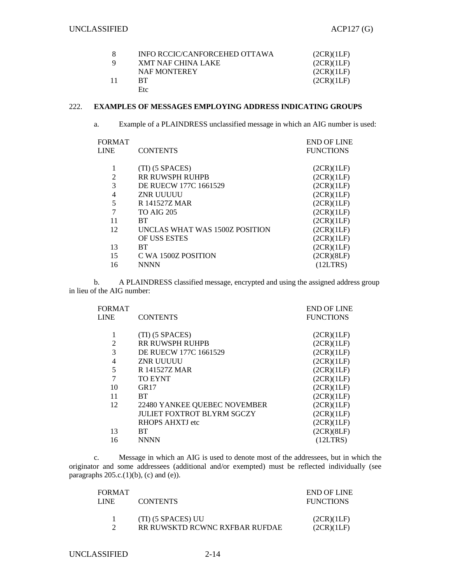|     | INFO RCCIC/CANFORCEHED OTTAWA | (2CR)(1LF) |
|-----|-------------------------------|------------|
|     | XMT NAF CHINA LAKE            | (2CR)(1LF) |
|     | <b>NAF MONTEREY</b>           | (2CR)(1LF) |
| -11 | RT.                           | (2CR)(1LF) |
|     | Etc                           |            |

# 222. **EXAMPLES OF MESSAGES EMPLOYING ADDRESS INDICATING GROUPS**

a. Example of a PLAINDRESS unclassified message in which an AIG number is used:

| <b>CONTENTS</b>                | <b>END OF LINE</b><br><b>FUNCTIONS</b> |
|--------------------------------|----------------------------------------|
| $(TI)$ (5 SPACES)              | (2CR)(1LF)                             |
| RR RUWSPH RUHPB                | (2CR)(1LF)                             |
| DE RUECW 177C 1661529          | (2CR)(1LF)                             |
| ZNR UUUUU                      | (2CR)(1LF)                             |
| R 141527Z MAR                  | (2CR)(1LF)                             |
| <b>TO AIG 205</b>              | (2CR)(1LF)                             |
| <b>BT</b>                      | (2CR)(1LF)                             |
| UNCLAS WHAT WAS 1500Z POSITION | (2CR)(1LF)                             |
| <b>OF USS ESTES</b>            | (2CR)(1LF)                             |
| <b>BT</b>                      | (2CR)(1LF)                             |
| C WA 1500Z POSITION            | (2CR)(8LF)                             |
| NNNN                           | (12LTRS)                               |
|                                |                                        |

 b. A PLAINDRESS classified message, encrypted and using the assigned address group in lieu of the AIG number:

|                                   | <b>END OF LINE</b> |
|-----------------------------------|--------------------|
| <b>CONTENTS</b>                   | <b>FUNCTIONS</b>   |
|                                   |                    |
| (TI) (5 SPACES)                   | (2CR)(1LF)         |
| <b>RR RUWSPH RUHPB</b>            | (2CR)(1LF)         |
| DE RUECW 177C 1661529             | (2CR)(1LF)         |
| <b>ZNR UUUUU</b>                  | (2CR)(1LF)         |
| R 141527Z MAR                     | (2CR)(1LF)         |
| <b>TO EYNT</b>                    | (2CR)(1LF)         |
| GR17                              | (2CR)(1LF)         |
| <b>BT</b>                         | (2CR)(1LF)         |
| 22480 YANKEE QUEBEC NOVEMBER      | (2CR)(1LF)         |
| <b>JULIET FOXTROT BLYRM SGCZY</b> | (2CR)(1LF)         |
| RHOPS AHXTJ etc                   | (2CR)(1LF)         |
| <b>BT</b>                         | (2CR)(8LF)         |
| <b>NNNN</b>                       | (12LTRS)           |
|                                   |                    |

 c. Message in which an AIG is used to denote most of the addressees, but in which the originator and some addressees (additional and/or exempted) must be reflected individually (see paragraphs  $205.c.(1)(b)$ , (c) and (e)).

| FORMAT<br>LINE. | <b>CONTENTS</b>                                      | END OF LINE<br><b>FUNCTIONS</b> |
|-----------------|------------------------------------------------------|---------------------------------|
|                 | (TI) (5 SPACES) UU<br>RR RUWSKTD RCWNC RXFBAR RUFDAE | (2CR)(1LF)<br>(2CR)(1LF)        |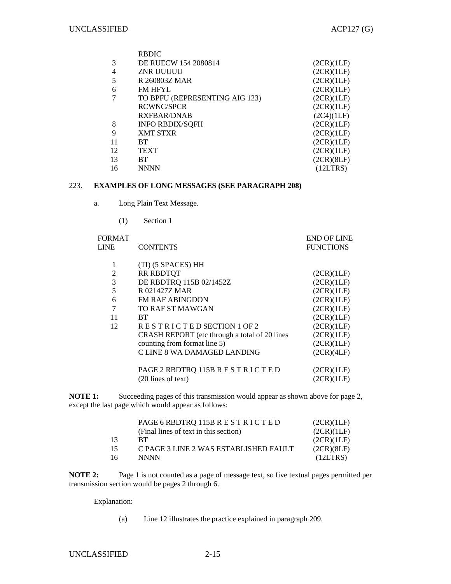|                | <b>RBDIC</b>                   |            |
|----------------|--------------------------------|------------|
| 3              | DE RUECW 154 2080814           | (2CR)(1LF) |
| $\overline{4}$ | ZNR UUUUU                      | (2CR)(1LF) |
| 5              | R 260803Z MAR                  | (2CR)(1LF) |
| 6              | <b>FM HFYL</b>                 | (2CR)(1LF) |
|                | TO BPFU (REPRESENTING AIG 123) | (2CR)(1LF) |
|                | <b>RCWNC/SPCR</b>              | (2CR)(1LF) |
|                | <b>RXFBAR/DNAB</b>             | (2C4)(1LF) |
| 8              | <b>INFO RBDIX/SQFH</b>         | (2CR)(1LF) |
| 9              | <b>XMT STXR</b>                | (2CR)(1LF) |
| 11             | <b>BT</b>                      | (2CR)(1LF) |
| 12             | <b>TEXT</b>                    | (2CR)(1LF) |
| 13             | BТ                             | (2CR)(8LF) |
| 16             | <b>NNNN</b>                    | (12LTRS)   |

### 223. **EXAMPLES OF LONG MESSAGES (SEE PARAGRAPH 208)**

- a. Long Plain Text Message.
	- (1) Section 1

| <b>FORMAT</b> |                                               | <b>END OF LINE</b> |
|---------------|-----------------------------------------------|--------------------|
| <b>LINE</b>   | <b>CONTENTS</b>                               | <b>FUNCTIONS</b>   |
|               |                                               |                    |
| 1             | (TI) (5 SPACES) HH                            |                    |
| 2             | <b>RR RBDTOT</b>                              | (2CR)(1LF)         |
| 3             | DE RBDTRQ 115B 02/1452Z                       | (2CR)(1LF)         |
| 5             | R 021427Z MAR                                 | (2CR)(1LF)         |
| 6             | <b>FM RAF ABINGDON</b>                        | (2CR)(1LF)         |
| 7             | TO RAF ST MAWGAN                              | (2CR)(1LF)         |
| 11            | BT.                                           | (2CR)(1LF)         |
| 12            | RESTRICTED SECTION 1 OF 2                     | (2CR)(1LF)         |
|               | CRASH REPORT (etc through a total of 20 lines | (2CR)(1LF)         |
|               | counting from format line 5)                  | (2CR)(1LF)         |
|               | C LINE 8 WA DAMAGED LANDING                   | (2CR)(4LF)         |
|               |                                               |                    |
|               | PAGE 2 RBDTRQ 115B R E S T R I C T E D        | (2CR)(1LF)         |
|               | $(20$ lines of text)                          | (2CR)(1LF)         |

**NOTE 1:** Succeeding pages of this transmission would appear as shown above for page 2, except the last page which would appear as follows:

|    | PAGE 6 RBDTRQ 115B R E S T R I C T E D | (2CR)(1LF) |
|----|----------------------------------------|------------|
|    | (Final lines of text in this section)  | (2CR)(1LF) |
| 13 | <b>RT</b>                              | (2CR)(1LF) |
| 15 | C PAGE 3 LINE 2 WAS ESTABLISHED FAULT  | (2CR)(8LF) |
| 16 | <b>NNNN</b>                            | (12LTRS)   |

**NOTE 2:** Page 1 is not counted as a page of message text, so five textual pages permitted per transmission section would be pages 2 through 6.

Explanation:

(a) Line 12 illustrates the practice explained in paragraph 209.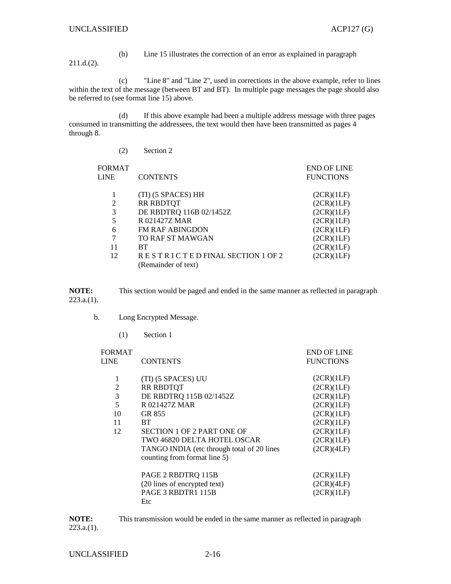(b) Line 15 illustrates the correction of an error as explained in paragraph 211.d.(2).

 (c) "Line 8" and "Line 2", used in corrections in the above example, refer to lines within the text of the message (between BT and BT). In multiple page messages the page should also be referred to (see format line 15) above.

 (d) If this above example had been a multiple address message with three pages consumed in transmitting the addressees, the text would then have been transmitted as pages 4 through 8.

| <b>FORMAT</b><br><b>LINE</b> | <b>CONTENTS</b>                 | <b>END OF LINE</b><br><b>FUNCTIONS</b> |
|------------------------------|---------------------------------|----------------------------------------|
|                              |                                 |                                        |
|                              | (TI) (5 SPACES) HH              | (2CR)(1LF)                             |
| 2                            | <b>RR RBDTQT</b>                | (2CR)(1LF)                             |
| 3                            | DE RBDTRQ 116B 02/1452Z         | (2CR)(1LF)                             |
| 5                            | R 021427Z MAR                   | (2CR)(1LF)                             |
| 6                            | <b>FM RAF ABINGDON</b>          | (2CR)(1LF)                             |
| 7                            | TO RAF ST MAWGAN                | (2CR)(1LF)                             |
| 11                           | <b>BT</b>                       | (2CR)(1LF)                             |
| 12                           | RESTRICTED FINAL SECTION 1 OF 2 | (2CR)(1LF)                             |
|                              | (Remainder of text)             |                                        |

**NOTE:** This section would be paged and ended in the same manner as reflected in paragraph 223.a.(1).

b. Long Encrypted Message.

(2) Section 2

(1) Section 1

| <b>FORMAT</b><br><b>LINE</b> | <b>CONTENTS</b>                            | <b>END OF LINE</b><br><b>FUNCTIONS</b> |
|------------------------------|--------------------------------------------|----------------------------------------|
| 1                            | (TI) (5 SPACES) UU                         | (2CR)(1LF)                             |
| $\overline{2}$               | <b>RR RBDTQT</b>                           | (2CR)(1LF)                             |
| 3                            | DE RBDTRQ 115B 02/1452Z                    | (2CR)(1LF)                             |
| 5                            | R 021427Z MAR                              | (2CR)(1LF)                             |
| 10                           | GR 855                                     | (2CR)(1LF)                             |
| 11                           | <b>BT</b>                                  | (2CR)(1LF)                             |
| 12                           | SECTION 1 OF 2 PART ONE OF                 | (2CR)(1LF)                             |
|                              | TWO 46820 DELTA HOTEL OSCAR                | (2CR)(1LF)                             |
|                              | TANGO INDIA (etc through total of 20 lines | (2CR)(4LF)                             |
|                              | counting from format line 5)               |                                        |
|                              | PAGE 2 RBDTRQ 115B                         | (2CR)(1LF)                             |
|                              | (20 lines of encrypted text)               | (2CR)(4LF)                             |
|                              | PAGE 3 RBDTR1 115B                         | (2CR)(1LF)                             |
|                              | Etc                                        |                                        |

**NOTE:** This transmission would be ended in the same manner as reflected in paragraph 223.a.(1).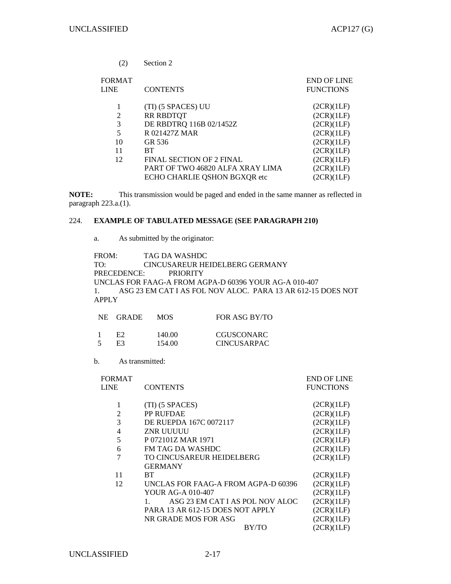| (2)                          | Section 2                        |                                        |
|------------------------------|----------------------------------|----------------------------------------|
| <b>FORMAT</b><br><b>LINE</b> | <b>CONTENTS</b>                  | <b>END OF LINE</b><br><b>FUNCTIONS</b> |
| 1                            | (TI) (5 SPACES) UU               | (2CR)(1LF)                             |
| 2                            | <b>RR RBDTQT</b>                 | (2CR)(1LF)                             |
| 3                            | DE RBDTRQ 116B 02/1452Z          | (2CR)(1LF)                             |
| 5                            | R 021427Z MAR                    | (2CR)(1LF)                             |
| 10                           | GR 536                           | (2CR)(1LF)                             |
| 11                           | <b>BT</b>                        | (2CR)(1LF)                             |
| 12                           | <b>FINAL SECTION OF 2 FINAL</b>  | (2CR)(1LF)                             |
|                              | PART OF TWO 46820 ALFA XRAY LIMA | (2CR)(1LF)                             |
|                              | ECHO CHARLIE QSHON BGXQR etc     | (2CR)(1LF)                             |

**NOTE:** This transmission would be paged and ended in the same manner as reflected in paragraph 223.a.(1).

## 224. **EXAMPLE OF TABULATED MESSAGE (SEE PARAGRAPH 210)**

a. As submitted by the originator:

FROM: TAG DA WASHDC TO: CINCUSAREUR HEIDELBERG GERMANY PRECEDENCE: PRIORITY UNCLAS FOR FAAG-A FROM AGPA-D 60396 YOUR AG-A 010-407 1. ASG 23 EM CAT I AS FOL NOV ALOC. PARA 13 AR 612-15 DOES NOT APPLY

|        | NE GRADE | MOS.   | FOR ASG BY/TO      |
|--------|----------|--------|--------------------|
| 1      | E2.      | 140.00 | <b>CGUSCONARC</b>  |
| $\leq$ | E3.      | 154.00 | <b>CINCUSARPAC</b> |

b. As transmitted:

| <b>FORMAT</b>  |                                     | <b>END OF LINE</b> |
|----------------|-------------------------------------|--------------------|
| <b>LINE</b>    | <b>CONTENTS</b>                     | <b>FUNCTIONS</b>   |
| 1              | (TI) (5 SPACES)                     | (2CR)(1LF)         |
| $\overline{2}$ | PP RUFDAE                           | (2CR)(1LF)         |
| 3              | DE RUEPDA 167C 0072117              | (2CR)(1LF)         |
| $\overline{4}$ | ZNR UUUUU                           | (2CR)(1LF)         |
| 5              | P 072101Z MAR 1971                  | (2CR)(1LF)         |
| 6              | FM TAG DA WASHDC                    | (2CR)(1LF)         |
| 7              | TO CINCUSAREUR HEIDELBERG           | (2CR)(1LF)         |
|                | <b>GERMANY</b>                      |                    |
| 11             | BТ                                  | (2CR)(1LF)         |
| 12             | UNCLAS FOR FAAG-A FROM AGPA-D 60396 | (2CR)(1LF)         |
|                | YOUR AG-A 010-407                   | (2CR)(1LF)         |
|                | ASG 23 EM CAT I AS POL NOV ALOC     | (2CR)(1LF)         |
|                | PARA 13 AR 612-15 DOES NOT APPLY    | (2CR)(1LF)         |
|                | NR GRADE MOS FOR ASG                | (2CR)(1LF)         |
|                | BY/TO                               | (2CR)(1LF)         |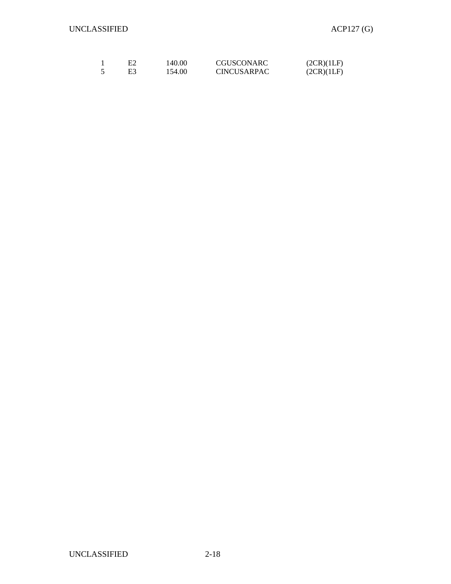| E2 | 140.00 | CGUSCONARC         | (2CR)(1LF) |
|----|--------|--------------------|------------|
| E3 | 154.00 | <b>CINCUSARPAC</b> | (2CR)(1LF) |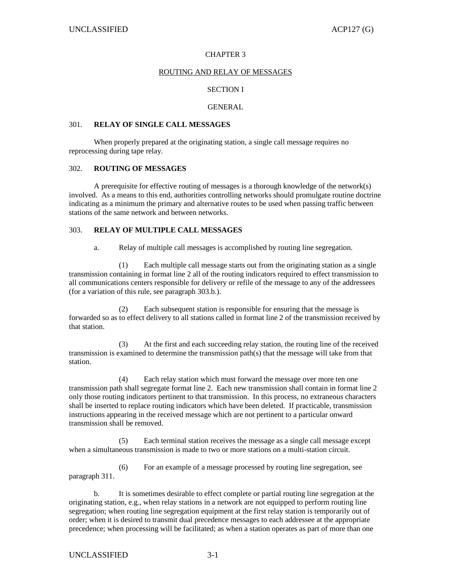### CHAPTER 3

### ROUTING AND RELAY OF MESSAGES

## SECTION I

#### GENERAL

#### 301. **RELAY OF SINGLE CALL MESSAGES**

 When properly prepared at the originating station, a single call message requires no reprocessing during tape relay.

#### 302. **ROUTING OF MESSAGES**

 A prerequisite for effective routing of messages is a thorough knowledge of the network(s) involved. As a means to this end, authorities controlling networks should promulgate routine doctrine indicating as a minimum the primary and alternative routes to be used when passing traffic between stations of the same network and between networks.

### 303. **RELAY OF MULTIPLE CALL MESSAGES**

a. Relay of multiple call messages is accomplished by routing line segregation.

 (1) Each multiple call message starts out from the originating station as a single transmission containing in format line 2 all of the routing indicators required to effect transmission to all communications centers responsible for delivery or refile of the message to any of the addressees (for a variation of this rule, see paragraph 303.b.).

 (2) Each subsequent station is responsible for ensuring that the message is forwarded so as to effect delivery to all stations called in format line 2 of the transmission received by that station.

 (3) At the first and each succeeding relay station, the routing line of the received transmission is examined to determine the transmission path(s) that the message will take from that station.

 (4) Each relay station which must forward the message over more ten one transmission path shall segregate format line 2. Each new transmission shall contain in format line 2 only those routing indicators pertinent to that transmission. In this process, no extraneous characters shall be inserted to replace routing indicators which have been deleted. If practicable, transmission instructions appearing in the received message which are not pertinent to a particular onward transmission shall be removed.

 (5) Each terminal station receives the message as a single call message except when a simultaneous transmission is made to two or more stations on a multi-station circuit.

 (6) For an example of a message processed by routing line segregation, see paragraph 311.

 b. It is sometimes desirable to effect complete or partial routing line segregation at the originating station, e.g., when relay stations in a network are not equipped to perform routing line segregation; when routing line segregation equipment at the first relay station is temporarily out of order; when it is desired to transmit dual precedence messages to each addressee at the appropriate precedence; when processing will be facilitated; as when a station operates as part of more than one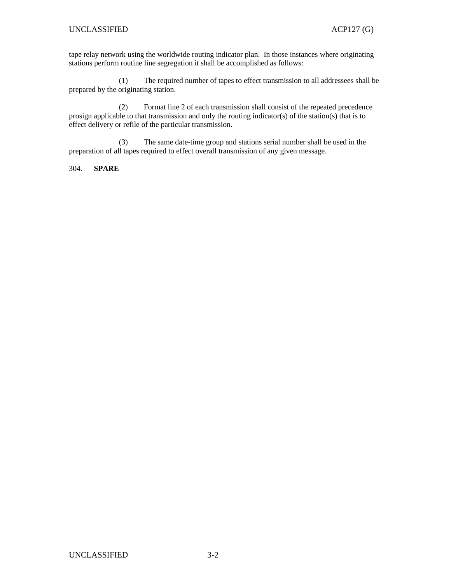tape relay network using the worldwide routing indicator plan. In those instances where originating stations perform routine line segregation it shall be accomplished as follows:

 (1) The required number of tapes to effect transmission to all addressees shall be prepared by the originating station.

 (2) Format line 2 of each transmission shall consist of the repeated precedence prosign applicable to that transmission and only the routing indicator(s) of the station(s) that is to effect delivery or refile of the particular transmission.

 (3) The same date-time group and stations serial number shall be used in the preparation of all tapes required to effect overall transmission of any given message.

304. **SPARE**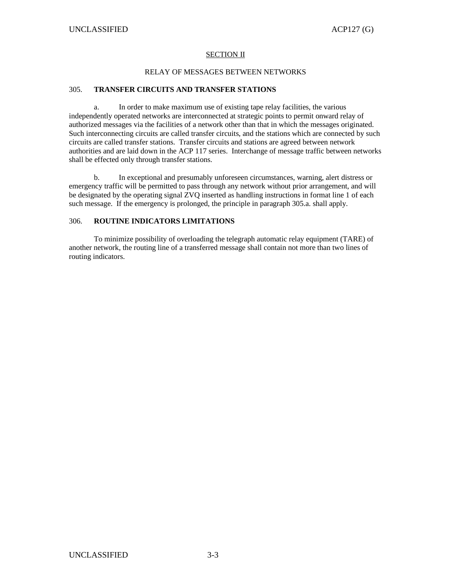## SECTION II

### RELAY OF MESSAGES BETWEEN NETWORKS

# 305. **TRANSFER CIRCUITS AND TRANSFER STATIONS**

 a. In order to make maximum use of existing tape relay facilities, the various independently operated networks are interconnected at strategic points to permit onward relay of authorized messages via the facilities of a network other than that in which the messages originated. Such interconnecting circuits are called transfer circuits, and the stations which are connected by such circuits are called transfer stations. Transfer circuits and stations are agreed between network authorities and are laid down in the ACP 117 series. Interchange of message traffic between networks shall be effected only through transfer stations.

 b. In exceptional and presumably unforeseen circumstances, warning, alert distress or emergency traffic will be permitted to pass through any network without prior arrangement, and will be designated by the operating signal ZVQ inserted as handling instructions in format line 1 of each such message. If the emergency is prolonged, the principle in paragraph 305.a. shall apply.

# 306. **ROUTINE INDICATORS LIMITATIONS**

 To minimize possibility of overloading the telegraph automatic relay equipment (TARE) of another network, the routing line of a transferred message shall contain not more than two lines of routing indicators.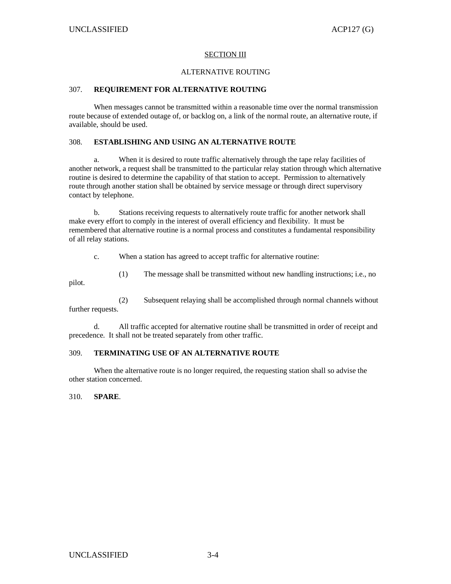### SECTION III

#### ALTERNATIVE ROUTING

# 307. **REQUIREMENT FOR ALTERNATIVE ROUTING**

 When messages cannot be transmitted within a reasonable time over the normal transmission route because of extended outage of, or backlog on, a link of the normal route, an alternative route, if available, should be used.

## 308. **ESTABLISHING AND USING AN ALTERNATIVE ROUTE**

 a. When it is desired to route traffic alternatively through the tape relay facilities of another network, a request shall be transmitted to the particular relay station through which alternative routine is desired to determine the capability of that station to accept. Permission to alternatively route through another station shall be obtained by service message or through direct supervisory contact by telephone.

 b. Stations receiving requests to alternatively route traffic for another network shall make every effort to comply in the interest of overall efficiency and flexibility. It must be remembered that alternative routine is a normal process and constitutes a fundamental responsibility of all relay stations.

c. When a station has agreed to accept traffic for alternative routine:

(1) The message shall be transmitted without new handling instructions; i.e., no

 (2) Subsequent relaying shall be accomplished through normal channels without further requests.

 d. All traffic accepted for alternative routine shall be transmitted in order of receipt and precedence. It shall not be treated separately from other traffic.

## 309. **TERMINATING USE OF AN ALTERNATIVE ROUTE**

 When the alternative route is no longer required, the requesting station shall so advise the other station concerned.

310. **SPARE**.

pilot.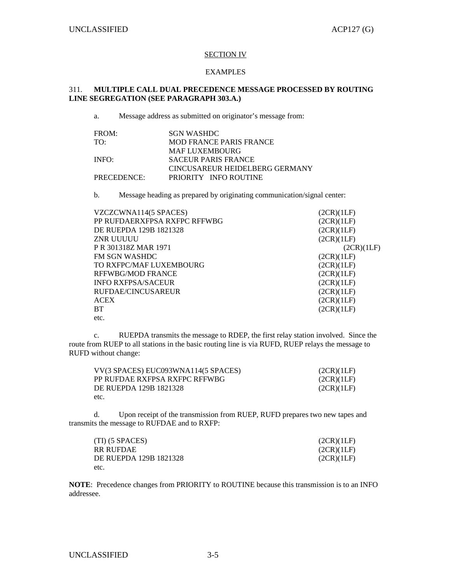### SECTION IV

#### EXAMPLES

# 311. **MULTIPLE CALL DUAL PRECEDENCE MESSAGE PROCESSED BY ROUTING LINE SEGREGATION (SEE PARAGRAPH 303.A.)**

a. Message address as submitted on originator's message from:

| FROM: |             | SGN WASHDC            |                            |                                |  |
|-------|-------------|-----------------------|----------------------------|--------------------------------|--|
| TO:   |             |                       | MOD FRANCE PARIS FRANCE    |                                |  |
|       |             | <b>MAF LUXEMBOURG</b> |                            |                                |  |
| INFO: |             |                       | <b>SACEUR PARIS FRANCE</b> |                                |  |
|       |             |                       |                            | CINCUSAREUR HEIDELBERG GERMANY |  |
|       | PRECEDENCE: |                       | PRIORITY INFO ROUTINE      |                                |  |

b. Message heading as prepared by originating communication/signal center:

| VZCZCWNA114(5 SPACES)        | (2CR)(1LF) |
|------------------------------|------------|
| PP RUFDAERXFPSA RXFPC RFFWBG | (2CR)(1LF) |
| DE RUEPDA 129B 1821328       | (2CR)(1LF) |
| ZNR UUUUU                    | (2CR)(1LF) |
| P R 301318Z MAR 1971         | (2CR)(1LF) |
| <b>FM SGN WASHDC</b>         | (2CR)(1LF) |
| TO RXFPC/MAF LUXEMBOURG      | (2CR)(1LF) |
| <b>RFFWBG/MOD FRANCE</b>     | (2CR)(1LF) |
| <b>INFO RXFPSA/SACEUR</b>    | (2CR)(1LF) |
| RUFDAE/CINCUSAREUR           | (2CR)(1LF) |
| <b>ACEX</b>                  | (2CR)(1LF) |
| <b>BT</b>                    | (2CR)(1LF) |
| etc.                         |            |

 c. RUEPDA transmits the message to RDEP, the first relay station involved. Since the route from RUEP to all stations in the basic routing line is via RUFD, RUEP relays the message to RUFD without change:

| VV(3 SPACES) EUC093WNA114(5 SPACES) | (2CR)(1LF) |
|-------------------------------------|------------|
| PP RUFDAE RXFPSA RXFPC RFFWBG       | (2CR)(1LF) |
| DE RUEPDA 129B 1821328              | (2CR)(1LF) |
| etc.                                |            |

 d. Upon receipt of the transmission from RUEP, RUFD prepares two new tapes and transmits the message to RUFDAE and to RXFP:

| $(TI)$ (5 SPACES)      | (2CR)(1LF) |
|------------------------|------------|
| RR RUFDAE              | (2CR)(1LF) |
| DE RUEPDA 129B 1821328 | (2CR)(1LF) |
| etc.                   |            |

**NOTE**: Precedence changes from PRIORITY to ROUTINE because this transmission is to an INFO addressee.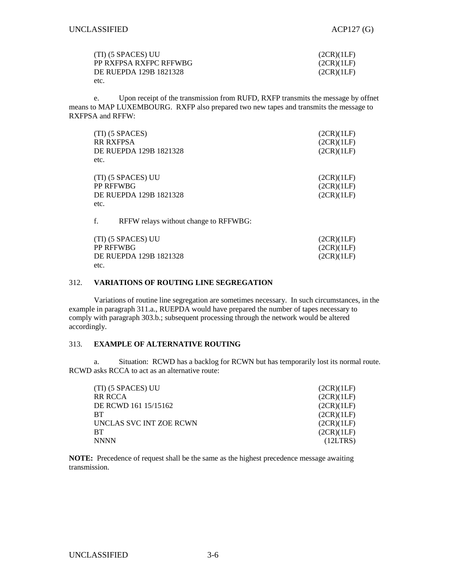| (TI) (5 SPACES) UU     | (2CR)(1LF) |
|------------------------|------------|
| PP RXFPSA RXFPC RFFWBG | (2CR)(1LF) |
| DE RUEPDA 129B 1821328 | (2CR)(1LF) |
| etc.                   |            |

 e. Upon receipt of the transmission from RUFD, RXFP transmits the message by offnet means to MAP LUXEMBOURG. RXFP also prepared two new tapes and transmits the message to RXFPSA and RFFW:

| etc. | (TI) (5 SPACES)<br><b>RR RXFPSA</b><br>DE RUEPDA 129B 1821328 | (2CR)(1LF)<br>(2CR)(1LF)<br>(2CR)(1LF) |
|------|---------------------------------------------------------------|----------------------------------------|
| etc. | (TI) (5 SPACES) UU<br>PP RFFWBG<br>DE RUEPDA 129B 1821328     | (2CR)(1LF)<br>(2CR)(1LF)<br>(2CR)(1LF) |
| f.   | RFFW relays without change to RFFWBG:                         |                                        |

 $(TI)$  (5 SPACES) UU (2CR)(1LF) PP RFFWBG (2CR)(1LF) DE RUEPDA 129B 1821328 (2CR)(1LF) etc.

#### 312. **VARIATIONS OF ROUTING LINE SEGREGATION**

 Variations of routine line segregation are sometimes necessary. In such circumstances, in the example in paragraph 311.a., RUEPDA would have prepared the number of tapes necessary to comply with paragraph 303.b.; subsequent processing through the network would be altered accordingly.

### 313. **EXAMPLE OF ALTERNATIVE ROUTING**

 a. Situation: RCWD has a backlog for RCWN but has temporarily lost its normal route. RCWD asks RCCA to act as an alternative route:

| (2CR)(1LF) |
|------------|
| (2CR)(1LF) |
| (2CR)(1LF) |
| (2CR)(1LF) |
| (2CR)(1LF) |
| (2CR)(1LF) |
| (12LTRS)   |
|            |

**NOTE:** Precedence of request shall be the same as the highest precedence message awaiting transmission.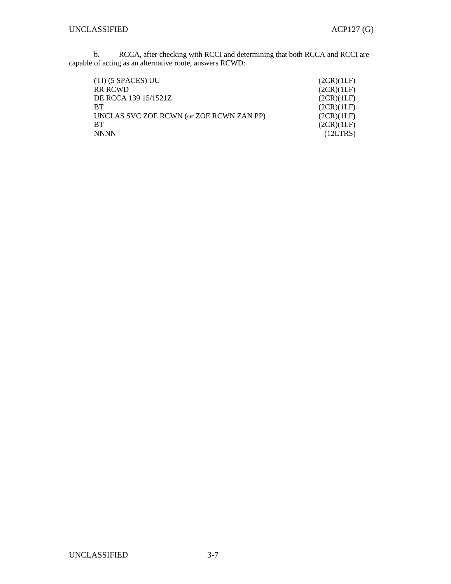b. RCCA, after checking with RCCI and determining that both RCCA and RCCI are capable of acting as an alternative route, answers RCWD:

| (TI) (5 SPACES) UU                       | (2CR)(1LF) |
|------------------------------------------|------------|
| <b>RR RCWD</b>                           | (2CR)(1LF) |
| DE RCCA 139 15/1521Z                     | (2CR)(1LF) |
| <b>BT</b>                                | (2CR)(1LF) |
| UNCLAS SVC ZOE RCWN (or ZOE RCWN ZAN PP) | (2CR)(1LF) |
| RT                                       | (2CR)(1LF) |
| <b>NNNN</b>                              | (12LTRS)   |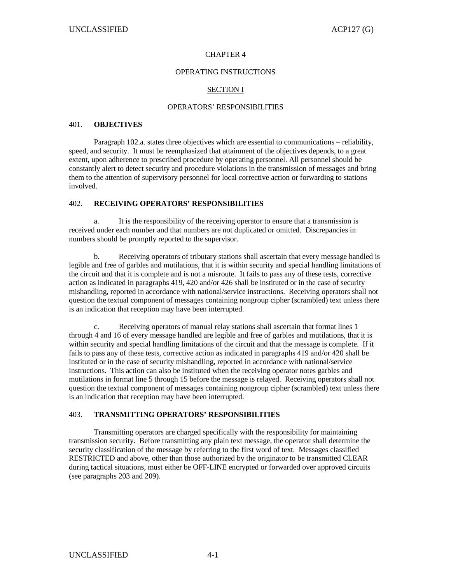#### CHAPTER 4

#### OPERATING INSTRUCTIONS

## SECTION I

#### OPERATORS' RESPONSIBILITIES

#### 401. **OBJECTIVES**

 Paragraph 102.a. states three objectives which are essential to communications – reliability, speed, and security. It must be reemphasized that attainment of the objectives depends, to a great extent, upon adherence to prescribed procedure by operating personnel. All personnel should be constantly alert to detect security and procedure violations in the transmission of messages and bring them to the attention of supervisory personnel for local corrective action or forwarding to stations involved.

### 402. **RECEIVING OPERATORS' RESPONSIBILITIES**

 a. It is the responsibility of the receiving operator to ensure that a transmission is received under each number and that numbers are not duplicated or omitted. Discrepancies in numbers should be promptly reported to the supervisor.

 b. Receiving operators of tributary stations shall ascertain that every message handled is legible and free of garbles and mutilations, that it is within security and special handling limitations of the circuit and that it is complete and is not a misroute. It fails to pass any of these tests, corrective action as indicated in paragraphs 419, 420 and/or 426 shall be instituted or in the case of security mishandling, reported in accordance with national/service instructions. Receiving operators shall not question the textual component of messages containing nongroup cipher (scrambled) text unless there is an indication that reception may have been interrupted.

 c. Receiving operators of manual relay stations shall ascertain that format lines 1 through 4 and 16 of every message handled are legible and free of garbles and mutilations, that it is within security and special handling limitations of the circuit and that the message is complete. If it fails to pass any of these tests, corrective action as indicated in paragraphs 419 and/or 420 shall be instituted or in the case of security mishandling, reported in accordance with national/service instructions. This action can also be instituted when the receiving operator notes garbles and mutilations in format line 5 through 15 before the message is relayed. Receiving operators shall not question the textual component of messages containing nongroup cipher (scrambled) text unless there is an indication that reception may have been interrupted.

## 403. **TRANSMITTING OPERATORS' RESPONSIBILITIES**

 Transmitting operators are charged specifically with the responsibility for maintaining transmission security. Before transmitting any plain text message, the operator shall determine the security classification of the message by referring to the first word of text. Messages classified RESTRICTED and above, other than those authorized by the originator to be transmitted CLEAR during tactical situations, must either be OFF-LINE encrypted or forwarded over approved circuits (see paragraphs 203 and 209).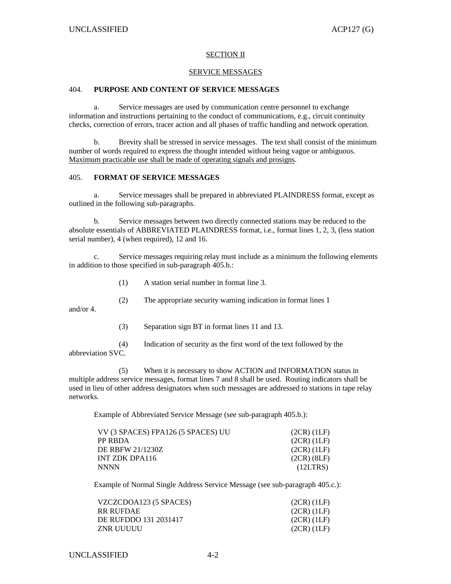### SECTION II

#### SERVICE MESSAGES

# 404. **PURPOSE AND CONTENT OF SERVICE MESSAGES**

Service messages are used by communication centre personnel to exchange information and instructions pertaining to the conduct of communications, e.g., circuit continuity checks, correction of errors, tracer action and all phases of traffic handling and network operation.

 b. Brevity shall be stressed in service messages. The text shall consist of the minimum number of words required to express the thought intended without being vague or ambiguous. Maximum practicable use shall be made of operating signals and prosigns.

### 405. **FORMAT OF SERVICE MESSAGES**

 a. Service messages shall be prepared in abbreviated PLAINDRESS format, except as outlined in the following sub-paragraphs.

 b. Service messages between two directly connected stations may be reduced to the absolute essentials of ABBREVIATED PLAINDRESS format, i.e., format lines 1, 2, 3, (less station serial number), 4 (when required), 12 and 16.

 c. Service messages requiring relay must include as a minimum the following elements in addition to those specified in sub-paragraph 405.b.:

- (1) A station serial number in format line 3.
- (2) The appropriate security warning indication in format lines 1

and/or 4.

(3) Separation sign BT in format lines 11 and 13.

 (4) Indication of security as the first word of the text followed by the abbreviation SVC.

 (5) When it is necessary to show ACTION and INFORMATION status in multiple address service messages, format lines 7 and 8 shall be used. Routing indicators shall be used in lieu of other address designators when such messages are addressed to stations in tape relay networks.

Example of Abbreviated Service Message (see sub-paragraph 405.b.):

| VV (3 SPACES) FPA126 (5 SPACES) UU | $(2CR)$ $(1LF)$ |
|------------------------------------|-----------------|
| PP RBDA                            | $(2CR)$ $(1LF)$ |
| DE RBFW 21/1230Z                   | $(2CR)$ $(1LF)$ |
| INT ZDK DPA116                     | $(2CR)$ $(8LF)$ |
| NNNN                               | (12LTRS)        |

Example of Normal Single Address Service Message (see sub-paragraph 405.c.):

| VZCZCDOA123 (5 SPACES) | $(2CR)$ $(1LF)$ |
|------------------------|-----------------|
| RR RUFDAE.             | (2CR) (1LF)     |
| DE RUFDDO 131 2031417  | $(2CR)$ $(1LF)$ |
| ZNR UUUUU              | (2CR) (1LF)     |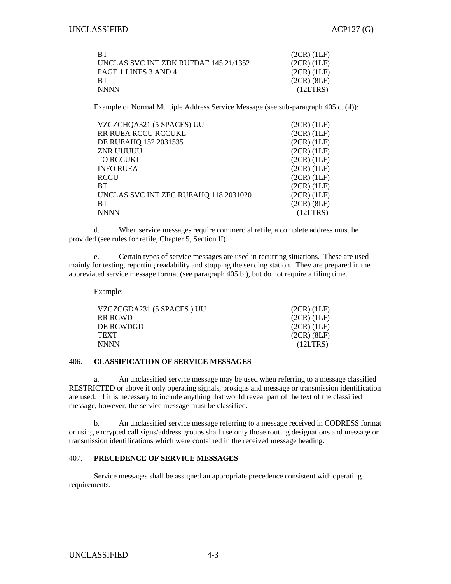| <b>BT</b>                             | $(2CR)$ $(1LF)$ |
|---------------------------------------|-----------------|
| UNCLAS SVC INT ZDK RUFDAE 145 21/1352 | $(2CR)$ $(1LF)$ |
| PAGE 1 LINES 3 AND 4                  | $(2CR)$ $(1LF)$ |
| RT.                                   | $(2CR)$ $(8LF)$ |
| <b>NNNN</b>                           | (12LTRS)        |

Example of Normal Multiple Address Service Message (see sub-paragraph 405.c. (4)):

| VZCZCHQA321 (5 SPACES) UU             | $(2CR)$ $(1LF)$ |
|---------------------------------------|-----------------|
| RR RUEA RCCU RCCUKL                   | $(2CR)$ $(1LF)$ |
| DE RUEAHQ 152 2031535                 | $(2CR)$ $(1LF)$ |
| ZNR UUUUU                             | $(2CR)$ $(1LF)$ |
| TO RCCUKL                             | $(2CR)$ $(1LF)$ |
| <b>INFO RUEA</b>                      | $(2CR)$ $(1LF)$ |
| RCCU                                  | $(2CR)$ $(1LF)$ |
| BТ                                    | $(2CR)$ $(1LF)$ |
| UNCLAS SVC INT ZEC RUEAHQ 118 2031020 | $(2CR)$ $(1LF)$ |
| BТ                                    | $(2CR)$ $(8LF)$ |
| NNNN                                  | (12LTRS)        |
|                                       |                 |

 d. When service messages require commercial refile, a complete address must be provided (see rules for refile, Chapter 5, Section II).

 e. Certain types of service messages are used in recurring situations. These are used mainly for testing, reporting readability and stopping the sending station. They are prepared in the abbreviated service message format (see paragraph 405.b.), but do not require a filing time.

Example:

| $(2CR)$ $(1LF)$ |
|-----------------|
| $(2CR)$ $(1LF)$ |
| $(2CR)$ $(1LF)$ |
| $(2CR)$ $(8LF)$ |
| (12LTRS)        |
|                 |

## 406. **CLASSIFICATION OF SERVICE MESSAGES**

 a. An unclassified service message may be used when referring to a message classified RESTRICTED or above if only operating signals, prosigns and message or transmission identification are used. If it is necessary to include anything that would reveal part of the text of the classified message, however, the service message must be classified.

b. An unclassified service message referring to a message received in CODRESS format or using encrypted call signs/address groups shall use only those routing designations and message or transmission identifications which were contained in the received message heading.

## 407. **PRECEDENCE OF SERVICE MESSAGES**

 Service messages shall be assigned an appropriate precedence consistent with operating requirements.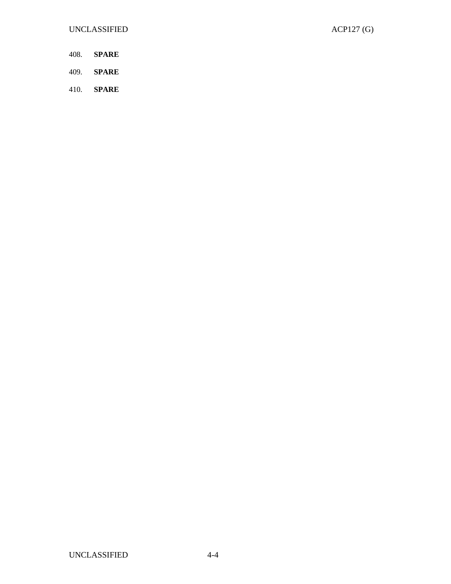- 408. **SPARE**
- 409. **SPARE**
- 410. **SPARE**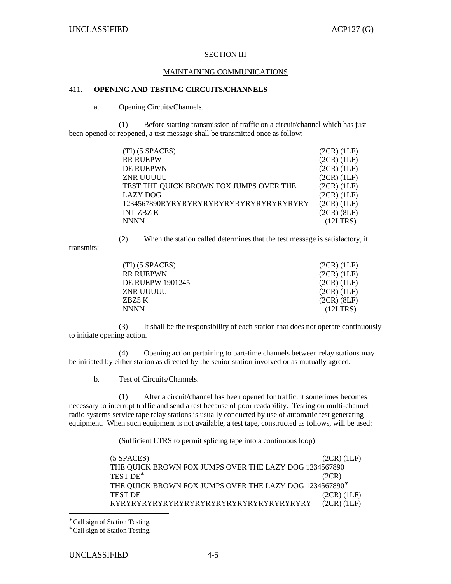### **SECTION III**

### MAINTAINING COMMUNICATIONS

# 411. **OPENING AND TESTING CIRCUITS/CHANNELS**

a. Opening Circuits/Channels.

 (1) Before starting transmission of traffic on a circuit/channel which has just been opened or reopened, a test message shall be transmitted once as follow:

| (TI) (5 SPACES)                         | $(2CR)$ $(1LF)$ |
|-----------------------------------------|-----------------|
|                                         |                 |
| <b>RR RUEPW</b>                         | $(2CR)$ $(1LF)$ |
| DE RUEPWN                               | $(2CR)$ $(1LF)$ |
| ZNR UUUUU                               | $(2CR)$ $(1LF)$ |
| TEST THE QUICK BROWN FOX JUMPS OVER THE | $(2CR)$ $(1LF)$ |
| <b>LAZY DOG</b>                         | $(2CR)$ $(1LF)$ |
| 1234567890RYRYRYRYRYRYRYRYRYRYRYRYRYRY  | $(2CR)$ $(1LF)$ |
| <b>INT ZBZ K</b>                        | $(2CR)$ $(8LF)$ |
| <b>NNNN</b>                             | (12LTRS)        |

(2) When the station called determines that the test message is satisfactory, it

transmits:

| (TI) (5 SPACES)  | $(2CR)$ $(1LF)$ |
|------------------|-----------------|
| RR RUEPWN        | $(2CR)$ $(1LF)$ |
| DE RUEPW 1901245 | $(2CR)$ $(1LF)$ |
| ZNR UUUUU        | $(2CR)$ $(1LF)$ |
| ZBZ5 K           | $(2CR)$ $(8LF)$ |
| NNNN             | (12LTRS)        |
|                  |                 |

 (3) It shall be the responsibility of each station that does not operate continuously to initiate opening action.

 (4) Opening action pertaining to part-time channels between relay stations may be initiated by either station as directed by the senior station involved or as mutually agreed.

b. Test of Circuits/Channels.

 (1) After a circuit/channel has been opened for traffic, it sometimes becomes necessary to interrupt traffic and send a test because of poor readability. Testing on multi-channel radio systems service tape relay stations is usually conducted by use of automatic test generating equipment. When such equipment is not available, a test tape, constructed as follows, will be used:

(Sufficient LTRS to permit splicing tape into a continuous loop)

| $(5$ SPACES $)$                                         | $(2CR)$ $(1LF)$ |
|---------------------------------------------------------|-----------------|
| THE QUICK BROWN FOX JUMPS OVER THE LAZY DOG 1234567890  |                 |
| TEST DE*                                                | (2CR)           |
| THE QUICK BROWN FOX JUMPS OVER THE LAZY DOG 1234567890* |                 |
| <b>TEST DE</b>                                          | $(2CR)$ $(1LF)$ |
| RYRYRYRYRYRYRYRYRYRYRYRYRYRYRYRYRYRYRY                  | $(2CR)$ $(1LF)$ |

∗ Call sign of Station Testing.

-

<sup>∗</sup> Call sign of Station Testing.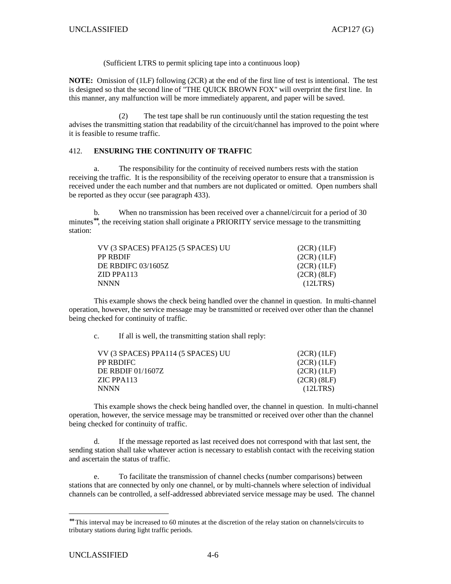(Sufficient LTRS to permit splicing tape into a continuous loop)

**NOTE:** Omission of (1LF) following (2CR) at the end of the first line of test is intentional. The test is designed so that the second line of "THE QUICK BROWN FOX" will overprint the first line. In this manner, any malfunction will be more immediately apparent, and paper will be saved.

 (2) The test tape shall be run continuously until the station requesting the test advises the transmitting station that readability of the circuit/channel has improved to the point where it is feasible to resume traffic.

## 412. **ENSURING THE CONTINUITY OF TRAFFIC**

 a. The responsibility for the continuity of received numbers rests with the station receiving the traffic. It is the responsibility of the receiving operator to ensure that a transmission is received under the each number and that numbers are not duplicated or omitted. Open numbers shall be reported as they occur (see paragraph 433).

 b. When no transmission has been received over a channel/circuit for a period of 30 minutes<sup>∗∗</sup>, the receiving station shall originate a PRIORITY service message to the transmitting station:

| VV (3 SPACES) PFA125 (5 SPACES) UU | $(2CR)$ $(1LF)$ |
|------------------------------------|-----------------|
| PP RBDIF                           | (2CR)(1LF)      |
| DE RBDIFC 03/1605Z                 | $(2CR)$ (1LF)   |
| ZID PPA113                         | $(2CR)$ $(8LF)$ |
| NNNN                               | (12LTRS)        |

 This example shows the check being handled over the channel in question. In multi-channel operation, however, the service message may be transmitted or received over other than the channel being checked for continuity of traffic.

c. If all is well, the transmitting station shall reply:

| VV (3 SPACES) PPA114 (5 SPACES) UU | $(2CR)$ $(1LF)$ |
|------------------------------------|-----------------|
| PP RBDIFC_                         | $(2CR)$ (1LF)   |
| DE RBDIF 01/1607Z                  | $(2CR)$ (1LF)   |
| ZIC PPA113                         | $(2CR)$ $(8LF)$ |
| NNNN                               | (12LTRS)        |

 This example shows the check being handled over, the channel in question. In multi-channel operation, however, the service message may be transmitted or received over other than the channel being checked for continuity of traffic.

 d. If the message reported as last received does not correspond with that last sent, the sending station shall take whatever action is necessary to establish contact with the receiving station and ascertain the status of traffic.

 e. To facilitate the transmission of channel checks (number comparisons) between stations that are connected by only one channel, or by multi-channels where selection of individual channels can be controlled, a self-addressed abbreviated service message may be used. The channel

-

<sup>∗∗</sup> This interval may be increased to 60 minutes at the discretion of the relay station on channels/circuits to tributary stations during light traffic periods.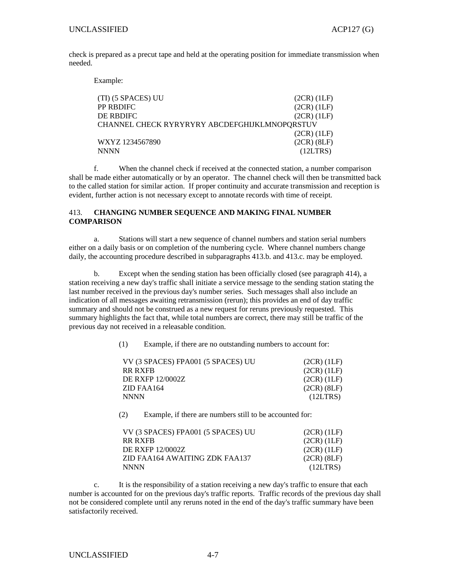check is prepared as a precut tape and held at the operating position for immediate transmission when needed.

Example:

| (TI) (5 SPACES) UU                            | (2CR) (1LF)     |
|-----------------------------------------------|-----------------|
| PP RBDIFC                                     | $(2CR)$ $(1LF)$ |
| DE RBDIFC-                                    | $(2CR)$ $(1LF)$ |
| CHANNEL CHECK RYRYRYRY ABCDEFGHIJKLMNOPQRSTUV |                 |
|                                               | $(2CR)$ $(1LF)$ |
| WXYZ 1234567890                               | $(2CR)$ $(8LF)$ |
| NNNN                                          | (12LTRS)        |
|                                               |                 |

 f. When the channel check if received at the connected station, a number comparison shall be made either automatically or by an operator. The channel check will then be transmitted back to the called station for similar action. If proper continuity and accurate transmission and reception is evident, further action is not necessary except to annotate records with time of receipt.

### 413. **CHANGING NUMBER SEQUENCE AND MAKING FINAL NUMBER COMPARISON**

a. Stations will start a new sequence of channel numbers and station serial numbers either on a daily basis or on completion of the numbering cycle. Where channel numbers change daily, the accounting procedure described in subparagraphs 413.b. and 413.c. may be employed.

 b. Except when the sending station has been officially closed (see paragraph 414), a station receiving a new day's traffic shall initiate a service message to the sending station stating the last number received in the previous day's number series. Such messages shall also include an indication of all messages awaiting retransmission (rerun); this provides an end of day traffic summary and should not be construed as a new request for reruns previously requested. This summary highlights the fact that, while total numbers are correct, there may still be traffic of the previous day not received in a releasable condition.

(1) Example, if there are no outstanding numbers to account for:

| $(2CR)$ $(1LF)$ |
|-----------------|
| (2CR) (1LF)     |
| $(2CR)$ $(1LF)$ |
| $(2CR)$ $(8LF)$ |
| (12LTRS)        |
|                 |

(2) Example, if there are numbers still to be accounted for:

| VV (3 SPACES) FPA001 (5 SPACES) UU | $(2CR)$ $(1LF)$ |
|------------------------------------|-----------------|
| RR RXFB                            | $(2CR)$ $(1LF)$ |
| DE RXFP 12/0002Z                   | $(2CR)$ $(1LF)$ |
| ZID FAA164 AWAITING ZDK FAA137     | $(2CR)$ $(8LF)$ |
| <b>NNNN</b>                        | (12LTRS)        |

 c. It is the responsibility of a station receiving a new day's traffic to ensure that each number is accounted for on the previous day's traffic reports. Traffic records of the previous day shall not be considered complete until any reruns noted in the end of the day's traffic summary have been satisfactorily received.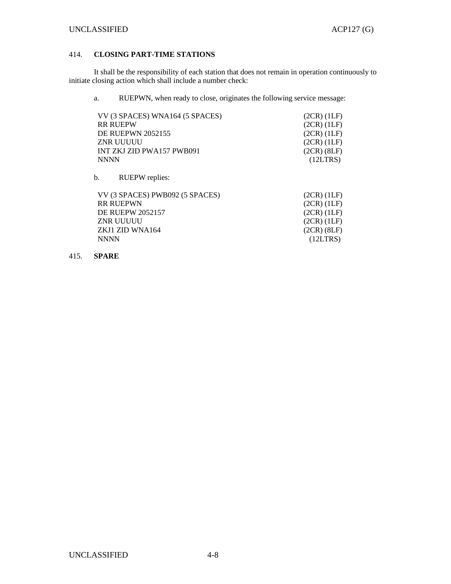# 414. **CLOSING PART-TIME STATIONS**

 It shall be the responsibility of each station that does not remain in operation continuously to initiate closing action which shall include a number check:

a. RUEPWN, when ready to close, originates the following service message:

| VV (3 SPACES) WNA164 (5 SPACES) | $(2CR)$ $(1LF)$ |
|---------------------------------|-----------------|
| <b>RR RUEPW</b>                 | $(2CR)$ $(1LF)$ |
| <b>DE RUEPWN 2052155</b>        | $(2CR)$ $(1LF)$ |
| ZNR UUUUU                       | (2CR) (1LF)     |
| INT ZKJ ZID PWA157 PWB091       | $(2CR)$ $(8LF)$ |
| <b>NNNN</b>                     | (12LTRS)        |

b. RUEPW replies:

| VV (3 SPACES) PWB092 (5 SPACES) | $(2CR)$ $(1LF)$ |
|---------------------------------|-----------------|
| <b>RR RUEPWN</b>                | $(2CR)$ $(1LF)$ |
| <b>DE RUEPW 2052157</b>         | $(2CR)$ $(1LF)$ |
| ZNR UUUUU                       | $(2CR)$ $(1LF)$ |
| ZKJ1 ZID WNA164                 | $(2CR)$ $(8LF)$ |
| NNNN.                           | (12LTRS)        |

# 415. **SPARE**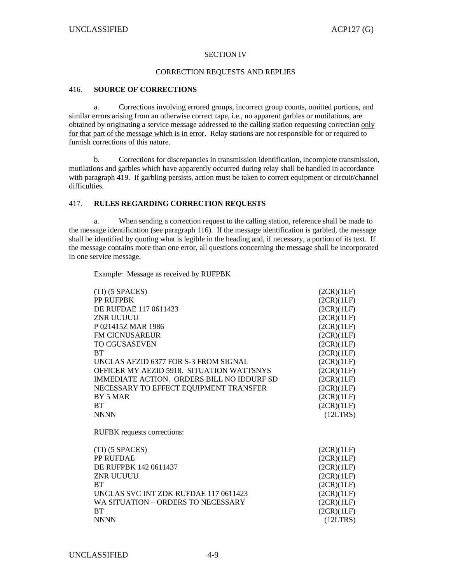### SECTION IV

#### CORRECTION REQUESTS AND REPLIES

# 416. **SOURCE OF CORRECTIONS**

 a. Corrections involving errored groups, incorrect group counts, omitted portions, and similar errors arising from an otherwise correct tape, i.e., no apparent garbles or mutilations, are obtained by originating a service message addressed to the calling station requesting correction only for that part of the message which is in error. Relay stations are not responsible for or required to furnish corrections of this nature.

 b. Corrections for discrepancies in transmission identification, incomplete transmission, mutilations and garbles which have apparently occurred during relay shall be handled in accordance with paragraph 419. If garbling persists, action must be taken to correct equipment or circuit/channel difficulties.

## 417. **RULES REGARDING CORRECTION REQUESTS**

 a. When sending a correction request to the calling station, reference shall be made to the message identification (see paragraph 116). If the message identification is garbled, the message shall be identified by quoting what is legible in the heading and, if necessary, a portion of its text. If the message contains more than one error, all questions concerning the message shall be incorporated in one service message.

Example: Message as received by RUFPBK

| (TI) (5 SPACES)                            | (2CR)(1LF) |
|--------------------------------------------|------------|
| PP RUFPBK                                  | (2CR)(1LF) |
| DE RUFDAE 117 0611423                      | (2CR)(1LF) |
| <b>ZNR UUUUU</b>                           | (2CR)(1LF) |
| P021415Z MAR 1986                          | (2CR)(1LF) |
| <b>FM CICNUSAREUR</b>                      | (2CR)(1LF) |
| <b>TO CGUSASEVEN</b>                       | (2CR)(1LF) |
| <b>BT</b>                                  | (2CR)(1LF) |
| UNCLAS AFZID 6377 FOR S-3 FROM SIGNAL      | (2CR)(1LF) |
| OFFICER MY AEZID 5918. SITUATION WATTSNYS  | (2CR)(1LF) |
| IMMEDIATE ACTION. ORDERS BILL NO IDDURE SD | (2CR)(1LF) |
| NECESSARY TO EFFECT EQUIPMENT TRANSFER     | (2CR)(1LF) |
| BY 5 MAR                                   | (2CR)(1LF) |
| <b>BT</b>                                  | (2CR)(1LF) |
| <b>NNNN</b>                                | (12LTRS)   |
| RUFBK requests corrections:                |            |
| (TI) (5 SPACES)                            | (2CR)(1LF) |
| PP RUFDAE                                  | (2CR)(1LF) |
| DE RUFPBK 142 0611437                      | (2CR)(1LF) |
| ZNR UUUUU                                  | (2CR)(1LF) |
| <b>BT</b>                                  | (2CR)(1LF) |
| UNCLAS SVC INT ZDK RUFDAE 117 0611423      | (2CR)(1LF) |
| WA SITUATION – ORDERS TO NECESSARY         | (2CR)(1LF) |
| <b>BT</b>                                  | (2CR)(1LF) |
| <b>NNNN</b>                                | (12LTRS)   |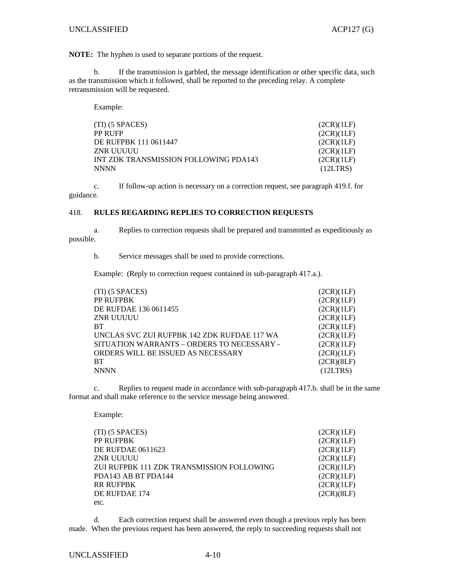**NOTE:** The hyphen is used to separate portions of the request.

 b. If the transmission is garbled, the message identification or other specific data, such as the transmission which it followed, shall be reported to the preceding relay. A complete retransmission will be requested.

Example:

| $(TI)$ (5 SPACES)                     | (2CR)(1LF) |
|---------------------------------------|------------|
| PP RUFP                               | (2CR)(1LF) |
| DE RUFPBK 111 0611447                 | (2CR)(1LF) |
| ZNR UUUUU                             | (2CR)(1LF) |
| INT ZDK TRANSMISSION FOLLOWING PDA143 | (2CR)(1LF) |
| <b>NNNN</b>                           | (12LTRS)   |

 c. If follow-up action is necessary on a correction request, see paragraph 419.f. for guidance.

#### 418. **RULES REGARDING REPLIES TO CORRECTION REQUESTS**

 a. Replies to correction requests shall be prepared and transmitted as expeditiously as possible.

b. Service messages shall be used to provide corrections.

Example: (Reply to correction request contained in sub-paragraph 417.a.).

| $(TI)$ (5 SPACES)                           | (2CR)(1LF) |
|---------------------------------------------|------------|
| PP RUFPBK                                   | (2CR)(1LF) |
| DE RUFDAE 136 0611455                       | (2CR)(1LF) |
| <b>ZNR UUUUU</b>                            | (2CR)(1LF) |
| <b>BT</b>                                   | (2CR)(1LF) |
| UNCLAS SVC ZUI RUFPBK 142 ZDK RUFDAE 117 WA | (2CR)(1LF) |
| SITUATION WARRANTS - ORDERS TO NECESSARY -  | (2CR)(1LF) |
| ORDERS WILL BE ISSUED AS NECESSARY          | (2CR)(1LF) |
| <b>BT</b>                                   | (2CR)(8LF) |
| <b>NNNN</b>                                 | (12LTRS)   |

 c. Replies to request made in accordance with sub-paragraph 417.b. shall be in the same format and shall make reference to the service message being answered.

Example:

| $(TI)$ (5 SPACES)                         | (2CR)(1LF) |
|-------------------------------------------|------------|
| PP RUFPBK                                 | (2CR)(1LF) |
| <b>DE RUFDAE 0611623</b>                  | (2CR)(1LF) |
| ZNR UUUUU                                 | (2CR)(1LF) |
| ZUI RUFPBK 111 ZDK TRANSMISSION FOLLOWING | (2CR)(1LF) |
| PDA143 AB BT PDA144                       | (2CR)(1LF) |
| <b>RR RUFPBK</b>                          | (2CR)(1LF) |
| DE RUFDAE 174                             | (2CR)(8LF) |
| etc.                                      |            |

 d. Each correction request shall be answered even though a previous reply has been made. When the previous request has been answered, the reply to succeeding requests shall not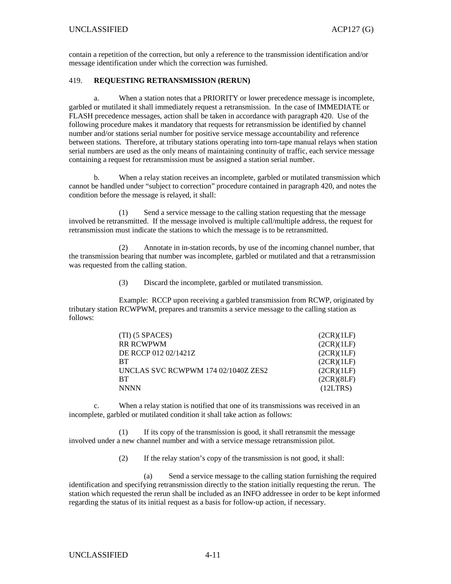# UNCLASSIFIED ACP127 (G)

contain a repetition of the correction, but only a reference to the transmission identification and/or message identification under which the correction was furnished.

### 419. **REQUESTING RETRANSMISSION (RERUN)**

 a. When a station notes that a PRIORITY or lower precedence message is incomplete, garbled or mutilated it shall immediately request a retransmission. In the case of IMMEDIATE or FLASH precedence messages, action shall be taken in accordance with paragraph 420. Use of the following procedure makes it mandatory that requests for retransmission be identified by channel number and/or stations serial number for positive service message accountability and reference between stations. Therefore, at tributary stations operating into torn-tape manual relays when station serial numbers are used as the only means of maintaining continuity of traffic, each service message containing a request for retransmission must be assigned a station serial number.

 b. When a relay station receives an incomplete, garbled or mutilated transmission which cannot be handled under "subject to correction" procedure contained in paragraph 420, and notes the condition before the message is relayed, it shall:

 (1) Send a service message to the calling station requesting that the message involved be retransmitted. If the message involved is multiple call/multiple address, the request for retransmission must indicate the stations to which the message is to be retransmitted.

 (2) Annotate in in-station records, by use of the incoming channel number, that the transmission bearing that number was incomplete, garbled or mutilated and that a retransmission was requested from the calling station.

(3) Discard the incomplete, garbled or mutilated transmission.

 Example: RCCP upon receiving a garbled transmission from RCWP, originated by tributary station RCWPWM, prepares and transmits a service message to the calling station as follows:

| $(TI)$ (5 SPACES)                   | (2CR)(1LF) |
|-------------------------------------|------------|
| <b>RR RCWPWM</b>                    | (2CR)(1LF) |
| DE RCCP 012 02/1421Z                | (2CR)(1LF) |
| <b>BT</b>                           | (2CR)(1LF) |
| UNCLAS SVC RCWPWM 174 02/1040Z ZES2 | (2CR)(1LF) |
| <b>BT</b>                           | (2CR)(8LF) |
| <b>NNNN</b>                         | (12LTRS)   |

 c. When a relay station is notified that one of its transmissions was received in an incomplete, garbled or mutilated condition it shall take action as follows:

 (1) If its copy of the transmission is good, it shall retransmit the message involved under a new channel number and with a service message retransmission pilot.

(2) If the relay station's copy of the transmission is not good, it shall:

 (a) Send a service message to the calling station furnishing the required identification and specifying retransmission directly to the station initially requesting the rerun. The station which requested the rerun shall be included as an INFO addressee in order to be kept informed regarding the status of its initial request as a basis for follow-up action, if necessary.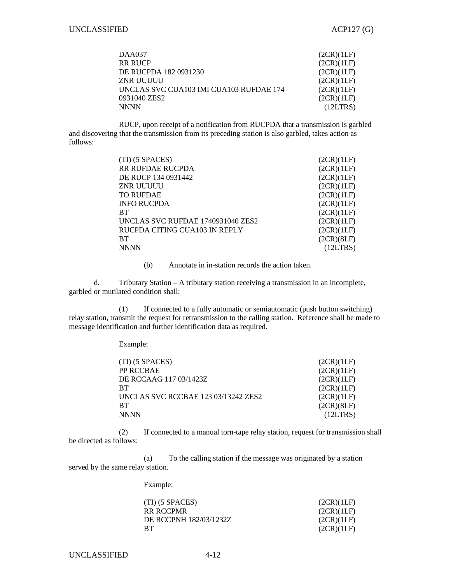| DAA037                                  | (2CR)(1LF) |
|-----------------------------------------|------------|
| <b>RR RUCP</b>                          | (2CR)(1LF) |
| DE RUCPDA 182 0931230                   | (2CR)(1LF) |
| ZNR UUUUU                               | (2CR)(1LF) |
| UNCLAS SVC CUA103 IMI CUA103 RUFDAE 174 | (2CR)(1LF) |
| 0931040 ZES2                            | (2CR)(1LF) |
| <b>NNNN</b>                             | (12LTRS)   |

 RUCP, upon receipt of a notification from RUCPDA that a transmission is garbled and discovering that the transmission from its preceding station is also garbled, takes action as follows:

| $(TI)$ (5 SPACES)                 | (2CR)(1LF) |
|-----------------------------------|------------|
| RR RUFDAE RUCPDA                  | (2CR)(1LF) |
| DE RUCP 134 0931442               | (2CR)(1LF) |
| <b>ZNR UUUUU</b>                  | (2CR)(1LF) |
| <b>TO RUFDAE</b>                  | (2CR)(1LF) |
| <b>INFO RUCPDA</b>                | (2CR)(1LF) |
| <b>BT</b>                         | (2CR)(1LF) |
| UNCLAS SVC RUFDAE 1740931040 ZES2 | (2CR)(1LF) |
| RUCPDA CITING CUA103 IN REPLY     | (2CR)(1LF) |
| <b>BT</b>                         | (2CR)(8LF) |
| <b>NNNN</b>                       | (12LTRS)   |

(b) Annotate in in-station records the action taken.

 d. Tributary Station – A tributary station receiving a transmission in an incomplete, garbled or mutilated condition shall:

 (1) If connected to a fully automatic or semiautomatic (push button switching) relay station, transmit the request for retransmission to the calling station. Reference shall be made to message identification and further identification data as required.

Example:

| $(TI)$ (5 SPACES)                   | (2CR)(1LF) |
|-------------------------------------|------------|
| PP RCCBAE                           | (2CR)(1LF) |
| DE RCCAAG 117 03/1423Z              | (2CR)(1LF) |
| <b>BT</b>                           | (2CR)(1LF) |
| UNCLAS SVC RCCBAE 123 03/13242 ZES2 | (2CR)(1LF) |
| <b>BT</b>                           | (2CR)(8LF) |
| <b>NNNN</b>                         | (12LTRS)   |

 (2) If connected to a manual torn-tape relay station, request for transmission shall be directed as follows:

 (a) To the calling station if the message was originated by a station served by the same relay station.

Example:

| $(TI)$ (5 SPACES)      | (2CR)(1LF) |
|------------------------|------------|
| RR RCCPMR              | (2CR)(1LF) |
| DE RCCPNH 182/03/1232Z | (2CR)(1LF) |
| <b>RT</b>              | (2CR)(1LF) |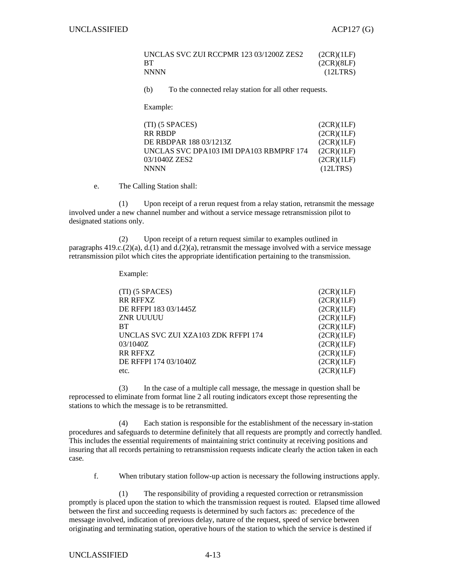| UNCLAS SVC ZUI RCCPMR 123 03/1200Z ZES2 | (2CR)(1LF) |
|-----------------------------------------|------------|
|                                         | (2CR)(8LF) |
| NNNN                                    | (12LTRS)   |

(b) To the connected relay station for all other requests.

Example:

| $(TI)$ (5 SPACES)                       | (2CR)(1LF) |
|-----------------------------------------|------------|
| <b>RR RBDP</b>                          | (2CR)(1LF) |
| DE RBDPAR 188 03/1213Z                  | (2CR)(1LF) |
| UNCLAS SVC DPA103 IMI DPA103 RBMPRF 174 | (2CR)(1LF) |
| 03/1040Z ZES2                           | (2CR)(1LF) |
| <b>NNNN</b>                             | (12LTRS)   |

e. The Calling Station shall:

 (1) Upon receipt of a rerun request from a relay station, retransmit the message involved under a new channel number and without a service message retransmission pilot to designated stations only.

 (2) Upon receipt of a return request similar to examples outlined in paragraphs  $419 \text{c}$ .(2)(a), d.(1) and d.(2)(a), retransmit the message involved with a service message retransmission pilot which cites the appropriate identification pertaining to the transmission.

Example:

| (TI) (5 SPACES)                     | (2CR)(1LF) |
|-------------------------------------|------------|
| <b>RR RFFXZ</b>                     | (2CR)(1LF) |
| DE RFFPI 183 03/1445Z               | (2CR)(1LF) |
| ZNR UUUUU                           | (2CR)(1LF) |
| <b>BT</b>                           | (2CR)(1LF) |
| UNCLAS SVC ZUI XZA103 ZDK RFFPI 174 | (2CR)(1LF) |
| 03/1040Z                            | (2CR)(1LF) |
| <b>RR RFFXZ</b>                     | (2CR)(1LF) |
| DE RFFPI 174 03/1040Z               | (2CR)(1LF) |
| etc.                                | (2CR)(1LF) |

 (3) In the case of a multiple call message, the message in question shall be reprocessed to eliminate from format line 2 all routing indicators except those representing the stations to which the message is to be retransmitted.

 (4) Each station is responsible for the establishment of the necessary in-station procedures and safeguards to determine definitely that all requests are promptly and correctly handled. This includes the essential requirements of maintaining strict continuity at receiving positions and insuring that all records pertaining to retransmission requests indicate clearly the action taken in each case.

f. When tributary station follow-up action is necessary the following instructions apply.

 (1) The responsibility of providing a requested correction or retransmission promptly is placed upon the station to which the transmission request is routed. Elapsed time allowed between the first and succeeding requests is determined by such factors as: precedence of the message involved, indication of previous delay, nature of the request, speed of service between originating and terminating station, operative hours of the station to which the service is destined if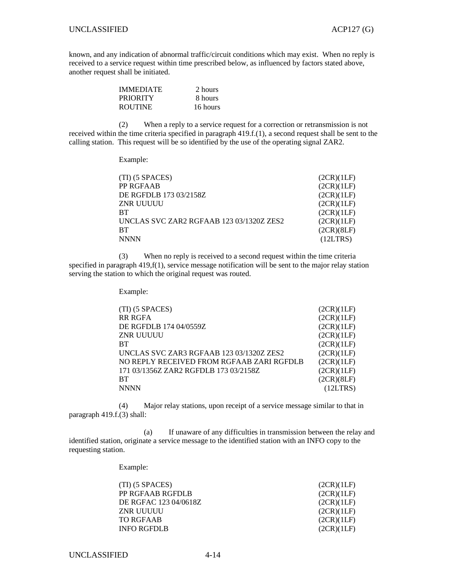known, and any indication of abnormal traffic/circuit conditions which may exist. When no reply is received to a service request within time prescribed below, as influenced by factors stated above, another request shall be initiated.

| <b>IMMEDIATE</b> | 2 hours  |
|------------------|----------|
| <b>PRIORITY</b>  | 8 hours  |
| <b>ROUTINE</b>   | 16 hours |

 (2) When a reply to a service request for a correction or retransmission is not received within the time criteria specified in paragraph 419.f.(1), a second request shall be sent to the calling station. This request will be so identified by the use of the operating signal ZAR2.

Example:

| $(TI)$ (5 SPACES)                        | (2CR)(1LF) |
|------------------------------------------|------------|
| PP RGFAAB                                | (2CR)(1LF) |
| DE RGFDLB 173 03/2158Z                   | (2CR)(1LF) |
| ZNR UUUUU                                | (2CR)(1LF) |
| <b>BT</b>                                | (2CR)(1LF) |
| UNCLAS SVC ZAR2 RGFAAB 123 03/1320Z ZES2 | (2CR)(1LF) |
| <b>BT</b>                                | (2CR)(8LF) |
| <b>NNNN</b>                              | (12LTRS)   |

 (3) When no reply is received to a second request within the time criteria specified in paragraph 419,f(1), service message notification will be sent to the major relay station serving the station to which the original request was routed.

Example:

| $(TI)$ (5 SPACES)                         | (2CR)(1LF) |
|-------------------------------------------|------------|
| <b>RR RGFA</b>                            | (2CR)(1LF) |
| DE RGFDLB 174 04/0559Z                    | (2CR)(1LF) |
| ZNR UUUUU                                 | (2CR)(1LF) |
| <b>BT</b>                                 | (2CR)(1LF) |
| UNCLAS SVC ZAR3 RGFAAB 123 03/1320Z ZES2  | (2CR)(1LF) |
| NO REPLY RECEIVED FROM RGFAAB ZARI RGFDLB | (2CR)(1LF) |
| 171 03/1356Z ZAR2 RGFDLB 173 03/2158Z     | (2CR)(1LF) |
| <b>BT</b>                                 | (2CR)(8LF) |
| <b>NNNN</b>                               | (12LTRS)   |

 (4) Major relay stations, upon receipt of a service message similar to that in paragraph 419.f.(3) shall:

 (a) If unaware of any difficulties in transmission between the relay and identified station, originate a service message to the identified station with an INFO copy to the requesting station.

Example:

| $(TI)$ (5 SPACES)     | (2CR)(1LF) |
|-----------------------|------------|
| PP RGFAAB RGFDLB      | (2CR)(1LF) |
| DE RGFAC 123 04/0618Z | (2CR)(1LF) |
| ZNR UUUUU             | (2CR)(1LF) |
| TO RGFAAB             | (2CR)(1LF) |
| <b>INFO RGFDLB</b>    | (2CR)(1LF) |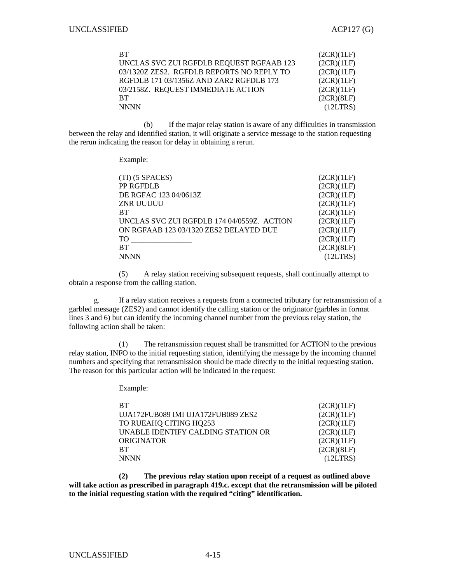| <b>BT</b>                                 | (2CR)(1LF) |
|-------------------------------------------|------------|
| UNCLAS SVC ZUI RGFDLB REQUEST RGFAAB 123  | (2CR)(1LF) |
| 03/1320Z ZES2. RGFDLB REPORTS NO REPLY TO | (2CR)(1LF) |
| RGFDLB 171 03/1356Z AND ZAR2 RGFDLB 173   | (2CR)(1LF) |
| 03/2158Z. REQUEST IMMEDIATE ACTION        | (2CR)(1LF) |
| <b>BT</b>                                 | (2CR)(8LF) |
| <b>NNNN</b>                               | (12LTRS)   |

 (b) If the major relay station is aware of any difficulties in transmission between the relay and identified station, it will originate a service message to the station requesting the rerun indicating the reason for delay in obtaining a rerun.

Example:

| $(TI)$ (5 SPACES)                          | (2CR)(1LF) |
|--------------------------------------------|------------|
| PP RGFDLB                                  | (2CR)(1LF) |
| DE RGFAC 123 04/0613Z                      | (2CR)(1LF) |
| ZNR UUUUU                                  | (2CR)(1LF) |
| <b>BT</b>                                  | (2CR)(1LF) |
| UNCLAS SVC ZUI RGFDLB 174 04/0559Z. ACTION | (2CR)(1LF) |
| ON RGFAAB 123 03/1320 ZES2 DELAYED DUE     | (2CR)(1LF) |
| TO                                         | (2CR)(1LF) |
| <b>BT</b>                                  | (2CR)(8LF) |
| <b>NNNN</b>                                | (12LTRS)   |

 (5) A relay station receiving subsequent requests, shall continually attempt to obtain a response from the calling station.

 g. If a relay station receives a requests from a connected tributary for retransmission of a garbled message (ZES2) and cannot identify the calling station or the originator (garbles in format lines 3 and 6) but can identify the incoming channel number from the previous relay station, the following action shall be taken:

 (1) The retransmission request shall be transmitted for ACTION to the previous relay station, INFO to the initial requesting station, identifying the message by the incoming channel numbers and specifying that retransmission should be made directly to the initial requesting station. The reason for this particular action will be indicated in the request:

Example:

| <b>BT</b>                          | (2CR)(1LF) |
|------------------------------------|------------|
| UJA172FUB089 IMI UJA172FUB089 ZES2 | (2CR)(1LF) |
| TO RUEAHQ CITING HQ253             | (2CR)(1LF) |
| UNABLE IDENTIFY CALDING STATION OR | (2CR)(1LF) |
| <b>ORIGINATOR</b>                  | (2CR)(1LF) |
| RT.                                | (2CR)(8LF) |
| <b>NNNN</b>                        | (12LTRS)   |

 **(2) The previous relay station upon receipt of a request as outlined above will take action as prescribed in paragraph 419.c. except that the retransmission will be piloted to the initial requesting station with the required "citing" identification.**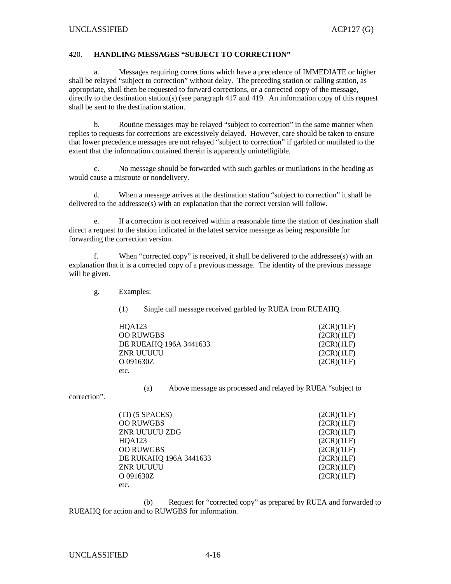#### 420. **HANDLING MESSAGES "SUBJECT TO CORRECTION"**

 a. Messages requiring corrections which have a precedence of IMMEDIATE or higher shall be relayed "subject to correction" without delay. The preceding station or calling station, as appropriate, shall then be requested to forward corrections, or a corrected copy of the message, directly to the destination station(s) (see paragraph 417 and 419. An information copy of this request shall be sent to the destination station.

 b. Routine messages may be relayed "subject to correction" in the same manner when replies to requests for corrections are excessively delayed. However, care should be taken to ensure that lower precedence messages are not relayed "subject to correction" if garbled or mutilated to the extent that the information contained therein is apparently unintelligible.

 c. No message should be forwarded with such garbles or mutilations in the heading as would cause a misroute or nondelivery.

 d. When a message arrives at the destination station "subject to correction" it shall be delivered to the addressee(s) with an explanation that the correct version will follow.

 e. If a correction is not received within a reasonable time the station of destination shall direct a request to the station indicated in the latest service message as being responsible for forwarding the correction version.

 f. When "corrected copy" is received, it shall be delivered to the addressee(s) with an explanation that it is a corrected copy of a previous message. The identity of the previous message will be given.

g. Examples:

(1) Single call message received garbled by RUEA from RUEAHQ.

| HOA123                 | (2CR)(1LF) |
|------------------------|------------|
| <b>OO RUWGBS</b>       | (2CR)(1LF) |
| DE RUEAHQ 196A 3441633 | (2CR)(1LF) |
| ZNR UUUUU              | (2CR)(1LF) |
| O 091630Z              | (2CR)(1LF) |
| etc.                   |            |

(a) Above message as processed and relayed by RUEA "subject to

correction".

| $(TI)$ (5 SPACES)      | (2CR)(1LF) |
|------------------------|------------|
| <b>OO RUWGBS</b>       | (2CR)(1LF) |
| ZNR UUUUU ZDG          | (2CR)(1LF) |
| HQA123                 | (2CR)(1LF) |
| <b>OO RUWGBS</b>       | (2CR)(1LF) |
| DE RUKAHQ 196A 3441633 | (2CR)(1LF) |
| <b>ZNR UUUUU</b>       | (2CR)(1LF) |
| O 091630Z              | (2CR)(1LF) |
| etc.                   |            |

 (b) Request for "corrected copy" as prepared by RUEA and forwarded to RUEAHQ for action and to RUWGBS for information.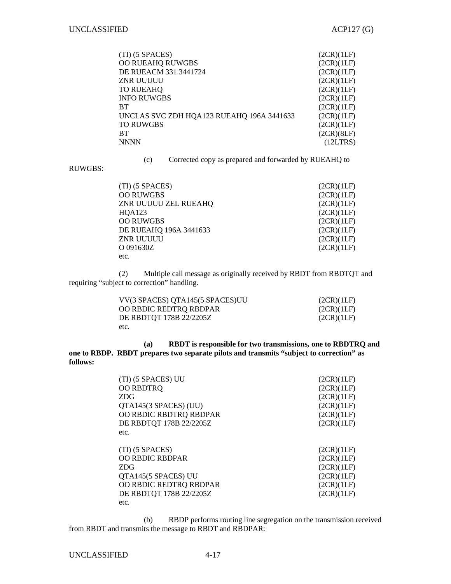| $(TI)$ (5 SPACES)                         | (2CR)(1LF) |
|-------------------------------------------|------------|
| OO RUEAHQ RUWGBS                          | (2CR)(1LF) |
| DE RUEACM 331 3441724                     | (2CR)(1LF) |
| <b>ZNR UUUUU</b>                          | (2CR)(1LF) |
| <b>TO RUEAHQ</b>                          | (2CR)(1LF) |
| <b>INFO RUWGBS</b>                        | (2CR)(1LF) |
| <b>BT</b>                                 | (2CR)(1LF) |
| UNCLAS SVC ZDH HQA123 RUEAHQ 196A 3441633 | (2CR)(1LF) |
| <b>TO RUWGBS</b>                          | (2CR)(1LF) |
| <b>BT</b>                                 | (2CR)(8LF) |
| <b>NNNN</b>                               | (12LTRS)   |
|                                           |            |

RUWGBS:

(c) Corrected copy as prepared and forwarded by RUEAHQ to

| $(TI)$ (5 SPACES)      | (2CR)(1LF) |
|------------------------|------------|
| <b>OO RUWGBS</b>       | (2CR)(1LF) |
| ZNR UUUUU ZEL RUEAHQ   | (2CR)(1LF) |
| HQA123                 | (2CR)(1LF) |
| <b>OO RUWGBS</b>       | (2CR)(1LF) |
| DE RUEAHQ 196A 3441633 | (2CR)(1LF) |
| <b>ZNR UUUUU</b>       | (2CR)(1LF) |
| O 091630Z              | (2CR)(1LF) |
| etc.                   |            |

 (2) Multiple call message as originally received by RBDT from RBDTQT and requiring "subject to correction" handling.

| VV(3 SPACES) QTA145(5 SPACES)UU | (2CR)(1LF) |
|---------------------------------|------------|
| OO RBDIC REDTRQ RBDPAR          | (2CR)(1LF) |
| DE RBDTOT 178B 22/2205Z         | (2CR)(1LF) |
| etc.                            |            |

 **(a) RBDT is responsible for two transmissions, one to RBDTRQ and one to RBDP. RBDT prepares two separate pilots and transmits "subject to correction" as follows:** 

| (TI) (5 SPACES) UU<br>OO RBDTRQ<br><b>ZDG</b><br>QTA145(3 SPACES) (UU) | (2CR)(1LF)<br>(2CR)(1LF)<br>(2CR)(1LF)<br>(2CR)(1LF) |
|------------------------------------------------------------------------|------------------------------------------------------|
| OO RBDIC RBDTRQ RBDPAR                                                 | (2CR)(1LF)                                           |
| DE RBDTQT 178B 22/2205Z                                                | (2CR)(1LF)                                           |
| etc.                                                                   |                                                      |
| $(TI)$ (5 SPACES)                                                      | (2CR)(1LF)                                           |
| OO RBDIC RBDPAR                                                        | (2CR)(1LF)                                           |
| <b>ZDG</b>                                                             | (2CR)(1LF)                                           |
| QTA145(5 SPACES) UU                                                    | (2CR)(1LF)                                           |
| OO RBDIC REDTRQ RBDPAR                                                 | (2CR)(1LF)                                           |
| DE RBDTQT 178B 22/2205Z                                                | (2CR)(1LF)                                           |
| etc.                                                                   |                                                      |

 (b) RBDP performs routing line segregation on the transmission received from RBDT and transmits the message to RBDT and RBDPAR: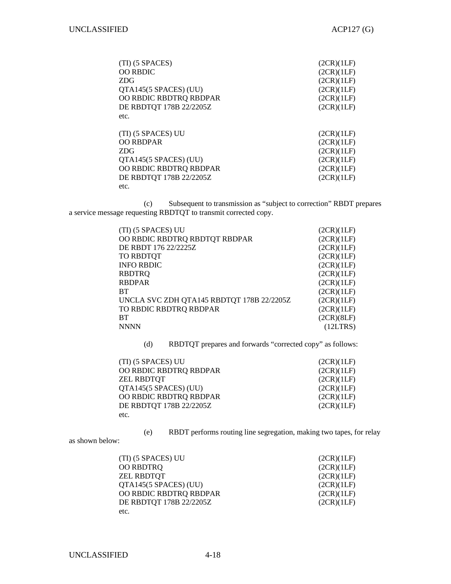| (TI) (5 SPACES)         | (2CR)(1LF) |
|-------------------------|------------|
| OO RBDIC                | (2CR)(1LF) |
| <b>ZDG</b>              | (2CR)(1LF) |
| QTA145(5 SPACES) (UU)   | (2CR)(1LF) |
| OO RBDIC RBDTRQ RBDPAR  | (2CR)(1LF) |
| DE RBDTQT 178B 22/2205Z | (2CR)(1LF) |
| etc.                    |            |
|                         |            |
| (TI) (5 SPACES) UU      | (2CR)(1LF) |
| <b>OO RBDPAR</b>        | (2CR)(1LF) |
| <b>ZDG</b>              | (2CR)(1LF) |
| QTA145(5 SPACES) (UU)   | (2CR)(1LF) |
| OO RBDIC RBDTRQ RBDPAR  | (2CR)(1LF) |
| DE RBDTQT 178B 22/2205Z | (2CR)(1LF) |
| etc.                    |            |

 (c) Subsequent to transmission as "subject to correction" RBDT prepares a service message requesting RBDTQT to transmit corrected copy.

| (TI) (5 SPACES) UU                        | (2CR)(1LF) |
|-------------------------------------------|------------|
| OO RBDIC RBDTRQ RBDTQT RBDPAR             | (2CR)(1LF) |
| DE RBDT 176 22/2225Z                      | (2CR)(1LF) |
| TO RBDTQT                                 | (2CR)(1LF) |
| <b>INFO RBDIC</b>                         | (2CR)(1LF) |
| <b>RBDTRQ</b>                             | (2CR)(1LF) |
| <b>RBDPAR</b>                             | (2CR)(1LF) |
| <b>BT</b>                                 | (2CR)(1LF) |
| UNCLA SVC ZDH QTA145 RBDTQT 178B 22/2205Z | (2CR)(1LF) |
| TO RBDIC RBDTRQ RBDPAR                    | (2CR)(1LF) |
| <b>BT</b>                                 | (2CR)(8LF) |
| <b>NNNN</b>                               | (12LTRS)   |

(d) RBDTQT prepares and forwards "corrected copy" as follows:

| (TI) (5 SPACES) UU      | (2CR)(1LF) |
|-------------------------|------------|
| OO RBDIC RBDTRQ RBDPAR  | (2CR)(1LF) |
| <b>ZEL RBDTOT</b>       | (2CR)(1LF) |
| QTA145(5 SPACES) (UU)   | (2CR)(1LF) |
| OO RBDIC RBDTRQ RBDPAR  | (2CR)(1LF) |
| DE RBDTQT 178B 22/2205Z | (2CR)(1LF) |
| etc.                    |            |

(e) RBDT performs routing line segregation, making two tapes, for relay

as shown below:

| (TI) (5 SPACES) UU      | (2CR)(1LF) |
|-------------------------|------------|
| OO RBDTRQ               | (2CR)(1LF) |
| <b>ZEL RBDTOT</b>       | (2CR)(1LF) |
| QTA145(5 SPACES) (UU)   | (2CR)(1LF) |
| OO RBDIC RBDTRQ RBDPAR  | (2CR)(1LF) |
| DE RBDTQT 178B 22/2205Z | (2CR)(1LF) |
| etc.                    |            |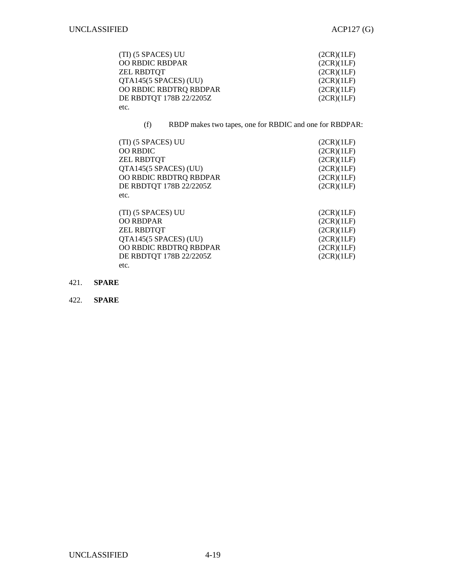| (TI) (5 SPACES) UU      | (2CR)(1LF) |
|-------------------------|------------|
| <b>OO RBDIC RBDPAR</b>  | (2CR)(1LF) |
| <b>ZEL RBDTOT</b>       | (2CR)(1LF) |
| QTA145(5 SPACES) (UU)   | (2CR)(1LF) |
| OO RBDIC RBDTRQ RBDPAR  | (2CR)(1LF) |
| DE RBDTQT 178B 22/2205Z | (2CR)(1LF) |
| etc.                    |            |

(f) RBDP makes two tapes, one for RBDIC and one for RBDPAR:

| (TI) (5 SPACES) UU      | (2CR)(1LF) |
|-------------------------|------------|
| <b>OO RBDIC</b>         | (2CR)(1LF) |
| <b>ZEL RBDTOT</b>       | (2CR)(1LF) |
| QTA145(5 SPACES) (UU)   | (2CR)(1LF) |
| OO RBDIC RBDTRQ RBDPAR  | (2CR)(1LF) |
| DE RBDTQT 178B 22/2205Z | (2CR)(1LF) |
| etc.                    |            |
|                         |            |

| (TI) (5 SPACES) UU      | (2CR)(1LF) |
|-------------------------|------------|
| <b>OO RBDPAR</b>        | (2CR)(1LF) |
| <b>ZEL RBDTOT</b>       | (2CR)(1LF) |
| QTA145(5 SPACES) (UU)   | (2CR)(1LF) |
| OO RBDIC RBDTRQ RBDPAR  | (2CR)(1LF) |
| DE RBDTQT 178B 22/2205Z | (2CR)(1LF) |
| etc.                    |            |

421. **SPARE**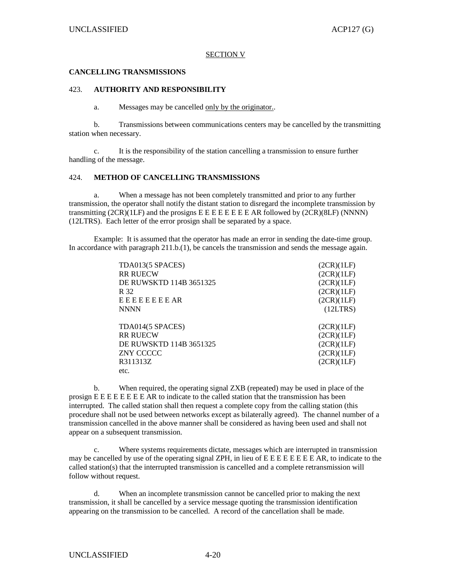#### SECTION V

#### **CANCELLING TRANSMISSIONS**

#### 423. **AUTHORITY AND RESPONSIBILITY**

a. Messages may be cancelled only by the originator..

 b. Transmissions between communications centers may be cancelled by the transmitting station when necessary.

 c. It is the responsibility of the station cancelling a transmission to ensure further handling of the message.

#### 424. **METHOD OF CANCELLING TRANSMISSIONS**

 a. When a message has not been completely transmitted and prior to any further transmission, the operator shall notify the distant station to disregard the incomplete transmission by transmitting  $(2CR)(1LF)$  and the prosigns  $E \nE \nE \nE \nE \nE \nE \nE \nA \nR$  followed by  $(2CR)(8LF)$  (NNNN) (12LTRS). Each letter of the error prosign shall be separated by a space.

 Example: It is assumed that the operator has made an error in sending the date-time group. In accordance with paragraph 211.b.(1), be cancels the transmission and sends the message again.

| TDA013(5 SPACES)        | (2CR)(1LF) |
|-------------------------|------------|
| <b>RR RUECW</b>         | (2CR)(1LF) |
| DE RUWSKTD 114B 3651325 | (2CR)(1LF) |
| R 32                    | (2CR)(1LF) |
| <b>EEEEEEEEAR</b>       | (2CR)(1LF) |
| <b>NNNN</b>             | (12LTRS)   |
|                         |            |
| TDA014(5 SPACES)        | (2CR)(1LF) |
| <b>RR RUECW</b>         | (2CR)(1LF) |
| DE RUWSKTD 114B 3651325 | (2CR)(1LF) |
| ZNY CCCCC               | (2CR)(1LF) |
| R311313Z                | (2CR)(1LF) |
| etc.                    |            |

 b. When required, the operating signal ZXB (repeated) may be used in place of the prosign E E E E E E E E AR to indicate to the called station that the transmission has been interrupted. The called station shall then request a complete copy from the calling station (this procedure shall not be used between networks except as bilaterally agreed). The channel number of a transmission cancelled in the above manner shall be considered as having been used and shall not appear on a subsequent transmission.

Where systems requirements dictate, messages which are interrupted in transmission may be cancelled by use of the operating signal ZPH, in lieu of E E E E E E E E AR, to indicate to the called station(s) that the interrupted transmission is cancelled and a complete retransmission will follow without request.

 d. When an incomplete transmission cannot be cancelled prior to making the next transmission, it shall be cancelled by a service message quoting the transmission identification appearing on the transmission to be cancelled. A record of the cancellation shall be made.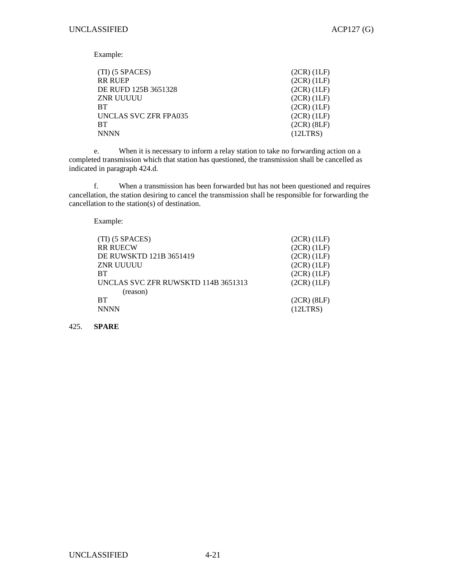Example:

| (TI) (5 SPACES)       | $(2CR)$ $(1LF)$ |
|-----------------------|-----------------|
| RR RUEP               | $(2CR)$ $(1LF)$ |
| DE RUFD 125B 3651328  | $(2CR)$ $(1LF)$ |
| ZNR UUUUU             | $(2CR)$ $(1LF)$ |
| BТ                    | (2CR) (1LF)     |
| UNCLAS SVC ZFR FPA035 | $(2CR)$ $(1LF)$ |
| BТ                    | $(2CR)$ $(8LF)$ |
| NNNN                  | (12LTRS)        |
|                       |                 |

e. When it is necessary to inform a relay station to take no forwarding action on a completed transmission which that station has questioned, the transmission shall be cancelled as indicated in paragraph 424.d.

 f. When a transmission has been forwarded but has not been questioned and requires cancellation, the station desiring to cancel the transmission shall be responsible for forwarding the cancellation to the station(s) of destination.

Example:

| $(TI)$ (5 SPACES)                   | $(2CR)$ $(1LF)$ |
|-------------------------------------|-----------------|
| <b>RR RUECW</b>                     | $(2CR)$ $(1LF)$ |
| DE RUWSKTD 121B 3651419             | $(2CR)$ $(1LF)$ |
| ZNR UUUUU                           | $(2CR)$ $(1LF)$ |
| <b>BT</b>                           | $(2CR)$ $(1LF)$ |
| UNCLAS SVC ZFR RUWSKTD 114B 3651313 | $(2CR)$ $(1LF)$ |
| (reason)                            |                 |
| <b>BT</b>                           | $(2CR)$ $(8LF)$ |
| <b>NNNN</b>                         | (12LTRS)        |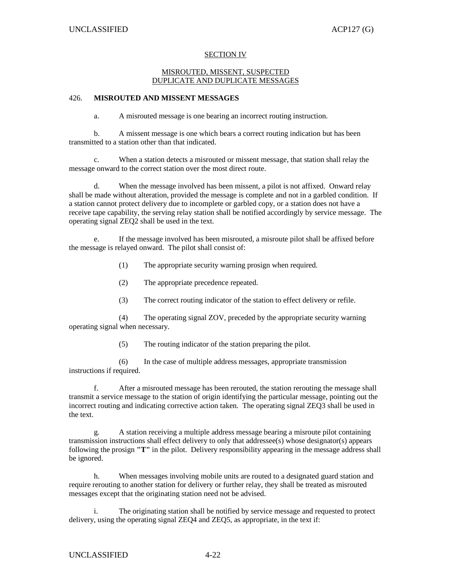## SECTION IV

### MISROUTED, MISSENT, SUSPECTED DUPLICATE AND DUPLICATE MESSAGES

## 426. **MISROUTED AND MISSENT MESSAGES**

a. A misrouted message is one bearing an incorrect routing instruction.

 b. A missent message is one which bears a correct routing indication but has been transmitted to a station other than that indicated.

 c. When a station detects a misrouted or missent message, that station shall relay the message onward to the correct station over the most direct route.

 d. When the message involved has been missent, a pilot is not affixed. Onward relay shall be made without alteration, provided the message is complete and not in a garbled condition. If a station cannot protect delivery due to incomplete or garbled copy, or a station does not have a receive tape capability, the serving relay station shall be notified accordingly by service message. The operating signal ZEQ2 shall be used in the text.

 e. If the message involved has been misrouted, a misroute pilot shall be affixed before the message is relayed onward. The pilot shall consist of:

(1) The appropriate security warning prosign when required.

(2) The appropriate precedence repeated.

(3) The correct routing indicator of the station to effect delivery or refile.

 (4) The operating signal ZOV, preceded by the appropriate security warning operating signal when necessary.

(5) The routing indicator of the station preparing the pilot.

 (6) In the case of multiple address messages, appropriate transmission instructions if required.

 f. After a misrouted message has been rerouted, the station rerouting the message shall transmit a service message to the station of origin identifying the particular message, pointing out the incorrect routing and indicating corrective action taken. The operating signal ZEQ3 shall be used in the text.

 g. A station receiving a multiple address message bearing a misroute pilot containing transmission instructions shall effect delivery to only that addressee(s) whose designator(s) appears following the prosign **"T"** in the pilot. Delivery responsibility appearing in the message address shall be ignored.

 h. When messages involving mobile units are routed to a designated guard station and require rerouting to another station for delivery or further relay, they shall be treated as misrouted messages except that the originating station need not be advised.

 i. The originating station shall be notified by service message and requested to protect delivery, using the operating signal ZEQ4 and ZEQ5, as appropriate, in the text if: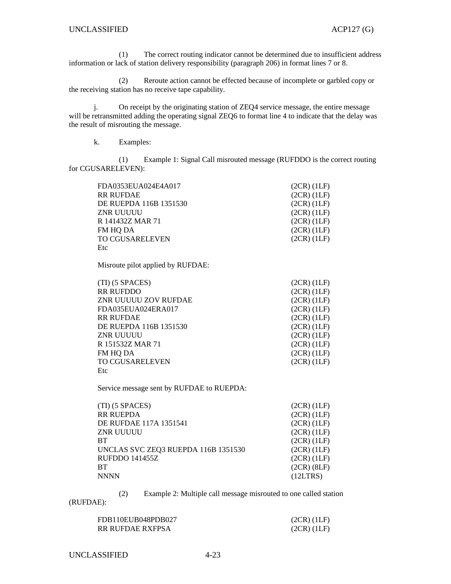(1) The correct routing indicator cannot be determined due to insufficient address information or lack of station delivery responsibility (paragraph 206) in format lines 7 or 8.

 (2) Reroute action cannot be effected because of incomplete or garbled copy or the receiving station has no receive tape capability.

 j. On receipt by the originating station of ZEQ4 service message, the entire message will be retransmitted adding the operating signal ZEQ6 to format line 4 to indicate that the delay was the result of misrouting the message.

k. Examples:

 (1) Example 1: Signal Call misrouted message (RUFDDO is the correct routing for CGUSARELEVEN):

FDA0353EUA024E4A017 (2CR) (1LF) RR RUFDAE (2CR) (1LF) DE RUEPDA 116B 1351530 (2CR) (1LF) ZNR UUUUU (2CR) (1LF) R 141432Z MAR 71 (2CR) (1LF) FM HQ DA (2CR) (1LF) TO CGUSARELEVEN Etc (2CR) (1LF)

Misroute pilot applied by RUFDAE:

| $(TI)$ (5 SPACES)      | $(2CR)$ $(1LF)$ |
|------------------------|-----------------|
| <b>RR RUFDDO</b>       | $(2CR)$ $(1LF)$ |
| ZNR UUUUU ZOV RUFDAE   | $(2CR)$ $(1LF)$ |
| FDA035EUA024ERA017     | $(2CR)$ $(1LF)$ |
| <b>RR RUFDAE</b>       | $(2CR)$ $(1LF)$ |
| DE RUEPDA 116B 1351530 | $(2CR)$ $(1LF)$ |
| <b>ZNR UUUUU</b>       | $(2CR)$ $(1LF)$ |
| R 151532Z MAR 71       | (2CR)(1LF)      |
| FM HQ DA               | $(2CR)$ $(1LF)$ |
| <b>TO CGUSARELEVEN</b> | $(2CR)$ $(1LF)$ |
| Etc                    |                 |

Service message sent by RUFDAE to RUEPDA:

| (TI) (5 SPACES)                     | $(2CR)$ $(1LF)$ |
|-------------------------------------|-----------------|
| RR RUEPDA                           | $(2CR)$ $(1LF)$ |
| DE RUFDAE 117A 1351541              | $(2CR)$ $(1LF)$ |
| ZNR UUUUU                           | $(2CR)$ $(1LF)$ |
| BТ                                  | $(2CR)$ $(1LF)$ |
| UNCLAS SVC ZEQ3 RUEPDA 116B 1351530 | $(2CR)$ $(1LF)$ |
| RUFDDO 141455Z                      | $(2CR)$ $(1LF)$ |
| BТ                                  | $(2CR)$ $(8LF)$ |
| <b>NNNN</b>                         | (12LTRS)        |

(2) Example 2: Multiple call message misrouted to one called station

(RUFDAE):

| FDB110EUB048PDB027 | $(2CR)$ $(1LF)$ |
|--------------------|-----------------|
| RR RUFDAE RXFPSA   | $(2CR)$ $(1LF)$ |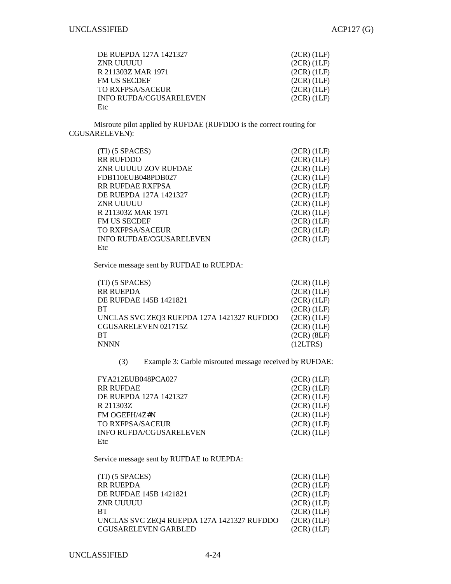| DE RUEPDA 127A 1421327         | $(2CR)$ $(1LF)$ |
|--------------------------------|-----------------|
| ZNR UUUUU                      | $(2CR)$ $(1LF)$ |
| R 211303Z MAR 1971             | (2CR)(1LF)      |
| <b>FM US SECDEF</b>            | $(2CR)$ $(1LF)$ |
| TO RXFPSA/SACEUR               | $(2CR)$ $(1LF)$ |
| <b>INFO RUFDA/CGUSARELEVEN</b> | $(2CR)$ $(1LF)$ |
| Etc                            |                 |

 Misroute pilot applied by RUFDAE (RUFDDO is the correct routing for CGUSARELEVEN):

| $(TI)$ (5 SPACES)               | $(2CR)$ $(1LF)$ |
|---------------------------------|-----------------|
| <b>RR RUFDDO</b>                | $(2CR)$ $(1LF)$ |
| ZNR UUUUU ZOV RUFDAE            | $(2CR)$ $(1LF)$ |
| FDB110EUB048PDB027              | $(2CR)$ $(1LF)$ |
| <b>RR RUFDAE RXFPSA</b>         | $(2CR)$ $(1LF)$ |
| DE RUEPDA 127A 1421327          | $(2CR)$ $(1LF)$ |
| ZNR UUUUU                       | $(2CR)$ $(1LF)$ |
| R 211303Z MAR 1971              | $(2CR)$ $(1LF)$ |
| <b>FM US SECDEF</b>             | $(2CR)$ $(1LF)$ |
| TO RXFPSA/SACEUR                | $(2CR)$ $(1LF)$ |
| <b>INFO RUFDAE/CGUSARELEVEN</b> | $(2CR)$ $(1LF)$ |
| Etc                             |                 |

Service message sent by RUFDAE to RUEPDA:

| $(TI)$ (5 SPACES)                          | $(2CR)$ $(1LF)$ |
|--------------------------------------------|-----------------|
| <b>RR RUEPDA</b>                           | $(2CR)$ $(1LF)$ |
| DE RUFDAE 145B 1421821                     | $(2CR)$ $(1LF)$ |
| <b>BT</b>                                  | $(2CR)$ $(1LF)$ |
| UNCLAS SVC ZEQ3 RUEPDA 127A 1421327 RUFDDO | $(2CR)$ $(1LF)$ |
| CGUSARELEVEN 021715Z                       | $(2CR)$ $(1LF)$ |
| <b>BT</b>                                  | $(2CR)$ $(8LF)$ |
| <b>NNNN</b>                                | (12LTRS)        |

(3) Example 3: Garble misrouted message received by RUFDAE:

| FYA212EUB048PCA027             | $(2CR)$ $(1LF)$ |
|--------------------------------|-----------------|
| <b>RR RUFDAE</b>               | $(2CR)$ $(1LF)$ |
| DE RUEPDA 127A 1421327         | $(2CR)$ $(1LF)$ |
| R 211303Z                      | $(2CR)$ $(1LF)$ |
| FM OGEFH/4Z#N                  | $(2CR)$ $(1LF)$ |
| TO RXFPSA/SACEUR               | $(2CR)$ $(1LF)$ |
| <b>INFO RUFDA/CGUSARELEVEN</b> | $(2CR)$ $(1LF)$ |
| Etc                            |                 |

Service message sent by RUFDAE to RUEPDA:

| $(TI)$ (5 SPACES)                          | $(2CR)$ $(1LF)$ |
|--------------------------------------------|-----------------|
| <b>RR RUEPDA</b>                           | $(2CR)$ $(1LF)$ |
| DE RUFDAE 145B 1421821                     | $(2CR)$ $(1LF)$ |
| <b>ZNR UUUUU</b>                           | $(2CR)$ $(1LF)$ |
| <b>BT</b>                                  | (2CR) (1LF)     |
| UNCLAS SVC ZEQ4 RUEPDA 127A 1421327 RUFDDO | $(2CR)$ $(1LF)$ |
| <b>CGUSARELEVEN GARBLED</b>                | $(2CR)$ $(1LF)$ |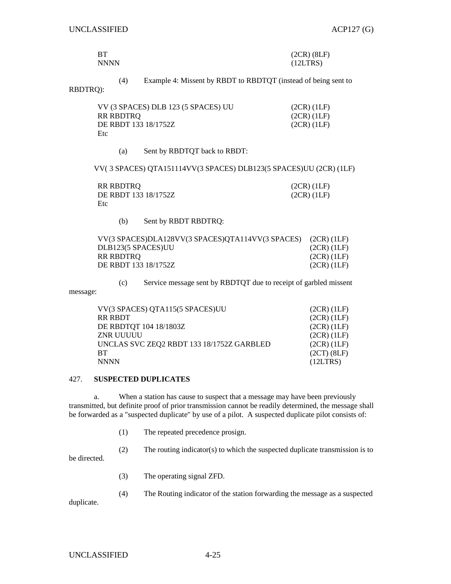| BT          | $(2CR)$ $(8LF)$ |
|-------------|-----------------|
| <b>NNNN</b> | (12LTRS)        |

(4) Example 4: Missent by RBDT to RBDTQT (instead of being sent to

## RBDTRQ):

| VV (3 SPACES) DLB 123 (5 SPACES) UU | (2CR) (1LF) |
|-------------------------------------|-------------|
| RR RBDTRO                           | (2CR) (1LF) |
| DE RBDT 133 18/1752Z                | (2CR) (1LF) |
| Etc                                 |             |

(a) Sent by RBDTQT back to RBDT:

VV( 3 SPACES) QTA151114VV(3 SPACES) DLB123(5 SPACES)UU (2CR) (1LF)

| RR RBDTRO            | $(2CR)$ $(1LF)$ |
|----------------------|-----------------|
| DE RBDT 133 18/1752Z | $(2CR)$ (1LF)   |
| Etc                  |                 |

(b) Sent by RBDT RBDTRQ:

| VV(3 SPACES)DLA128VV(3 SPACES)QTA114VV(3 SPACES) (2CR) (1LF) |                 |
|--------------------------------------------------------------|-----------------|
| DLB123(5 SPACES)UU                                           | (2CR)(1LF)      |
| RR RBDTRO                                                    | (2CR) (1LF)     |
| DE RBDT 133 18/1752Z                                         | $(2CR)$ $(1LF)$ |
|                                                              |                 |

(c) Service message sent by RBDTQT due to receipt of garbled missent

| VV(3 SPACES) QTA115(5 SPACES)UU           | $(2CR)$ $(1LF)$ |
|-------------------------------------------|-----------------|
| RR RBDT                                   | $(2CR)$ $(1LF)$ |
| DE RBDTQT 104 18/1803Z                    | $(2CR)$ $(1LF)$ |
| ZNR UUUUU                                 | $(2CR)$ $(1LF)$ |
| UNCLAS SVC ZEQ2 RBDT 133 18/1752Z GARBLED | $(2CR)$ $(1LF)$ |
| <b>BT</b>                                 | $(2CT)$ $(8LF)$ |
| <b>NNNN</b>                               | (12LTRS)        |

## 427. **SUSPECTED DUPLICATES**

 a. When a station has cause to suspect that a message may have been previously transmitted, but definite proof of prior transmission cannot be readily determined, the message shall be forwarded as a "suspected duplicate" by use of a pilot. A suspected duplicate pilot consists of:

(1) The repeated precedence prosign.

(2) The routing indicator(s) to which the suspected duplicate transmission is to

be directed.

message:

- (3) The operating signal ZFD.
- (4) The Routing indicator of the station forwarding the message as a suspected

duplicate.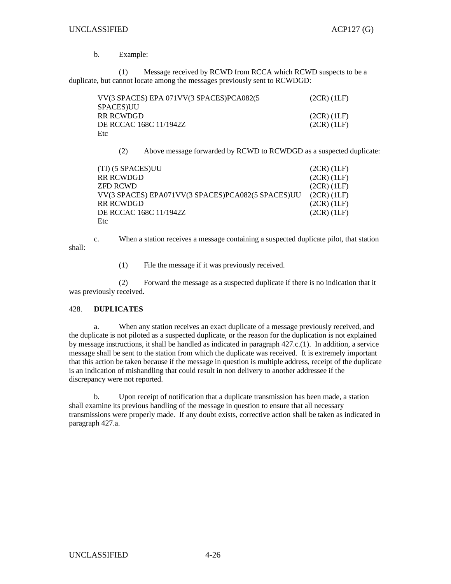## b. Example:

 (1) Message received by RCWD from RCCA which RCWD suspects to be a duplicate, but cannot locate among the messages previously sent to RCWDGD:

| VV(3 SPACES) EPA 071VV(3 SPACES)PCA082(5 | $(2CR)$ $(1LF)$ |
|------------------------------------------|-----------------|
| SPACES)UU                                |                 |
| RR RCWDGD-                               | $(2CR)$ (1LF)   |
| DE RCCAC 168C 11/1942Z                   | (2CR) (1LF)     |
| Etc                                      |                 |

(2) Above message forwarded by RCWD to RCWDGD as a suspected duplicate:

| $(2CR)$ $(1LF)$ |
|-----------------|
| $(2CR)$ $(1LF)$ |
| $(2CR)$ $(1LF)$ |
| $(2CR)$ $(1LF)$ |
| $(2CR)$ $(1LF)$ |
| $(2CR)$ $(1LF)$ |
|                 |
|                 |

 c. When a station receives a message containing a suspected duplicate pilot, that station shall:

(1) File the message if it was previously received.

 (2) Forward the message as a suspected duplicate if there is no indication that it was previously received.

## 428. **DUPLICATES**

 a. When any station receives an exact duplicate of a message previously received, and the duplicate is not piloted as a suspected duplicate, or the reason for the duplication is not explained by message instructions, it shall be handled as indicated in paragraph 427.c.(1). In addition, a service message shall be sent to the station from which the duplicate was received. It is extremely important that this action be taken because if the message in question is multiple address, receipt of the duplicate is an indication of mishandling that could result in non delivery to another addressee if the discrepancy were not reported.

 b. Upon receipt of notification that a duplicate transmission has been made, a station shall examine its previous handling of the message in question to ensure that all necessary transmissions were properly made. If any doubt exists, corrective action shall be taken as indicated in paragraph 427.a.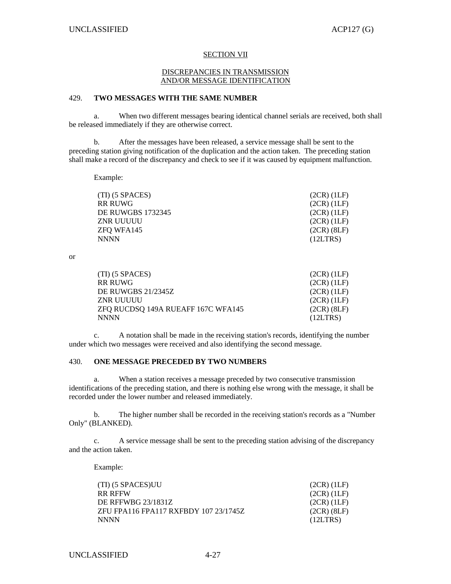#### SECTION VII

#### DISCREPANCIES IN TRANSMISSION AND/OR MESSAGE IDENTIFICATION

## 429. **TWO MESSAGES WITH THE SAME NUMBER**

 a. When two different messages bearing identical channel serials are received, both shall be released immediately if they are otherwise correct.

 b. After the messages have been released, a service message shall be sent to the preceding station giving notification of the duplication and the action taken. The preceding station shall make a record of the discrepancy and check to see if it was caused by equipment malfunction.

Example:

| $(2CR)$ $(1LF)$ |
|-----------------|
| $(2CR)$ $(1LF)$ |
| $(2CR)$ $(1LF)$ |
| $(2CR)$ $(1LF)$ |
| $(2CR)$ $(8LF)$ |
| (12LTRS)        |
|                 |

or

| $(TI)$ (5 SPACES)                  | $(2CR)$ $(1LF)$ |
|------------------------------------|-----------------|
| <b>RR RUWG</b>                     | $(2CR)$ $(1LF)$ |
| <b>DE RUWGBS 21/2345Z</b>          | $(2CR)$ $(1LF)$ |
| ZNR UUUUU                          | $(2CR)$ $(1LF)$ |
| ZFQ RUCDSQ 149A RUEAFF 167C WFA145 | $(2CR)$ $(8LF)$ |
| <b>NNNN</b>                        | (12LTRS)        |

 c. A notation shall be made in the receiving station's records, identifying the number under which two messages were received and also identifying the second message.

## 430. **ONE MESSAGE PRECEDED BY TWO NUMBERS**

 a. When a station receives a message preceded by two consecutive transmission identifications of the preceding station, and there is nothing else wrong with the message, it shall be recorded under the lower number and released immediately.

 b. The higher number shall be recorded in the receiving station's records as a "Number Only" (BLANKED).

 c. A service message shall be sent to the preceding station advising of the discrepancy and the action taken.

Example:

| (TI) (5 SPACES)UU                     | $(2CR)$ $(1LF)$ |
|---------------------------------------|-----------------|
| <b>RR RFFW</b>                        | $(2CR)$ $(1LF)$ |
| DE RFFWBG 23/1831Z                    | $(2CR)$ $(1LF)$ |
| ZFU FPA116 FPA117 RXFBDY 107 23/1745Z | $(2CR)$ $(8LF)$ |
| <b>NNNN</b>                           | (12LTRS)        |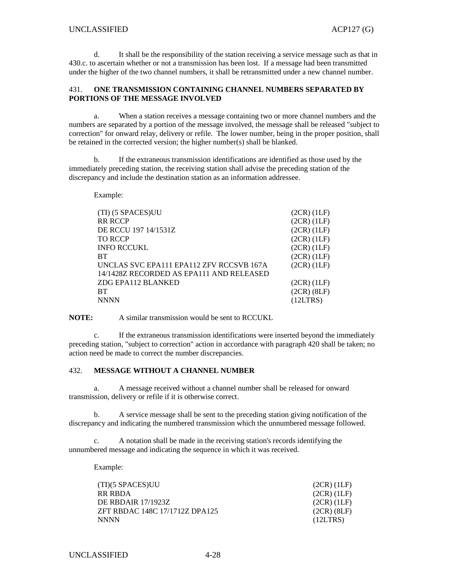d. It shall be the responsibility of the station receiving a service message such as that in 430.c. to ascertain whether or not a transmission has been lost. If a message had been transmitted under the higher of the two channel numbers, it shall be retransmitted under a new channel number.

## 431. **ONE TRANSMISSION CONTAINING CHANNEL NUMBERS SEPARATED BY PORTIONS OF THE MESSAGE INVOLVED**

 a. When a station receives a message containing two or more channel numbers and the numbers are separated by a portion of the message involved, the message shall be released "subject to correction" for onward relay, delivery or refile. The lower number, being in the proper position, shall be retained in the corrected version; the higher number(s) shall be blanked.

 b. If the extraneous transmission identifications are identified as those used by the immediately preceding station, the receiving station shall advise the preceding station of the discrepancy and include the destination station as an information addressee.

Example:

| (TI) (5 SPACES)UU                        | $(2CR)$ $(1LF)$ |
|------------------------------------------|-----------------|
| <b>RR RCCP</b>                           | $(2CR)$ $(1LF)$ |
| DE RCCU 197 14/1531Z                     | $(2CR)$ $(1LF)$ |
| <b>TO RCCP</b>                           | $(2CR)$ $(1LF)$ |
| <b>INFO RCCUKL</b>                       | $(2CR)$ $(1LF)$ |
| <b>BT</b>                                | (2CR)(1LF)      |
| UNCLAS SVC EPA111 EPA112 ZFV RCCSVB 167A | $(2CR)$ $(1LF)$ |
| 14/1428Z RECORDED AS EPA111 AND RELEASED |                 |
| ZDG EPA112 BLANKED                       | $(2CR)$ $(1LF)$ |
| <b>BT</b>                                | $(2CR)$ $(8LF)$ |
| <b>NNNN</b>                              | (12LTRS)        |

**NOTE:** A similar transmission would be sent to RCCUKL

 c. If the extraneous transmission identifications were inserted beyond the immediately preceding station, "subject to correction" action in accordance with paragraph 420 shall be taken; no action need be made to correct the number discrepancies.

## 432. **MESSAGE WITHOUT A CHANNEL NUMBER**

 a. A message received without a channel number shall be released for onward transmission, delivery or refile if it is otherwise correct.

 b. A service message shall be sent to the preceding station giving notification of the discrepancy and indicating the numbered transmission which the unnumbered message followed.

 c. A notation shall be made in the receiving station's records identifying the unnumbered message and indicating the sequence in which it was received.

Example:

| (TI)(5 SPACES)UU               | $(2CR)$ $(1LF)$ |
|--------------------------------|-----------------|
| RR RBDA                        | $(2CR)$ $(1LF)$ |
| <b>DE RBDAIR 17/1923Z</b>      | $(2CR)$ $(1LF)$ |
| ZFT RBDAC 148C 17/1712Z DPA125 | $(2CR)$ $(8LF)$ |
| <b>NNNN</b>                    | (12LTRS)        |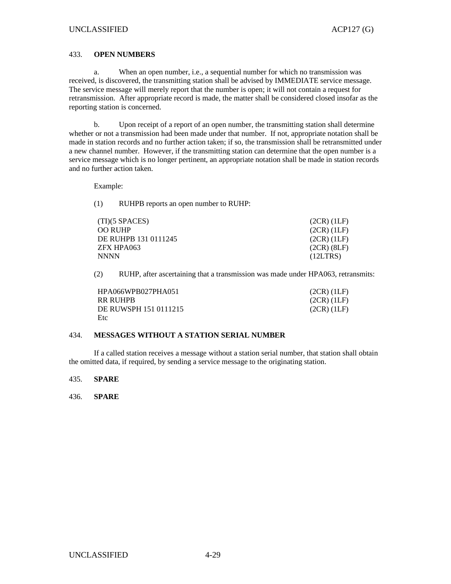### 433. **OPEN NUMBERS**

 a. When an open number, i.e., a sequential number for which no transmission was received, is discovered, the transmitting station shall be advised by IMMEDIATE service message. The service message will merely report that the number is open; it will not contain a request for retransmission. After appropriate record is made, the matter shall be considered closed insofar as the reporting station is concerned.

 b. Upon receipt of a report of an open number, the transmitting station shall determine whether or not a transmission had been made under that number. If not, appropriate notation shall be made in station records and no further action taken; if so, the transmission shall be retransmitted under a new channel number. However, if the transmitting station can determine that the open number is a service message which is no longer pertinent, an appropriate notation shall be made in station records and no further action taken.

Example:

(1) RUHPB reports an open number to RUHP:

| (TI)(5 SPACES)       | $(2CR)$ $(1LF)$ |
|----------------------|-----------------|
| OO RUHP-             | $(2CR)$ $(1LF)$ |
| DE RUHPB 131 0111245 | $(2CR)$ $(1LF)$ |
| ZFX HPA063           | $(2CR)$ $(8LF)$ |
| NNNN                 | (12LTRS)        |

(2) RUHP, after ascertaining that a transmission was made under HPA063, retransmits:

| HPA066WPB027PHA051    | (2CR) (1LF)   |
|-----------------------|---------------|
| RR RUHPB              | $(2CR)$ (1LF) |
| DE RUWSPH 151 0111215 | $(2CR)$ (1LF) |
| Etc                   |               |

## 434. **MESSAGES WITHOUT A STATION SERIAL NUMBER**

 If a called station receives a message without a station serial number, that station shall obtain the omitted data, if required, by sending a service message to the originating station.

435. **SPARE**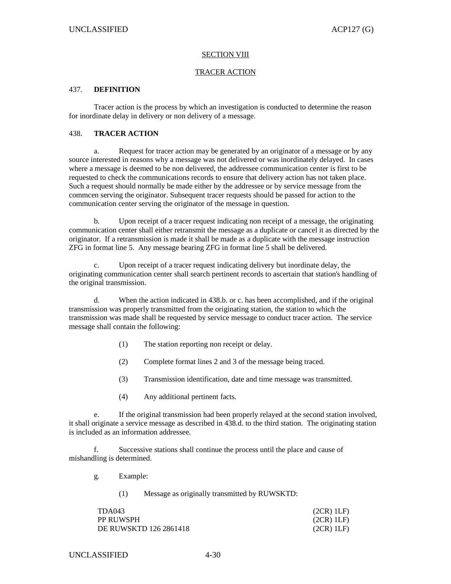#### **SECTION VIII**

#### TRACER ACTION

## 437. **DEFINITION**

 Tracer action is the process by which an investigation is conducted to determine the reason for inordinate delay in delivery or non delivery of a message.

## 438. **TRACER ACTION**

 a. Request for tracer action may be generated by an originator of a message or by any source interested in reasons why a message was not delivered or was inordinately delayed. In cases where a message is deemed to be non delivered, the addressee communication center is first to be requested to check the communications records to ensure that delivery action has not taken place. Such a request should normally be made either by the addressee or by service message from the commcen serving the originator. Subsequent tracer requests should be passed for action to the communication center serving the originator of the message in question.

 b. Upon receipt of a tracer request indicating non receipt of a message, the originating communication center shall either retransmit the message as a duplicate or cancel it as directed by the originator. If a retransmission is made it shall be made as a duplicate with the message instruction ZFG in format line 5. Any message bearing ZFG in format line 5 shall be delivered.

 c. Upon receipt of a tracer request indicating delivery but inordinate delay, the originating communication center shall search pertinent records to ascertain that station's handling of the original transmission.

 d. When the action indicated in 438.b. or c. has been accomplished, and if the original transmission was properly transmitted from the originating station, the station to which the transmission was made shall be requested by service message to conduct tracer action. The service message shall contain the following:

- (1) The station reporting non receipt or delay.
- (2) Complete format lines 2 and 3 of the message being traced.
- (3) Transmission identification, date and time message was transmitted.
- (4) Any additional pertinent facts.

 e. If the original transmission had been properly relayed at the second station involved, it shall originate a service message as described in 438.d. to the third station. The originating station is included as an information addressee.

Successive stations shall continue the process until the place and cause of mishandling is determined.

g. Example:

(1) Message as originally transmitted by RUWSKTD:

| TDA043                 | (2CR) 1LF) |
|------------------------|------------|
| <b>PP RUWSPH</b>       | (2CR) 1LF  |
| DE RUWSKTD 126 2861418 | (2CR) 1LF  |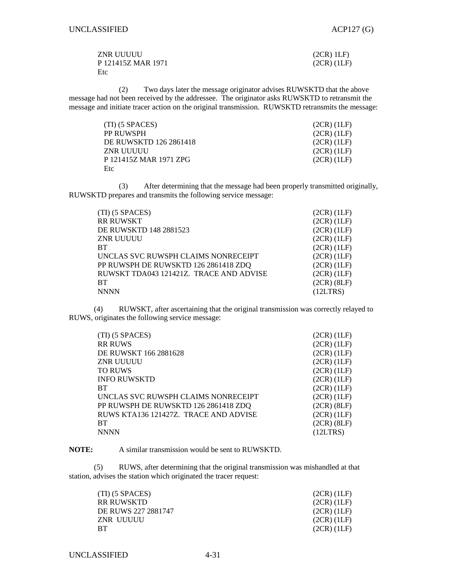| ZNR UUUUU          | (2CR) 1LF       |
|--------------------|-----------------|
| P 121415Z MAR 1971 | $(2CR)$ $(1LF)$ |
| Etc                |                 |

 (2) Two days later the message originator advises RUWSKTD that the above message had not been received by the addressee. The originator asks RUWSKTD to retransmit the message and initiate tracer action on the original transmission. RUWSKTD retransmits the message:

| $(TI)$ (5 SPACES)      | $(2CR)$ $(1LF)$ |
|------------------------|-----------------|
| PP RUWSPH              | $(2CR)$ $(1LF)$ |
| DE RUWSKTD 126 2861418 | $(2CR)$ $(1LF)$ |
| ZNR UUUUU              | (2CR) (1LF)     |
| P 121415Z MAR 1971 ZPG | $(2CR)$ $(1LF)$ |
| Etc                    |                 |

 (3) After determining that the message had been properly transmitted originally, RUWSKTD prepares and transmits the following service message:

| $(TI)$ (5 SPACES)                       | $(2CR)$ $(1LF)$ |
|-----------------------------------------|-----------------|
| <b>RR RUWSKT</b>                        | $(2CR)$ $(1LF)$ |
| DE RUWSKTD 148 2881523                  | $(2CR)$ $(1LF)$ |
| ZNR UUUUU                               | $(2CR)$ $(1LF)$ |
| <b>BT</b>                               | $(2CR)$ $(1LF)$ |
| UNCLAS SVC RUWSPH CLAIMS NONRECEIPT     | $(2CR)$ $(1LF)$ |
| PP RUWSPH DE RUWSKTD 126 2861418 ZDQ    | $(2CR)$ $(1LF)$ |
| RUWSKT TDA043 121421Z. TRACE AND ADVISE | $(2CR)$ $(1LF)$ |
| <b>BT</b>                               | $(2CR)$ $(8LF)$ |
| <b>NNNN</b>                             | (12LTRS)        |

 (4) RUWSKT, after ascertaining that the original transmission was correctly relayed to RUWS, originates the following service message:

| (TI) (5 SPACES)                       | $(2CR)$ $(1LF)$ |
|---------------------------------------|-----------------|
| <b>RR RUWS</b>                        | $(2CR)$ $(1LF)$ |
| DE RUWSKT 166 2881628                 | (2CR)(1LF)      |
| <b>ZNR UUUUU</b>                      | $(2CR)$ $(1LF)$ |
| <b>TO RUWS</b>                        | $(2CR)$ $(1LF)$ |
| <b>INFO RUWSKTD</b>                   | $(2CR)$ $(1LF)$ |
| <b>BT</b>                             | $(2CR)$ $(1LF)$ |
| UNCLAS SVC RUWSPH CLAIMS NONRECEIPT   | $(2CR)$ $(1LF)$ |
| PP RUWSPH DE RUWSKTD 126 2861418 ZDQ  | $(2CR)$ $(8LF)$ |
| RUWS KTA136 121427Z. TRACE AND ADVISE | $(2CR)$ $(1LF)$ |
| <b>BT</b>                             | $(2CR)$ $(8LF)$ |
| <b>NNNN</b>                           | (12LTRS)        |

**NOTE:** A similar transmission would be sent to RUWSKTD.

 (5) RUWS, after determining that the original transmission was mishandled at that station, advises the station which originated the tracer request:

| (TI) (5 SPACES)     | $(2CR)$ $(1LF)$ |
|---------------------|-----------------|
| RR RUWSKTD-         | $(2CR)$ $(1LF)$ |
| DE RUWS 227 2881747 | (2CR)(1LF)      |
| ZNR UUUUU           | $(2CR)$ (1LF)   |
| RТ                  | (2CR) (1LF)     |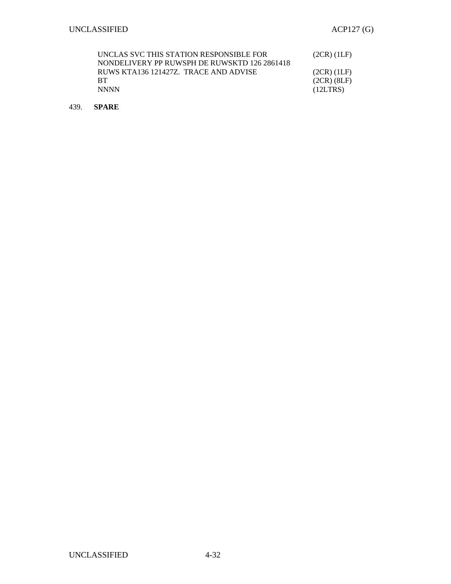| UNCLAS SVC THIS STATION RESPONSIBLE FOR      | $(2CR)$ (1LF)   |
|----------------------------------------------|-----------------|
| NONDELIVERY PP RUWSPH DE RUWSKTD 126 2861418 |                 |
| RUWS KTA136 121427Z. TRACE AND ADVISE        | $(2CR)$ $(1LF)$ |
| <b>RT</b>                                    | $(2CR)$ $(8LF)$ |
| <b>NNNN</b>                                  | (12LTRS)        |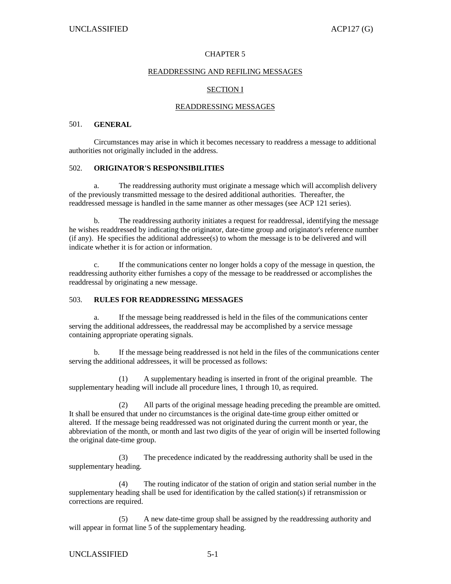## CHAPTER 5

### READDRESSING AND REFILING MESSAGES

## SECTION I

## READDRESSING MESSAGES

## 501. **GENERAL**

 Circumstances may arise in which it becomes necessary to readdress a message to additional authorities not originally included in the address.

## 502. **ORIGINATOR'S RESPONSIBILITIES**

a. The readdressing authority must originate a message which will accomplish delivery of the previously transmitted message to the desired additional authorities. Thereafter, the readdressed message is handled in the same manner as other messages (see ACP 121 series).

 b. The readdressing authority initiates a request for readdressal, identifying the message he wishes readdressed by indicating the originator, date-time group and originator's reference number  $(i)$  f any). He specifies the additional addressee $(s)$  to whom the message is to be delivered and will indicate whether it is for action or information.

 c. If the communications center no longer holds a copy of the message in question, the readdressing authority either furnishes a copy of the message to be readdressed or accomplishes the readdressal by originating a new message.

## 503. **RULES FOR READDRESSING MESSAGES**

 a. If the message being readdressed is held in the files of the communications center serving the additional addressees, the readdressal may be accomplished by a service message containing appropriate operating signals.

 b. If the message being readdressed is not held in the files of the communications center serving the additional addressees, it will be processed as follows:

 (1) A supplementary heading is inserted in front of the original preamble. The supplementary heading will include all procedure lines, 1 through 10, as required.

 (2) All parts of the original message heading preceding the preamble are omitted. It shall be ensured that under no circumstances is the original date-time group either omitted or altered. If the message being readdressed was not originated during the current month or year, the abbreviation of the month, or month and last two digits of the year of origin will be inserted following the original date-time group.

 (3) The precedence indicated by the readdressing authority shall be used in the supplementary heading.

 (4) The routing indicator of the station of origin and station serial number in the supplementary heading shall be used for identification by the called station(s) if retransmission or corrections are required.

 (5) A new date-time group shall be assigned by the readdressing authority and will appear in format line 5 of the supplementary heading.

## UNCLASSIFIED 5-1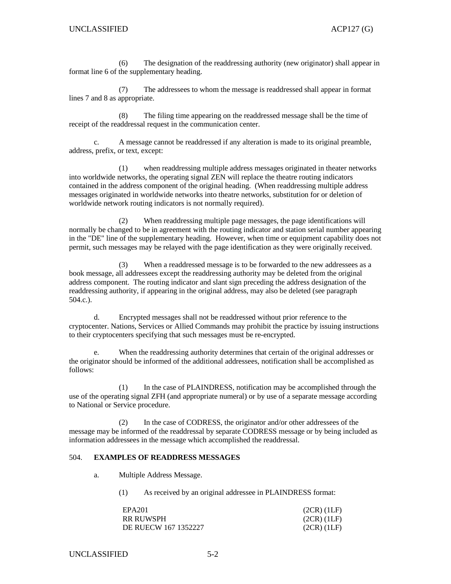(6) The designation of the readdressing authority (new originator) shall appear in format line 6 of the supplementary heading.

 (7) The addressees to whom the message is readdressed shall appear in format lines 7 and 8 as appropriate.

 (8) The filing time appearing on the readdressed message shall be the time of receipt of the readdressal request in the communication center.

 c. A message cannot be readdressed if any alteration is made to its original preamble, address, prefix, or text, except:

 (1) when readdressing multiple address messages originated in theater networks into worldwide networks, the operating signal ZEN will replace the theatre routing indicators contained in the address component of the original heading. (When readdressing multiple address messages originated in worldwide networks into theatre networks, substitution for or deletion of worldwide network routing indicators is not normally required).

 (2) When readdressing multiple page messages, the page identifications will normally be changed to be in agreement with the routing indicator and station serial number appearing in the "DE" line of the supplementary heading. However, when time or equipment capability does not permit, such messages may be relayed with the page identification as they were originally received.

 (3) When a readdressed message is to be forwarded to the new addressees as a book message, all addressees except the readdressing authority may be deleted from the original address component. The routing indicator and slant sign preceding the address designation of the readdressing authority, if appearing in the original address, may also be deleted (see paragraph 504.c.).

 d. Encrypted messages shall not be readdressed without prior reference to the cryptocenter. Nations, Services or Allied Commands may prohibit the practice by issuing instructions to their cryptocenters specifying that such messages must be re-encrypted.

 e. When the readdressing authority determines that certain of the original addresses or the originator should be informed of the additional addressees, notification shall be accomplished as follows:

 (1) In the case of PLAINDRESS, notification may be accomplished through the use of the operating signal ZFH (and appropriate numeral) or by use of a separate message according to National or Service procedure.

 (2) In the case of CODRESS, the originator and/or other addressees of the message may be informed of the readdressal by separate CODRESS message or by being included as information addressees in the message which accomplished the readdressal.

## 504. **EXAMPLES OF READDRESS MESSAGES**

a. Multiple Address Message.

(1) As received by an original addressee in PLAINDRESS format:

| EPA201               | $(2CR)$ $(1LF)$ |
|----------------------|-----------------|
| <b>RR RUWSPH</b>     | $(2CR)$ $(1LF)$ |
| DE RUECW 167 1352227 | $(2CR)$ $(1LF)$ |

UNCLASSIFIED 5-2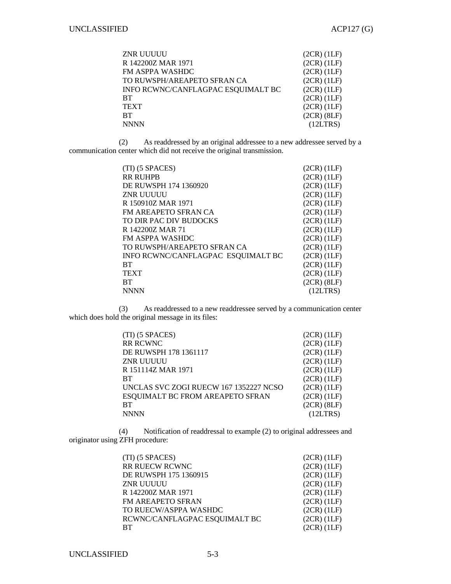| ZNR UUUUU                          | $(2CR)$ $(1LF)$ |
|------------------------------------|-----------------|
| R 142200Z MAR 1971                 | $(2CR)$ $(1LF)$ |
| FM ASPPA WASHDC                    | $(2CR)$ $(1LF)$ |
| TO RUWSPH/AREAPETO SFRAN CA        | $(2CR)$ $(1LF)$ |
| INFO RCWNC/CANFLAGPAC ESQUIMALT BC | $(2CR)$ $(1LF)$ |
| BТ                                 | $(2CR)$ $(1LF)$ |
| TEXT                               | $(2CR)$ $(1LF)$ |
| BТ                                 | $(2CR)$ $(8LF)$ |
| NNNN                               | (12LTRS)        |

 (2) As readdressed by an original addressee to a new addressee served by a communication center which did not receive the original transmission.

| $(TI)$ (5 SPACES)                  | $(2CR)$ $(1LF)$ |
|------------------------------------|-----------------|
| <b>RR RUHPB</b>                    | $(2CR)$ $(1LF)$ |
| DE RUWSPH 174 1360920              | $(2CR)$ $(1LF)$ |
| ZNR UUUUU                          | $(2CR)$ $(1LF)$ |
| R 150910Z MAR 1971                 | $(2CR)$ $(1LF)$ |
| <b>FM AREAPETO SFRAN CA</b>        | $(2CR)$ $(1LF)$ |
| TO DIR PAC DIV BUDOCKS             | $(2CR)$ $(1LF)$ |
| R 142200Z MAR 71                   | $(2CR)$ $(1LF)$ |
| <b>FM ASPPA WASHDC</b>             | $(2CR)$ $(1LF)$ |
| TO RUWSPH/AREAPETO SFRAN CA        | $(2CR)$ $(1LF)$ |
| INFO RCWNC/CANFLAGPAC ESQUIMALT BC | $(2CR)$ $(1LF)$ |
| <b>BT</b>                          | $(2CR)$ $(1LF)$ |
| <b>TEXT</b>                        | $(2CR)$ $(1LF)$ |
| <b>BT</b>                          | $(2CR)$ $(8LF)$ |
| <b>NNNN</b>                        | (12LTRS)        |

 (3) As readdressed to a new readdressee served by a communication center which does hold the original message in its files:

| (TI) (5 SPACES)                         | $(2CR)$ $(1LF)$ |
|-----------------------------------------|-----------------|
| <b>RR RCWNC</b>                         | $(2CR)$ $(1LF)$ |
| DE RUWSPH 178 1361117                   | $(2CR)$ $(1LF)$ |
| ZNR UUUUU                               | $(2CR)$ $(1LF)$ |
| R 151114Z MAR 1971                      | $(2CR)$ $(1LF)$ |
| <b>BT</b>                               | $(2CR)$ $(1LF)$ |
| UNCLAS SVC ZOGI RUECW 167 1352227 NCSO  | $(2CR)$ $(1LF)$ |
| <b>ESQUIMALT BC FROM AREAPETO SFRAN</b> | $(2CR)$ $(1LF)$ |
| <b>BT</b>                               | $(2CR)$ $(8LF)$ |
| <b>NNNN</b>                             | (12LTRS)        |

 (4) Notification of readdressal to example (2) to original addressees and originator using ZFH procedure:

| $(TI)$ (5 SPACES)             | $(2CR)$ $(1LF)$ |
|-------------------------------|-----------------|
| RR RUECW RCWNC                | $(2CR)$ $(1LF)$ |
| DE RUWSPH 175 1360915         | (2CR)(1LF)      |
| ZNR UUUUU                     | $(2CR)$ $(1LF)$ |
| R 142200Z MAR 1971            | $(2CR)$ $(1LF)$ |
| <b>FM AREAPETO SFRAN</b>      | $(2CR)$ $(1LF)$ |
| TO RUECW/ASPPA WASHDC         | $(2CR)$ $(1LF)$ |
| RCWNC/CANFLAGPAC ESQUIMALT BC | $(2CR)$ $(1LF)$ |
| <b>BT</b>                     | $(2CR)$ $(1LF)$ |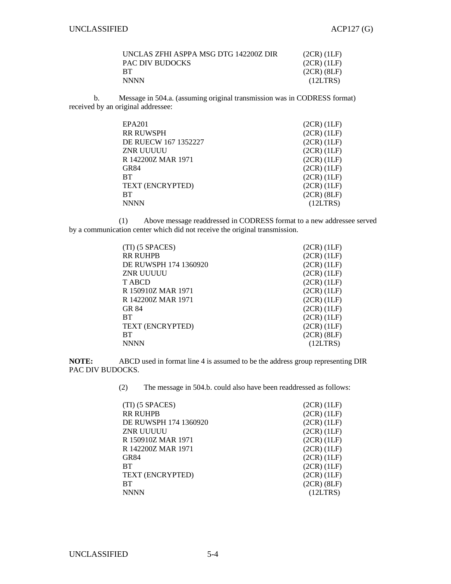| UNCLAS ZFHI ASPPA MSG DTG 142200Z DIR | $(2CR)$ $(1LF)$ |
|---------------------------------------|-----------------|
| PAC DIV BUDOCKS                       | (2CR) (1LF)     |
| <b>RT</b>                             | $(2CR)$ $(8LF)$ |
| <b>NNNN</b>                           | (12LTRS)        |

 b. Message in 504.a. (assuming original transmission was in CODRESS format) received by an original addressee:

| EPA201               | $(2CR)$ $(1LF)$ |
|----------------------|-----------------|
| <b>RR RUWSPH</b>     | $(2CR)$ $(1LF)$ |
| DE RUECW 167 1352227 | $(2CR)$ $(1LF)$ |
| ZNR UUUUU            | $(2CR)$ $(1LF)$ |
| R 142200Z MAR 1971   | $(2CR)$ $(1LF)$ |
| GR84                 | $(2CR)$ $(1LF)$ |
| <b>BT</b>            | $(2CR)$ $(1LF)$ |
| TEXT (ENCRYPTED)     | $(2CR)$ $(1LF)$ |
| <b>RT</b>            | $(2CR)$ $(8LF)$ |
| <b>NNNN</b>          | (12LTRS)        |

 (1) Above message readdressed in CODRESS format to a new addressee served by a communication center which did not receive the original transmission.

| (TI) (5 SPACES)       | $(2CR)$ $(1LF)$ |
|-----------------------|-----------------|
| <b>RR RUHPB</b>       | $(2CR)$ $(1LF)$ |
| DE RUWSPH 174 1360920 | $(2CR)$ $(1LF)$ |
| ZNR UUUUU             | $(2CR)$ $(1LF)$ |
| <b>TABCD</b>          | $(2CR)$ $(1LF)$ |
| R 150910Z MAR 1971    | $(2CR)$ $(1LF)$ |
| R 142200Z MAR 1971    | $(2CR)$ $(1LF)$ |
| GR 84                 | $(2CR)$ $(1LF)$ |
| <b>BT</b>             | $(2CR)$ $(1LF)$ |
| TEXT (ENCRYPTED)      | $(2CR)$ $(1LF)$ |
| <b>BT</b>             | $(2CR)$ $(8LF)$ |
| <b>NNNN</b>           | (12LTRS)        |

**NOTE:** ABCD used in format line 4 is assumed to be the address group representing DIR PAC DIV BUDOCKS.

(2) The message in 504.b. could also have been readdressed as follows:

| (TI) (5 SPACES)       | $(2CR)$ $(1LF)$ |
|-----------------------|-----------------|
| <b>RR RUHPB</b>       | $(2CR)$ $(1LF)$ |
| DE RUWSPH 174 1360920 | $(2CR)$ $(1LF)$ |
| ZNR UUUUU             | $(2CR)$ $(1LF)$ |
| R 150910Z MAR 1971    | $(2CR)$ $(1LF)$ |
| R 142200Z MAR 1971    | $(2CR)$ $(1LF)$ |
| GR84                  | $(2CR)$ $(1LF)$ |
| <b>BT</b>             | $(2CR)$ $(1LF)$ |
| TEXT (ENCRYPTED)      | $(2CR)$ $(1LF)$ |
| <b>BT</b>             | $(2CR)$ $(8LF)$ |
| <b>NNNN</b>           | (12LTRS)        |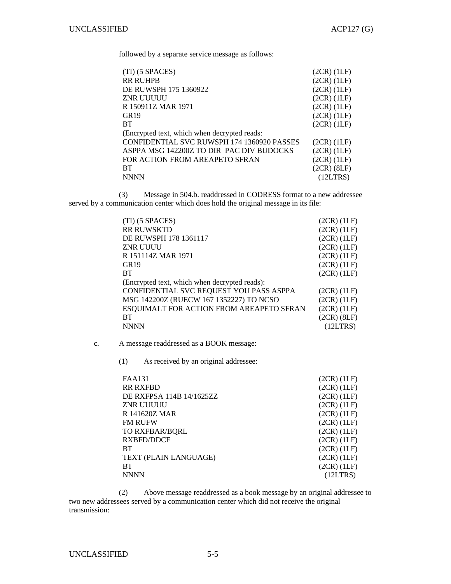followed by a separate service message as follows:

| $(TI)$ (5 SPACES)                            | $(2CR)$ $(1LF)$ |
|----------------------------------------------|-----------------|
| <b>RR RUHPB</b>                              | $(2CR)$ $(1LF)$ |
| DE RUWSPH 175 1360922                        | $(2CR)$ $(1LF)$ |
| ZNR UUUUU                                    | $(2CR)$ $(1LF)$ |
| R 150911Z MAR 1971                           | $(2CR)$ $(1LF)$ |
| GR19                                         | $(2CR)$ $(1LF)$ |
| <b>BT</b>                                    | $(2CR)$ $(1LF)$ |
| (Encrypted text, which when decrypted reads: |                 |
| CONFIDENTIAL SVC RUWSPH 174 1360920 PASSES   | $(2CR)$ $(1LF)$ |
| ASPPA MSG 142200Z TO DIR PAC DIV BUDOCKS     | $(2CR)$ $(1LF)$ |
| FOR ACTION FROM AREAPETO SFRAN               | $(2CR)$ $(1LF)$ |
| <b>BT</b>                                    | $(2CR)$ $(8LF)$ |
| <b>NNNN</b>                                  | (12LTRS)        |

 (3) Message in 504.b. readdressed in CODRESS format to a new addressee served by a communication center which does hold the original message in its file:

| $(TI)$ (5 SPACES)                             | $(2CR)$ $(1LF)$ |
|-----------------------------------------------|-----------------|
| <b>RR RUWSKTD</b>                             | $(2CR)$ $(1LF)$ |
| DE RUWSPH 178 1361117                         | $(2CR)$ $(1LF)$ |
| ZNR UUUU                                      | $(2CR)$ $(1LF)$ |
| R 151114Z MAR 1971                            | $(2CR)$ $(1LF)$ |
| GR19                                          | $(2CR)$ $(1LF)$ |
| <b>BT</b>                                     | $(2CR)$ $(1LF)$ |
| (Encrypted text, which when decrypted reads): |                 |
| CONFIDENTIAL SVC REQUEST YOU PASS ASPPA       | $(2CR)$ $(1LF)$ |
| MSG 142200Z (RUECW 167 1352227) TO NCSO       | $(2CR)$ $(1LF)$ |
| ESQUIMALT FOR ACTION FROM AREAPETO SFRAN      | $(2CR)$ $(1LF)$ |
| <b>BT</b>                                     | $(2CR)$ $(8LF)$ |
| <b>NNNN</b>                                   | (12LTRS)        |

c. A message readdressed as a BOOK message:

(1) As received by an original addressee:

| <b>FAA131</b>            | $(2CR)$ $(1LF)$ |
|--------------------------|-----------------|
| <b>RR RXFBD</b>          | $(2CR)$ $(1LF)$ |
| DE RXFPSA 114B 14/1625ZZ | $(2CR)$ $(1LF)$ |
| ZNR UUUUU                | $(2CR)$ $(1LF)$ |
| R 141620Z MAR            | $(2CR)$ $(1LF)$ |
| <b>FM RUFW</b>           | $(2CR)$ $(1LF)$ |
| <b>TO RXFBAR/BORL</b>    | $(2CR)$ $(1LF)$ |
| RXBFD/DDCE               | $(2CR)$ $(1LF)$ |
| <b>BT</b>                | $(2CR)$ $(1LF)$ |
| TEXT (PLAIN LANGUAGE)    | $(2CR)$ $(1LF)$ |
| <b>BT</b>                | $(2CR)$ $(1LF)$ |
| <b>NNNN</b>              | (12LTRS)        |

 (2) Above message readdressed as a book message by an original addressee to two new addressees served by a communication center which did not receive the original transmission: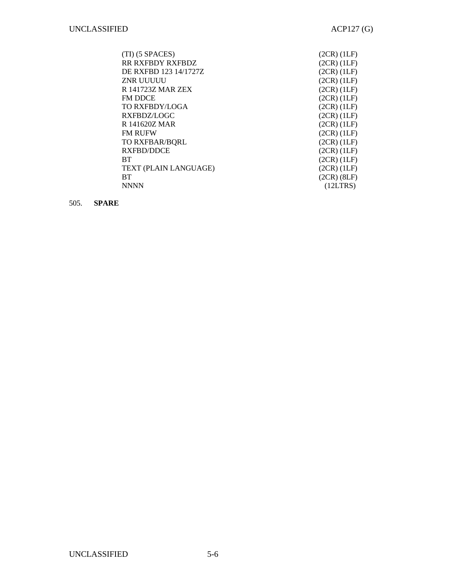| $(TI)$ (5 SPACES)     | $(2CR)$ $(1LF)$ |
|-----------------------|-----------------|
| RR RXFBDY RXFBDZ      | $(2CR)$ $(1LF)$ |
| DE RXFBD 123 14/1727Z | $(2CR)$ $(1LF)$ |
| ZNR UUUUU             | $(2CR)$ $(1LF)$ |
| R 141723Z MAR ZEX     | $(2CR)$ $(1LF)$ |
| <b>FM DDCE</b>        | $(2CR)$ $(1LF)$ |
| <b>TO RXFBDY/LOGA</b> | $(2CR)$ $(1LF)$ |
| RXFBDZ/LOGC           | $(2CR)$ $(1LF)$ |
| R 141620Z MAR         | $(2CR)$ $(1LF)$ |
| <b>FM RUFW</b>        | $(2CR)$ $(1LF)$ |
| <b>TO RXFBAR/BORL</b> | $(2CR)$ $(1LF)$ |
| RXFBD/DDCE            | $(2CR)$ $(1LF)$ |
| <b>BT</b>             | $(2CR)$ $(1LF)$ |
| TEXT (PLAIN LANGUAGE) | $(2CR)$ $(1LF)$ |
| <b>BT</b>             | $(2CR)$ $(8LF)$ |
| <b>NNNN</b>           | (12LTRS)        |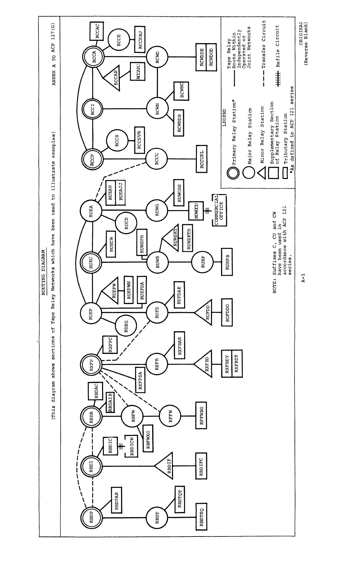

 $\sim$ 

 $\sim$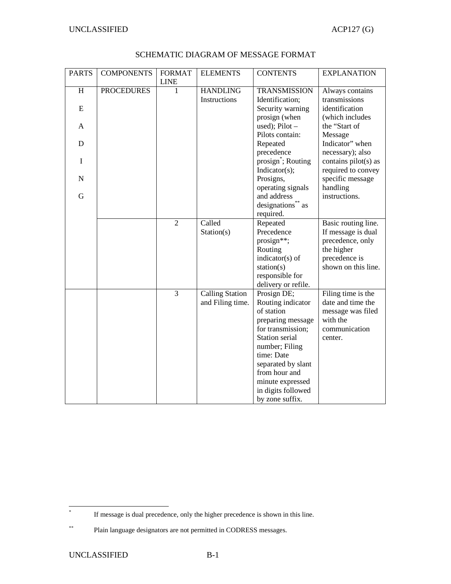| <b>PARTS</b> | <b>COMPONENTS</b> | <b>FORMAT</b><br><b>LINE</b> | <b>ELEMENTS</b>        | <b>CONTENTS</b>                   | <b>EXPLANATION</b>          |
|--------------|-------------------|------------------------------|------------------------|-----------------------------------|-----------------------------|
| H            | <b>PROCEDURES</b> | 1                            | <b>HANDLING</b>        | <b>TRANSMISSION</b>               | Always contains             |
|              |                   |                              | Instructions           | Identification;                   | transmissions               |
| ${\bf E}$    |                   |                              |                        | Security warning                  | identification              |
|              |                   |                              |                        | prosign (when                     | (which includes             |
| A            |                   |                              |                        | used); $Pilot -$                  | the "Start of               |
|              |                   |                              |                        | Pilots contain:                   | Message                     |
| D            |                   |                              |                        | Repeated                          | Indicator" when             |
|              |                   |                              |                        | precedence                        | necessary); also            |
| $\mathbf I$  |                   |                              |                        | prosign <sup>*</sup> ; Routing    | contains pilot(s) as        |
|              |                   |                              |                        | Indicator(s);                     | required to convey          |
| ${\bf N}$    |                   |                              |                        | Prosigns,                         | specific message            |
|              |                   |                              |                        | operating signals                 | handling                    |
| G            |                   |                              |                        | and address                       | instructions.               |
|              |                   |                              |                        | designations** as                 |                             |
|              |                   |                              |                        | required.                         |                             |
|              |                   | $\overline{2}$               | Called                 | Repeated                          | Basic routing line.         |
|              |                   |                              | Station(s)             | Precedence                        | If message is dual          |
|              |                   |                              |                        | prosign**;                        | precedence, only            |
|              |                   |                              |                        | Routing                           | the higher<br>precedence is |
|              |                   |                              |                        | indicator(s) of<br>station( $s$ ) | shown on this line.         |
|              |                   |                              |                        | responsible for                   |                             |
|              |                   |                              |                        | delivery or refile.               |                             |
|              |                   | 3                            | <b>Calling Station</b> | Prosign DE;                       | Filing time is the          |
|              |                   |                              | and Filing time.       | Routing indicator                 | date and time the           |
|              |                   |                              |                        | of station                        | message was filed           |
|              |                   |                              |                        | preparing message                 | with the                    |
|              |                   |                              |                        | for transmission;                 | communication               |
|              |                   |                              |                        | Station serial                    | center.                     |
|              |                   |                              |                        | number; Filing                    |                             |
|              |                   |                              |                        | time: Date                        |                             |
|              |                   |                              |                        | separated by slant                |                             |
|              |                   |                              |                        | from hour and                     |                             |
|              |                   |                              |                        | minute expressed                  |                             |
|              |                   |                              |                        | in digits followed                |                             |
|              |                   |                              |                        | by zone suffix.                   |                             |

## SCHEMATIC DIAGRAM OF MESSAGE FORMAT

 \* If message is dual precedence, only the higher precedence is shown in this line.

<sup>\*\*</sup> Plain language designators are not permitted in CODRESS messages.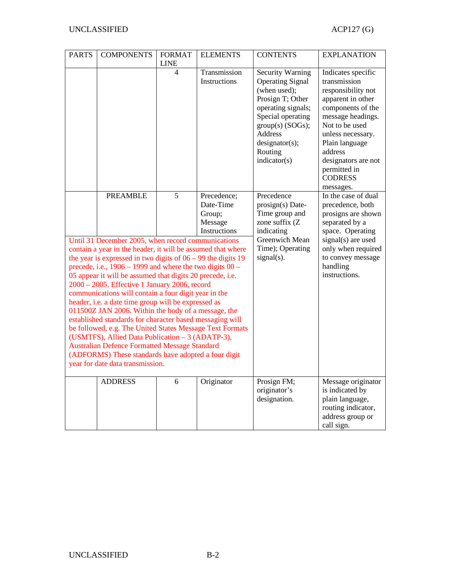| <b>PARTS</b>                                                                                                                                                                                                                                                                                                                                                                                                                                                                                                                                                                                                                                                                                                                                                                                                                                                           | <b>COMPONENTS</b> | <b>FORMAT</b><br><b>LINE</b> | <b>ELEMENTS</b>                                               | <b>CONTENTS</b>                                                                                                                                                                                                         | <b>EXPLANATION</b>                                                                                                                                                                                                                                                |
|------------------------------------------------------------------------------------------------------------------------------------------------------------------------------------------------------------------------------------------------------------------------------------------------------------------------------------------------------------------------------------------------------------------------------------------------------------------------------------------------------------------------------------------------------------------------------------------------------------------------------------------------------------------------------------------------------------------------------------------------------------------------------------------------------------------------------------------------------------------------|-------------------|------------------------------|---------------------------------------------------------------|-------------------------------------------------------------------------------------------------------------------------------------------------------------------------------------------------------------------------|-------------------------------------------------------------------------------------------------------------------------------------------------------------------------------------------------------------------------------------------------------------------|
|                                                                                                                                                                                                                                                                                                                                                                                                                                                                                                                                                                                                                                                                                                                                                                                                                                                                        |                   | $\overline{\mathcal{L}}$     | Transmission<br>Instructions                                  | <b>Security Warning</b><br><b>Operating Signal</b><br>(when used);<br>Prosign T; Other<br>operating signals;<br>Special operating<br>$group(s)$ (SOGs);<br><b>Address</b><br>designator(s);<br>Routing<br>indication(s) | Indicates specific<br>transmission<br>responsibility not<br>apparent in other<br>components of the<br>message headings.<br>Not to be used<br>unless necessary.<br>Plain language<br>address<br>designators are not<br>permitted in<br><b>CODRESS</b><br>messages. |
|                                                                                                                                                                                                                                                                                                                                                                                                                                                                                                                                                                                                                                                                                                                                                                                                                                                                        | <b>PREAMBLE</b>   | 5                            | Precedence;<br>Date-Time<br>Group;<br>Message<br>Instructions | Precedence<br>prosign(s) Date-<br>Time group and<br>zone suffix (Z<br>indicating                                                                                                                                        | In the case of dual<br>precedence, both<br>prosigns are shown<br>separated by a<br>space. Operating                                                                                                                                                               |
| Until 31 December 2005, when record communications<br>contain a year in the header, it will be assumed that where<br>the year is expressed in two digits of $06 - 99$ the digits 19<br>precede, i.e., $1906 - 1999$ and where the two digits $00 -$<br>05 appear it will be assumed that digits 20 precede, i.e.<br>2000 - 2005. Effective 1 January 2006, record<br>communications will contain a four digit year in the<br>header, i.e. a date time group will be expressed as<br>011500Z JAN 2006. Within the body of a message, the<br>established standards for character based messaging will<br>be followed, e.g. The United States Message Text Formats<br>(USMTFS), Allied Data Publication – 3 (ADATP-3),<br><b>Australian Defence Formatted Message Standard</b><br>(ADFORMS) These standards have adopted a four digit<br>year for date data transmission. |                   |                              |                                                               | Greenwich Mean<br>Time); Operating<br>signal(s).                                                                                                                                                                        | signal(s) are used<br>only when required<br>to convey message<br>handling<br>instructions.                                                                                                                                                                        |
|                                                                                                                                                                                                                                                                                                                                                                                                                                                                                                                                                                                                                                                                                                                                                                                                                                                                        | <b>ADDRESS</b>    | 6                            | Originator                                                    | Prosign FM;<br>originator's<br>designation.                                                                                                                                                                             | Message originator<br>is indicated by<br>plain language,<br>routing indicator,<br>address group or<br>call sign.                                                                                                                                                  |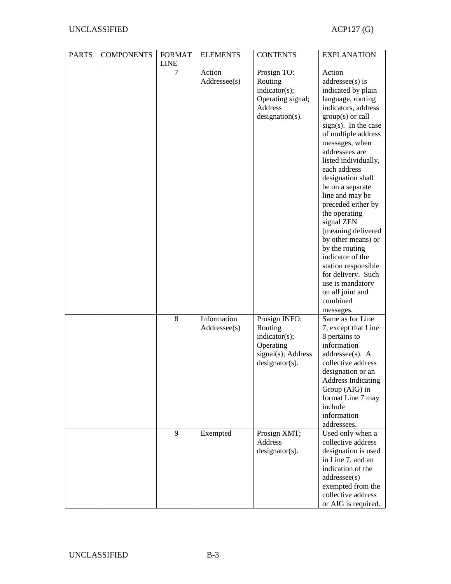| <b>PARTS</b> | <b>COMPONENTS</b> | <b>FORMAT</b><br><b>LINE</b> | <b>ELEMENTS</b>             | <b>CONTENTS</b>                                                                                   | <b>EXPLANATION</b>                                                                                                                                                                                                                                                                                                                                                                                                                                                                                                                                                 |
|--------------|-------------------|------------------------------|-----------------------------|---------------------------------------------------------------------------------------------------|--------------------------------------------------------------------------------------------------------------------------------------------------------------------------------------------------------------------------------------------------------------------------------------------------------------------------------------------------------------------------------------------------------------------------------------------------------------------------------------------------------------------------------------------------------------------|
|              |                   | 7                            | Action<br>Addressee(s)      | Prosign TO:<br>Routing<br>indicator(s);<br>Operating signal;<br><b>Address</b><br>designation(s). | Action<br>$addressee(s)$ is<br>indicated by plain<br>language, routing<br>indicators, address<br>$group(s)$ or call<br>$sign(s)$ . In the case<br>of multiple address<br>messages, when<br>addressees are<br>listed individually,<br>each address<br>designation shall<br>be on a separate<br>line and may be<br>preceded either by<br>the operating<br>signal ZEN<br>(meaning delivered<br>by other means) or<br>by the routing<br>indicator of the<br>station responsible<br>for delivery. Such<br>use is mandatory<br>on all joint and<br>combined<br>messages. |
|              |                   | 8                            | Information<br>Addressee(s) | Prosign INFO;<br>Routing<br>indicator(s);<br>Operating<br>signal(s); Address<br>$designator(s)$ . | Same as for Line<br>7, except that Line<br>8 pertains to<br>information<br>addressee(s). A<br>collective address<br>designation or an<br><b>Address Indicating</b><br>Group (AIG) in<br>format Line 7 may<br>include<br>information<br>addressees.                                                                                                                                                                                                                                                                                                                 |
|              |                   | 9                            | Exempted                    | Prosign XMT;<br>Address<br>$designator(s)$ .                                                      | Used only when a<br>collective address<br>designation is used<br>in Line 7, and an<br>indication of the<br>addressee(s)<br>exempted from the<br>collective address<br>or AIG is required.                                                                                                                                                                                                                                                                                                                                                                          |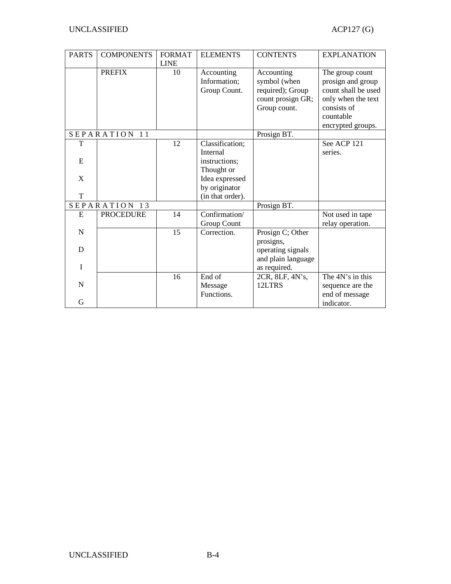| <b>PARTS</b>  | <b>COMPONENTS</b> | <b>FORMAT</b> | <b>ELEMENTS</b>  | <b>CONTENTS</b>    | <b>EXPLANATION</b>  |
|---------------|-------------------|---------------|------------------|--------------------|---------------------|
|               |                   | <b>LINE</b>   |                  |                    |                     |
|               | <b>PREFIX</b>     | 10            | Accounting       | Accounting         | The group count     |
|               |                   |               | Information;     | symbol (when       | prosign and group   |
|               |                   |               | Group Count.     | required); Group   | count shall be used |
|               |                   |               |                  | count prosign GR;  | only when the text  |
|               |                   |               |                  | Group count.       | consists of         |
|               |                   |               |                  |                    | countable           |
|               |                   |               |                  |                    | encrypted groups.   |
|               | SEPARATION 11     |               |                  | Prosign BT.        |                     |
| T             |                   | 12            | Classification;  |                    | See ACP 121         |
|               |                   |               | <b>Internal</b>  |                    | series.             |
| E             |                   |               | instructions:    |                    |                     |
|               |                   |               | Thought or       |                    |                     |
| X             |                   |               | Idea expressed   |                    |                     |
|               |                   |               | by originator    |                    |                     |
| T             |                   |               | (in that order). |                    |                     |
| SEPARATION 13 |                   |               |                  | Prosign BT.        |                     |
| E             | <b>PROCEDURE</b>  | 14            | Confirmation/    |                    | Not used in tape    |
|               |                   |               | Group Count      |                    | relay operation.    |
| $\mathbf N$   |                   | 15            | Correction.      | Prosign C; Other   |                     |
|               |                   |               |                  | prosigns,          |                     |
| D             |                   |               |                  | operating signals  |                     |
|               |                   |               |                  | and plain language |                     |
| I             |                   |               |                  | as required.       |                     |
|               |                   | 16            | End of           | 2CR, 8LF, 4N's,    | The 4N's in this    |
| N             |                   |               | Message          | 12LTRS             | sequence are the    |
|               |                   |               | Functions.       |                    | end of message      |
| G             |                   |               |                  |                    | indicator.          |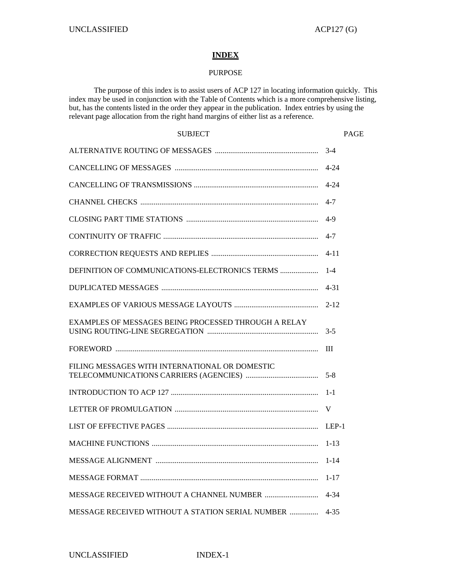# **INDEX**

## PURPOSE

 The purpose of this index is to assist users of ACP 127 in locating information quickly. This index may be used in conjunction with the Table of Contents which is a more comprehensive listing, but, has the contents listed in the order they appear in the publication. Index entries by using the relevant page allocation from the right hand margins of either list as a reference.

| <b>SUBJECT</b>                                       | PAGE     |
|------------------------------------------------------|----------|
|                                                      |          |
|                                                      |          |
|                                                      |          |
|                                                      |          |
|                                                      |          |
|                                                      |          |
|                                                      |          |
|                                                      |          |
|                                                      |          |
|                                                      | $2 - 12$ |
| EXAMPLES OF MESSAGES BEING PROCESSED THROUGH A RELAY |          |
|                                                      |          |
| FILING MESSAGES WITH INTERNATIONAL OR DOMESTIC       |          |
|                                                      |          |
|                                                      |          |
|                                                      |          |
|                                                      |          |
| <b>MESSAGE ALIGNMENT </b>                            | $1 - 14$ |
|                                                      | $1 - 17$ |
|                                                      | 4-34     |
| MESSAGE RECEIVED WITHOUT A STATION SERIAL NUMBER     | $4 - 35$ |